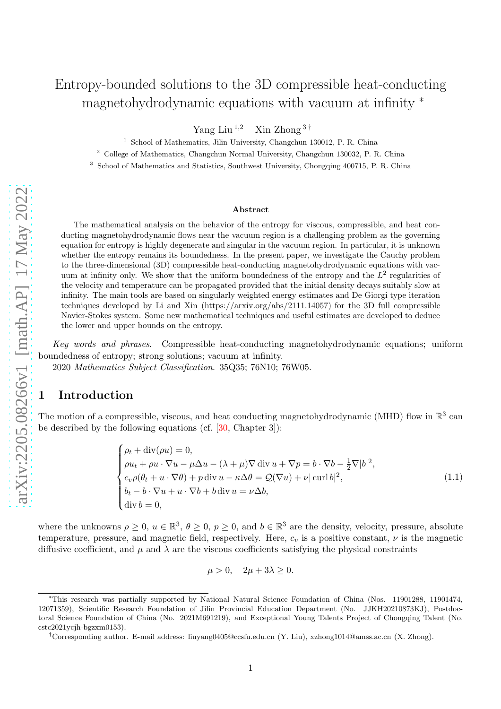# Entropy-bounded solutions to the 3D compressible heat-conducting magnetohydrodynamic equations with vacuum at infinity <sup>\*</sup>

Yang Liu $^{1,2}$  Xin Zhong  $^{\rm 3\, \dagger}$ 

<sup>1</sup> School of Mathematics, Jilin University, Changchun 130012, P. R. China

<sup>2</sup> College of Mathematics, Changchun Normal University, Changchun 130032, P. R. China

<sup>3</sup> School of Mathematics and Statistics, Southwest University, Chongqing 400715, P. R. China

#### Abstract

The mathematical analysis on the behavior of the entropy for viscous, compressible, and heat conducting magnetohydrodynamic flows near the vacuum region is a challenging problem as the governing equation for entropy is highly degenerate and singular in the vacuum region. In particular, it is unknown whether the entropy remains its boundedness. In the present paper, we investigate the Cauchy problem to the three-dimensional (3D) compressible heat-conducting magnetohydrodynamic equations with vacuum at infinity only. We show that the uniform boundedness of the entropy and the  $L^2$  regularities of the velocity and temperature can be propagated provided that the initial density decays suitably slow at infinity. The main tools are based on singularly weighted energy estimates and De Giorgi type iteration techniques developed by Li and Xin (https://arxiv.org/abs/2111.14057) for the 3D full compressible Navier-Stokes system. Some new mathematical techniques and useful estimates are developed to deduce the lower and upper bounds on the entropy.

Key words and phrases. Compressible heat-conducting magnetohydrodynamic equations; uniform boundedness of entropy; strong solutions; vacuum at infinity.

2020 Mathematics Subject Classification. 35Q35; 76N10; 76W05.

#### 1 Introduction

The motion of a compressible, viscous, and heat conducting magnetohydrodynamic (MHD) flow in  $\mathbb{R}^3$  can be described by the following equations (cf.  $[30,$  Chapter 3]):

$$
\begin{cases}\n\rho_t + \operatorname{div}(\rho u) = 0, \\
\rho u_t + \rho u \cdot \nabla u - \mu \Delta u - (\lambda + \mu) \nabla \operatorname{div} u + \nabla p = b \cdot \nabla b - \frac{1}{2} \nabla |b|^2, \\
c_v \rho (\theta_t + u \cdot \nabla \theta) + p \operatorname{div} u - \kappa \Delta \theta = \mathcal{Q}(\nabla u) + \nu |\operatorname{curl} b|^2, \\
b_t - b \cdot \nabla u + u \cdot \nabla b + b \operatorname{div} u = \nu \Delta b, \\
\operatorname{div} b = 0,\n\end{cases} \tag{1.1}
$$

where the unknowns  $\rho \geq 0$ ,  $u \in \mathbb{R}^3$ ,  $\theta \geq 0$ ,  $p \geq 0$ , and  $b \in \mathbb{R}^3$  are the density, velocity, pressure, absolute temperature, pressure, and magnetic field, respectively. Here,  $c_v$  is a positive constant,  $\nu$  is the magnetic diffusive coefficient, and  $\mu$  and  $\lambda$  are the viscous coefficients satisfying the physical constraints

<span id="page-0-0"></span>
$$
\mu > 0, \quad 2\mu + 3\lambda \ge 0.
$$

<sup>∗</sup>This research was partially supported by National Natural Science Foundation of China (Nos. 11901288, 11901474, 12071359), Scientific Research Foundation of Jilin Provincial Education Department (No. JJKH20210873KJ), Postdoctoral Science Foundation of China (No. 2021M691219), and Exceptional Young Talents Project of Chongqing Talent (No. cstc2021ycjh-bgzxm0153).

<sup>†</sup>Corresponding author. E-mail address: liuyang0405@ccsfu.edu.cn (Y. Liu), xzhong1014@amss.ac.cn (X. Zhong).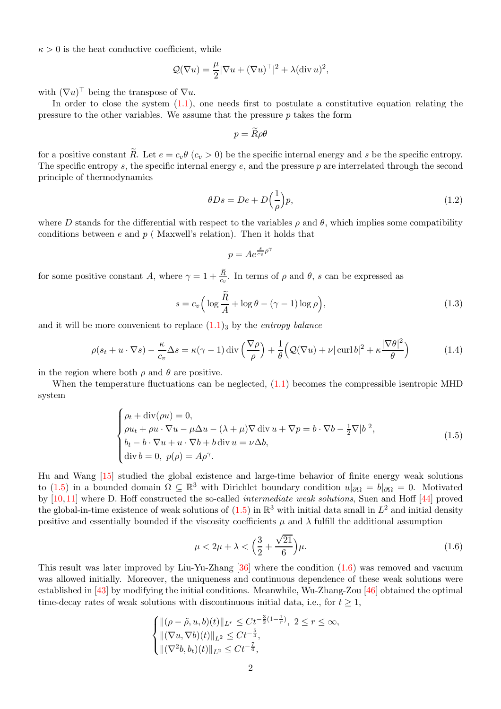$\kappa > 0$  is the heat conductive coefficient, while

$$
\mathcal{Q}(\nabla u) = \frac{\mu}{2} |\nabla u + (\nabla u)^{\top}|^2 + \lambda (\text{div } u)^2,
$$

with  $(\nabla u)$ <sup> $\vdash$ </sup> being the transpose of  $\nabla u$ .

In order to close the system  $(1.1)$ , one needs first to postulate a constitutive equation relating the pressure to the other variables. We assume that the pressure  $p$  takes the form

$$
p = \widetilde{R}\rho\theta
$$

for a positive constant  $\widetilde{R}$ . Let  $e = c_v \theta$  ( $c_v > 0$ ) be the specific internal energy and s be the specific entropy. The specific entropy s, the specific internal energy  $e$ , and the pressure  $p$  are interrelated through the second principle of thermodynamics

$$
\theta Ds = De + D\left(\frac{1}{\rho}\right)p,\tag{1.2}
$$

where D stands for the differential with respect to the variables  $\rho$  and  $\theta$ , which implies some compatibility conditions between  $e$  and  $p$  (Maxwell's relation). Then it holds that

<span id="page-1-3"></span><span id="page-1-2"></span>
$$
p = Ae^{\frac{s}{c_v}\rho^{\gamma}}
$$

for some positive constant A, where  $\gamma = 1 + \frac{\tilde{R}}{c_v}$ . In terms of  $\rho$  and  $\theta$ , s can be expressed as

$$
s = c_v \left( \log \frac{\tilde{R}}{A} + \log \theta - (\gamma - 1) \log \rho \right),\tag{1.3}
$$

and it will be more convenient to replace  $(1.1)$ <sub>3</sub> by the *entropy balance* 

$$
\rho(s_t + u \cdot \nabla s) - \frac{\kappa}{c_v} \Delta s = \kappa(\gamma - 1) \operatorname{div} \left( \frac{\nabla \rho}{\rho} \right) + \frac{1}{\theta} \left( \mathcal{Q}(\nabla u) + \nu |\operatorname{curl} b|^2 + \kappa \frac{|\nabla \theta|^2}{\theta} \right) \tag{1.4}
$$

in the region where both  $\rho$  and  $\theta$  are positive.

When the temperature fluctuations can be neglected, [\(1.1\)](#page-0-0) becomes the compressible isentropic MHD system

$$
\begin{cases}\n\rho_t + \operatorname{div}(\rho u) = 0, \\
\rho u_t + \rho u \cdot \nabla u - \mu \Delta u - (\lambda + \mu) \nabla \operatorname{div} u + \nabla p = b \cdot \nabla b - \frac{1}{2} \nabla |b|^2, \\
b_t - b \cdot \nabla u + u \cdot \nabla b + b \operatorname{div} u = \nu \Delta b, \\
\operatorname{div} b = 0, \ p(\rho) = A\rho^\gamma.\n\end{cases} (1.5)
$$

Hu and Wang [\[15\]](#page-30-0) studied the global existence and large-time behavior of finite energy weak solutions to [\(1.5\)](#page-1-0) in a bounded domain  $\Omega \subseteq \mathbb{R}^3$  with Dirichlet boundary condition  $u|_{\partial\Omega} = b|_{\partial\Omega} = 0$ . Motivated by [\[10,](#page-30-1) [11\]](#page-30-2) where D. Hoff constructed the so-called intermediate weak solutions, Suen and Hoff [\[44\]](#page-32-0) proved the global-in-time existence of weak solutions of  $(1.5)$  in  $\mathbb{R}^3$  with initial data small in  $L^2$  and initial density positive and essentially bounded if the viscosity coefficients  $\mu$  and  $\lambda$  fulfill the additional assumption

<span id="page-1-1"></span><span id="page-1-0"></span>
$$
\mu < 2\mu + \lambda < \left(\frac{3}{2} + \frac{\sqrt{21}}{6}\right)\mu. \tag{1.6}
$$

This result was later improved by Liu-Yu-Zhang [\[36\]](#page-31-1) where the condition [\(1.6\)](#page-1-1) was removed and vacuum was allowed initially. Moreover, the uniqueness and continuous dependence of these weak solutions were established in [\[43\]](#page-32-1) by modifying the initial conditions. Meanwhile, Wu-Zhang-Zou [\[46\]](#page-32-2) obtained the optimal time-decay rates of weak solutions with discontinuous initial data, i.e., for  $t \geq 1$ ,

$$
\begin{cases}\n\|(\rho - \tilde{\rho}, u, b)(t)\|_{L^r} \leq C t^{-\frac{3}{2}(1 - \frac{1}{r})}, \ 2 \leq r \leq \infty, \\
\|(\nabla u, \nabla b)(t)\|_{L^2} \leq C t^{-\frac{5}{4}}, \\
\|(\nabla^2 b, b_t)(t)\|_{L^2} \leq C t^{-\frac{7}{4}},\n\end{cases}
$$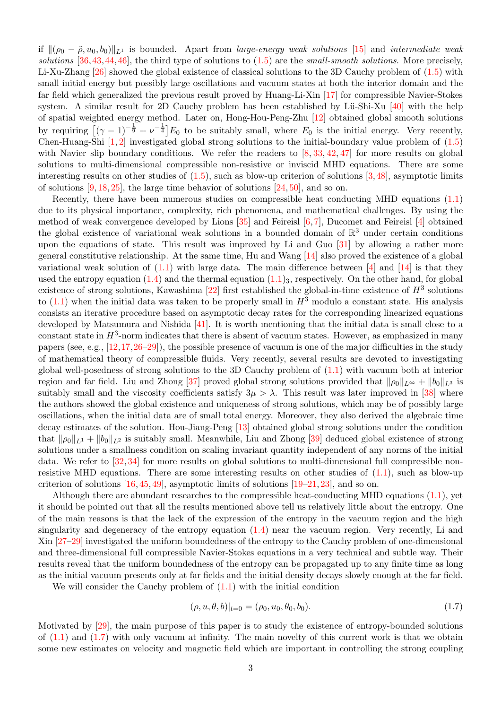if  $\|(\rho_0 - \tilde{\rho}, u_0, b_0)\|_{L^1}$  is bounded. Apart from *large-energy weak solutions* [\[15\]](#page-30-0) and *intermediate weak* solutions  $[36,43,44,46]$  $[36,43,44,46]$  $[36,43,44,46]$  $[36,43,44,46]$ , the third type of solutions to  $(1.5)$  are the small-smooth solutions. More precisely, Li-Xu-Zhang [\[26\]](#page-31-2) showed the global existence of classical solutions to the 3D Cauchy problem of [\(1.5\)](#page-1-0) with small initial energy but possibly large oscillations and vacuum states at both the interior domain and the far field which generalized the previous result proved by Huang-Li-Xin [\[17\]](#page-30-3) for compressible Navier-Stokes system. A similar result for 2D Cauchy problem has been established by Lü-Shi-Xu  $[40]$  with the help of spatial weighted energy method. Later on, Hong-Hou-Peng-Zhu [\[12\]](#page-30-4) obtained global smooth solutions by requiring  $[(\gamma - 1)^{-\frac{1}{9}} + \nu^{-\frac{1}{4}}]E_0$  to be suitably small, where  $E_0$  is the initial energy. Very recently, Chen-Huang-Shi  $[1, 2]$  $[1, 2]$  investigated global strong solutions to the initial-boundary value problem of  $(1.5)$ with Navier slip boundary conditions. We refer the readers to  $[8, 33, 42, 47]$  $[8, 33, 42, 47]$  $[8, 33, 42, 47]$  $[8, 33, 42, 47]$  $[8, 33, 42, 47]$  $[8, 33, 42, 47]$  for more results on global solutions to multi-dimensional compressible non-resistive or inviscid MHD equations. There are some interesting results on other studies of  $(1.5)$ , such as blow-up criterion of solutions  $[3,48]$  $[3,48]$ , asymptotic limits of solutions  $[9, 18, 25]$  $[9, 18, 25]$  $[9, 18, 25]$  $[9, 18, 25]$ , the large time behavior of solutions  $[24, 50]$  $[24, 50]$ , and so on.

Recently, there have been numerous studies on compressible heat conducting MHD equations [\(1.1\)](#page-0-0) due to its physical importance, complexity, rich phenomena, and mathematical challenges. By using the method of weak convergence developed by Lions  $[35]$  and Feireisl  $[6, 7]$  $[6, 7]$ , Ducomet and Feireisl  $[4]$  obtained the global existence of variational weak solutions in a bounded domain of  $\mathbb{R}^3$  under certain conditions upon the equations of state. This result was improved by Li and Guo [\[31\]](#page-31-8) by allowing a rather more general constitutive relationship. At the same time, Hu and Wang  $[14]$  also proved the existence of a global variational weak solution of  $(1.1)$  with large data. The main difference between [\[4\]](#page-30-11) and [\[14\]](#page-30-12) is that they used the entropy equation  $(1.4)$  and the thermal equation  $(1.1)_3$ , respectively. On the other hand, for global existence of strong solutions, Kawashima [\[22\]](#page-31-9) first established the global-in-time existence of  $H^3$  solutions to [\(1.1\)](#page-0-0) when the initial data was taken to be properly small in  $H^3$  modulo a constant state. His analysis consists an iterative procedure based on asymptotic decay rates for the corresponding linearized equations developed by Matsumura and Nishida [\[41\]](#page-32-7). It is worth mentioning that the initial data is small close to a constant state in  $H^3$ -norm indicates that there is absent of vacuum states. However, as emphasized in many papers (see, e.g.,  $[12, 17, 26-29]$  $[12, 17, 26-29]$  $[12, 17, 26-29]$  $[12, 17, 26-29]$  $[12, 17, 26-29]$ ), the possible presence of vacuum is one of the major difficulties in the study of mathematical theory of compressible fluids. Very recently, several results are devoted to investigating global well-posedness of strong solutions to the 3D Cauchy problem of [\(1.1\)](#page-0-0) with vacuum both at interior region and far field. Liu and Zhong [\[37\]](#page-31-11) proved global strong solutions provided that  $\|\rho_0\|_{L^{\infty}} + \|b_0\|_{L^3}$  is suitably small and the viscosity coefficients satisfy  $3\mu > \lambda$ . This result was later improved in [\[38\]](#page-31-12) where the authors showed the global existence and uniqueness of strong solutions, which may be of possibly large oscillations, when the initial data are of small total energy. Moreover, they also derived the algebraic time decay estimates of the solution. Hou-Jiang-Peng [\[13\]](#page-30-13) obtained global strong solutions under the condition that  $\|\rho_0\|_{L^1} + \|b_0\|_{L^2}$  is suitably small. Meanwhile, Liu and Zhong [\[39\]](#page-31-13) deduced global existence of strong solutions under a smallness condition on scaling invariant quantity independent of any norms of the initial data. We refer to [\[32,](#page-31-14) [34\]](#page-31-15) for more results on global solutions to multi-dimensional full compressible nonresistive MHD equations. There are some interesting results on other studies of  $(1.1)$ , such as blow-up criterion of solutions  $[16, 45, 49]$  $[16, 45, 49]$  $[16, 45, 49]$  $[16, 45, 49]$ , asymptotic limits of solutions  $[19–21, 23]$  $[19–21, 23]$  $[19–21, 23]$  $[19–21, 23]$ , and so on.

Although there are abundant researches to the compressible heat-conducting MHD equations  $(1.1)$ , yet it should be pointed out that all the results mentioned above tell us relatively little about the entropy. One of the main reasons is that the lack of the expression of the entropy in the vacuum region and the high singularity and degeneracy of the entropy equation [\(1.4\)](#page-1-2) near the vacuum region. Very recently, Li and Xin [\[27](#page-31-17)[–29\]](#page-31-10) investigated the uniform boundedness of the entropy to the Cauchy problem of one-dimensional and three-dimensional full compressible Navier-Stokes equations in a very technical and subtle way. Their results reveal that the uniform boundedness of the entropy can be propagated up to any finite time as long as the initial vacuum presents only at far fields and the initial density decays slowly enough at the far field.

We will consider the Cauchy problem of  $(1.1)$  with the initial condition

<span id="page-2-0"></span>
$$
(\rho, u, \theta, b)|_{t=0} = (\rho_0, u_0, \theta_0, b_0).
$$
\n(1.7)

Motivated by [\[29\]](#page-31-10), the main purpose of this paper is to study the existence of entropy-bounded solutions of  $(1.1)$  and  $(1.7)$  with only vacuum at infinity. The main novelty of this current work is that we obtain some new estimates on velocity and magnetic field which are important in controlling the strong coupling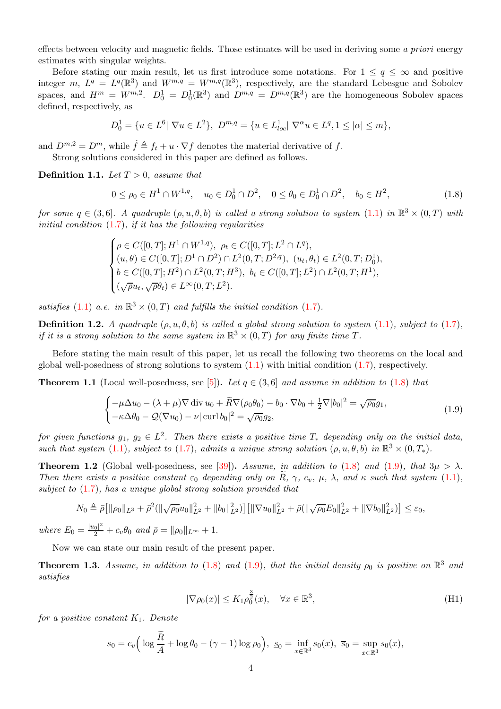effects between velocity and magnetic fields. Those estimates will be used in deriving some a priori energy estimates with singular weights.

Before stating our main result, let us first introduce some notations. For  $1 \le q \le \infty$  and positive integer m,  $L^q = L^q(\mathbb{R}^3)$  and  $W^{m,q} = W^{m,q}(\mathbb{R}^3)$ , respectively, are the standard Lebesgue and Sobolev spaces, and  $H^m = W^{m,2}$ .  $D_0^1 = D_0^1(\mathbb{R}^3)$  and  $D^{m,q} = D^{m,q}(\mathbb{R}^3)$  are the homogeneous Sobolev spaces defined, respectively, as

$$
D_0^1 = \{ u \in L^6 | \nabla u \in L^2 \}, \ D^{m,q} = \{ u \in L^1_{loc} | \nabla^{\alpha} u \in L^q, 1 \leq |\alpha| \leq m \},\
$$

and  $D^{m,2} = D^m$ , while  $\dot{f} \triangleq f_t + u \cdot \nabla f$  denotes the material derivative of f.

Strong solutions considered in this paper are defined as follows.

**Definition 1.1.** Let  $T > 0$ , assume that

<span id="page-3-0"></span>
$$
0 \le \rho_0 \in H^1 \cap W^{1,q}, \quad u_0 \in D_0^1 \cap D^2, \quad 0 \le \theta_0 \in D_0^1 \cap D^2, \quad b_0 \in H^2,\tag{1.8}
$$

for some  $q \in (3,6]$ . A quadruple  $(\rho, u, \theta, b)$  is called a strong solution to system  $(1.1)$  in  $\mathbb{R}^3 \times (0,T)$  with initial condition  $(1.7)$ , if it has the following regularities

$$
\begin{cases}\n\rho \in C([0,T];H^1\cap W^{1,q}), \ \rho_t \in C([0,T];L^2\cap L^q), \\
(u,\theta) \in C([0,T];D^1\cap D^2)\cap L^2(0,T;D^{2,q}), \ (u_t,\theta_t) \in L^2(0,T;D_0^1), \\
b \in C([0,T];H^2)\cap L^2(0,T;H^3), \ b_t \in C([0,T];L^2)\cap L^2(0,T;H^1), \\
(\sqrt{\rho}u_t,\sqrt{\rho}\theta_t) \in L^\infty(0,T;L^2).\n\end{cases}
$$

satisfies [\(1.1\)](#page-0-0) a.e. in  $\mathbb{R}^3 \times (0,T)$  and fulfills the initial condition [\(1.7\)](#page-2-0).

**Definition 1.2.** A quadruple  $(\rho, u, \theta, b)$  is called a global strong solution to system  $(1.1)$ , subject to  $(1.7)$ , if it is a strong solution to the same system in  $\mathbb{R}^3 \times (0,T)$  for any finite time T.

Before stating the main result of this paper, let us recall the following two theorems on the local and global well-posedness of strong solutions to system  $(1.1)$  with initial condition  $(1.7)$ , respectively.

<span id="page-3-3"></span>**Theorem 1.1** (Local well-posedness, see [\[5\]](#page-30-17)). Let  $q \in (3, 6]$  and assume in addition to [\(1.8\)](#page-3-0) that

$$
\begin{cases}\n-\mu \Delta u_0 - (\lambda + \mu) \nabla \operatorname{div} u_0 + \widetilde{R} \nabla (\rho_0 \theta_0) - b_0 \cdot \nabla b_0 + \frac{1}{2} \nabla |b_0|^2 = \sqrt{\rho_0} g_1, \\
-\kappa \Delta \theta_0 - \mathcal{Q}(\nabla u_0) - \nu |\operatorname{curl} b_0|^2 = \sqrt{\rho_0} g_2,\n\end{cases}
$$
\n(1.9)

for given functions  $g_1, g_2 \in L^2$ . Then there exists a positive time  $T_*$  depending only on the initial data, such that system [\(1.1\)](#page-0-0), subject to [\(1.7\)](#page-2-0), admits a unique strong solution  $(\rho, u, \theta, b)$  in  $\mathbb{R}^3 \times (0, T_*)$ .

<span id="page-3-4"></span>**Theorem 1.2** (Global well-posedness, see [\[39\]](#page-31-13)). Assume, in addition to [\(1.8\)](#page-3-0) and [\(1.9\)](#page-3-1), that  $3\mu > \lambda$ . Then there exists a positive constant  $\varepsilon_0$  depending only on  $\tilde{R}$ ,  $\gamma$ ,  $c_v$ ,  $\mu$ ,  $\lambda$ , and  $\kappa$  such that system [\(1.1\)](#page-0-0), subject to  $(1.7)$ , has a unique global strong solution provided that

$$
N_0 \triangleq \bar{\rho} \big[ \|\rho_0\|_{L^3} + \bar{\rho}^2 (\|\sqrt{\rho_0}u_0\|_{L^2}^2 + \|b_0\|_{L^2}^2) \big] \big[ \|\nabla u_0\|_{L^2}^2 + \bar{\rho} (\|\sqrt{\rho_0}E_0\|_{L^2}^2 + \|\nabla b_0\|_{L^2}^2) \big] \leq \varepsilon_0,
$$

where  $E_0 = \frac{|u_0|^2}{2} + c_v \theta_0$  and  $\bar{\rho} = ||\rho_0||_{L^{\infty}} + 1$ .

Now we can state our main result of the present paper.

<span id="page-3-5"></span>**Theorem 1.3.** Assume, in addition to [\(1.8\)](#page-3-0) and [\(1.9\)](#page-3-1), that the initial density  $\rho_0$  is positive on  $\mathbb{R}^3$  and satisfies

<span id="page-3-2"></span><span id="page-3-1"></span>
$$
|\nabla \rho_0(x)| \le K_1 \rho_0^{\frac{3}{2}}(x), \quad \forall x \in \mathbb{R}^3,
$$
\n(H1)

for a positive constant  $K_1$ . Denote

$$
s_0 = c_v \Big( \log \frac{R}{A} + \log \theta_0 - (\gamma - 1) \log \rho_0 \Big), \ s_0 = \inf_{x \in \mathbb{R}^3} s_0(x), \ \overline{s}_0 = \sup_{x \in \mathbb{R}^3} s_0(x),
$$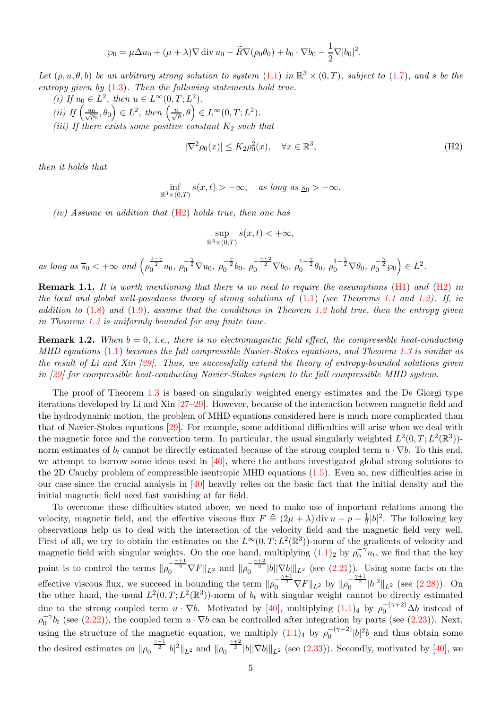$$
\wp_0 = \mu \Delta u_0 + (\mu + \lambda) \nabla \operatorname{div} u_0 - \widetilde{R} \nabla (\rho_0 \theta_0) + b_0 \cdot \nabla b_0 - \frac{1}{2} \nabla |b_0|^2.
$$

Let  $(\rho, u, \theta, b)$  be an arbitrary strong solution to system  $(1.1)$  in  $\mathbb{R}^3 \times (0,T)$ , subject to  $(1.7)$ , and s be the entropy given by [\(1.3\)](#page-1-3). Then the following statements hold true.

(i) If  $u_0 \in L^2$ , then  $u \in L^{\infty}(0, T; L^2)$ . (ii) If  $\left(\frac{u_0}{\sqrt{\rho_0}}, \theta_0\right) \in L^2$ , then  $\left(\frac{u}{\sqrt{\rho}}, \theta\right) \in L^\infty(0, T; L^2)$ . (iii) If there exists some positive constant  $K_2$  such that

$$
|\nabla^2 \rho_0(x)| \le K_2 \rho_0^2(x), \quad \forall x \in \mathbb{R}^3,
$$
\n(H2)

then it holds that

$$
\inf_{\mathbb{R}^3 \times (0,T)} s(x,t) > -\infty, \quad \text{as long as } \underline{s}_0 > -\infty.
$$

(iv) Assume in addition that  $(H2)$  holds true, then one has

<span id="page-4-0"></span>
$$
\sup_{\mathbb{R}^3 \times (0,T)} s(x,t) < +\infty,
$$

as long as  $\overline{s}_0 < +\infty$  and  $(\rho)$  $\frac{1-\gamma}{2}u_0, \ \rho_0^{-\frac{\gamma}{2}}\nabla u_0, \ \rho_0^{-\frac{\gamma}{2}}b_0, \ \rho_0^{-\frac{\gamma+2}{2}}\nabla b_0, \ \rho_0^{1-\frac{\gamma}{2}}\theta_0, \ \rho_0^{-1-\frac{\gamma}{2}}\nabla \theta_0, \ \rho_0^{-\frac{\gamma}{2}}\varphi_0\Big) \in L^2.$ 

**Remark 1.1.** It is worth mentioning that there is no need to require the assumptions [\(H1\)](#page-3-2) and [\(H2\)](#page-4-0) in the local and global well-posedness theory of strong solutions of  $(1.1)$  (see Theorems [1.1](#page-3-3) and [1.2\)](#page-3-4). If, in addition to  $(1.8)$  and  $(1.9)$ , assume that the conditions in Theorem [1.2](#page-3-4) hold true, then the entropy given in Theorem [1.3](#page-3-5) is uniformly bounded for any finite time.

**Remark 1.2.** When  $b = 0$ , i.e., there is no electromagnetic field effect, the compressible heat-conducting MHD equations [\(1.1\)](#page-0-0) becomes the full compressible Navier-Stokes equations, and Theorem [1.3](#page-3-5) is similar as the result of Li and Xin  $[29]$ . Thus, we successfully extend the theory of entropy-bounded solutions given in [\[29\]](#page-31-10) for compressible heat-conducting Navier-Stokes system to the full compressible MHD system.

The proof of Theorem [1.3](#page-3-5) is based on singularly weighted energy estimates and the De Giorgi type iterations developed by Li and Xin [\[27](#page-31-17)[–29\]](#page-31-10). However, because of the interaction between magnetic field and the hydrodynamic motion, the problem of MHD equations considered here is much more complicated than that of Navier-Stokes equations [\[29\]](#page-31-10). For example, some additional difficulties will arise when we deal with the magnetic force and the convection term. In particular, the usual singularly weighted  $L^2(0,T;L^2(\mathbb{R}^3))$ norm estimates of  $b_t$  cannot be directly estimated because of the strong coupled term  $u \cdot \nabla b$ . To this end, we attempt to borrow some ideas used in [\[40\]](#page-31-3), where the authors investigated global strong solutions to the 2D Cauchy problem of compressible isentropic MHD equations [\(1.5\)](#page-1-0). Even so, new difficulties arise in our case since the crucial analysis in [\[40\]](#page-31-3) heavily relies on the basic fact that the initial density and the initial magnetic field need fast vanishing at far field.

To overcome these difficulties stated above, we need to make use of important relations among the velocity, magnetic field, and the effective viscous flux  $F \triangleq (2\mu + \lambda) \text{div } u - p - \frac{1}{2}$  $\frac{1}{2}|b|^2$ . The following key observations help us to deal with the interaction of the velocity field and the magnetic field very well. First of all, we try to obtain the estimates on the  $L^{\infty}(0,T;L^2(\mathbb{R}^3))$ -norm of the gradients of velocity and magnetic field with singular weights. On the one hand, multiplying  $(1.1)_2$  by  $\rho_0^{-\gamma}u_t$ , we find that the key point is to control the terms  $\|\rho_0^{-\frac{\gamma+1}{2}}\nabla F\|_{L^2}$  and  $\|\rho_0^{-\frac{\gamma+2}{2}}|b||\nabla b|\|_{L^2}$  (see [\(2.21\)](#page-11-0)). Using some facts on the effective viscous flux, we succeed in bounding the term  $\|\rho_0^{-\frac{\gamma+1}{2}}\nabla F\|_{L^2}$  by  $\|\rho_0^{-\frac{\gamma+1}{2}}|b|^2\|_{L^2}$  (see [\(2.28\)](#page-13-0)). On the other hand, the usual  $L^2(0,T;L^2(\mathbb{R}^3))$ -norm of  $b_t$  with singular weight cannot be directly estimated due to the strong coupled term  $u \cdot \nabla b$ . Motivated by [\[40\]](#page-31-3), multiplying  $(1.1)_4$  by  $\rho_0^{-(\gamma+2)}\Delta b$  instead of  $\rho_0^{-\gamma}b_t$  (see [\(2.22\)](#page-12-0)), the coupled term  $u \cdot \nabla b$  can be controlled after integration by parts (see [\(2.23\)](#page-12-1)). Next, using the structure of the magnetic equation, we multiply  $(1.1)_4$  by  $\rho_0^{-(\gamma+2)}|b|^2b$  and thus obtain some the desired estimates on  $\|\rho_0^{-\frac{\gamma+1}{2}}|b|^2\|_{L^2}$  and  $\|\rho_0^{-\frac{\gamma+2}{2}}|b||\nabla b|\|_{L^2}$  (see [\(2.33\)](#page-14-0)). Secondly, motivated by [\[40\]](#page-31-3), we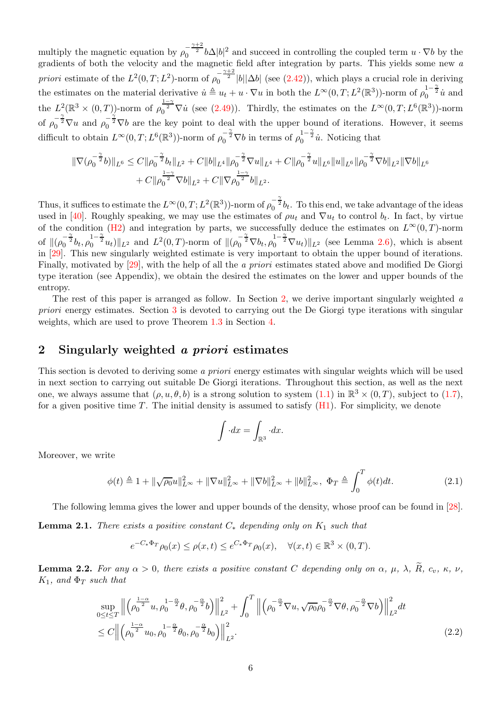multiply the magnetic equation by  $\rho_0^{-\frac{\gamma+2}{2}}b\Delta|b|^2$  and succeed in controlling the coupled term  $u \cdot \nabla b$  by the gradients of both the velocity and the magnetic field after integration by parts. This yields some new a priori estimate of the  $L^2(0,T;L^2)$ -norm of  $\rho_0^{-\frac{\gamma+2}{2}}|b||\Delta b|$  (see [\(2.42\)](#page-17-0)), which plays a crucial role in deriving the estimates on the material derivative  $\dot{u} \triangleq u_t + u \cdot \nabla u$  in both the  $L^{\infty}(0,T; L^2(\mathbb{R}^3))$ -norm of  $\rho_0^{1-\frac{\gamma}{2}}\dot{u}$  and the  $L^2(\mathbb{R}^3 \times (0,T))$ -norm of  $\rho_0^{\frac{1-\gamma}{2}} \nabla \dot{u}$  (see [\(2.49\)](#page-19-0)). Thirdly, the estimates on the  $L^{\infty}(0,T;L^6(\mathbb{R}^3))$ -norm of  $\rho_0^{-\frac{\gamma}{2}}\nabla u$  and  $\rho_0^{-\frac{\gamma}{2}}\nabla b$  are the key point to deal with the upper bound of iterations. However, it seems difficult to obtain  $L^{\infty}(0,T; L^{6}(\mathbb{R}^{3}))$ -norm of  $\rho_0^{-\frac{\gamma}{2}}\nabla b$  in terms of  $\rho_0^{1-\frac{\gamma}{2}}\dot{u}$ . Noticing that

$$
\begin{split} \|\nabla (\rho_0^{-\frac{\gamma}{2}}b)\|_{L^6}\leq C\|\rho_0^{-\frac{\gamma}{2}}b_t\|_{L^2}+C\|b\|_{L^4}\|\rho_0^{-\frac{\gamma}{2}}\nabla u\|_{L^4}+C\|\rho_0^{-\frac{\gamma}{2}}u\|_{L^6}\|u\|_{L^6}\|\rho_0^{-\frac{\gamma}{2}}\nabla b\|_{L^2}\|\nabla b\|_{L^6}\\ +C\|\rho_0^{\frac{1-\gamma}{2}}\nabla b\|_{L^2}+C\|\nabla \rho_0^{\frac{1-\gamma}{2}}b\|_{L^2}. \end{split}
$$

Thus, it suffices to estimate the  $L^{\infty}(0,T; L^2(\mathbb{R}^3))$ -norm of  $\rho_0^{-\frac{\gamma}{2}}b_t$ . To this end, we take advantage of the ideas used in [\[40\]](#page-31-3). Roughly speaking, we may use the estimates of  $\rho u_t$  and  $\nabla u_t$  to control  $b_t$ . In fact, by virtue of the condition [\(H2\)](#page-4-0) and integration by parts, we successfully deduce the estimates on  $L^{\infty}(0,T)$ -norm of  $\|(\rho_0^{-\frac{\gamma}{2}}b_t, \rho_0^{1-\frac{\gamma}{2}}u_t)\|_{L^2}$  and  $L^2(0,T)$ -norm of  $\|(\rho_0^{-\frac{\gamma}{2}}\nabla b_t, \rho_0^{1-\frac{\gamma}{2}}\nabla u_t)\|_{L^2}$  (see Lemma [2.6\)](#page-19-1), which is absent in [\[29\]](#page-31-10). This new singularly weighted estimate is very important to obtain the upper bound of iterations. Finally, motivated by [\[29\]](#page-31-10), with the help of all the *a priori* estimates stated above and modified De Giorgi type iteration (see Appendix), we obtain the desired the estimates on the lower and upper bounds of the entropy.

The rest of this paper is arranged as follow. In Section [2,](#page-5-0) we derive important singularly weighted  $\alpha$ priori energy estimates. Section [3](#page-25-0) is devoted to carrying out the De Giorgi type iterations with singular weights, which are used to prove Theorem [1.3](#page-3-5) in Section [4.](#page-29-2)

#### <span id="page-5-0"></span>2 Singularly weighted a priori estimates

This section is devoted to deriving some a priori energy estimates with singular weights which will be used in next section to carrying out suitable De Giorgi iterations. Throughout this section, as well as the next one, we always assume that  $(\rho, u, \theta, b)$  is a strong solution to system  $(1.1)$  in  $\mathbb{R}^3 \times (0, T)$ , subject to  $(1.7)$ , for a given positive time T. The initial density is assumed to satisfy  $(H_1)$ . For simplicity, we denote

<span id="page-5-4"></span><span id="page-5-2"></span>
$$
\int \cdot dx = \int_{\mathbb{R}^3} \cdot dx.
$$

Moreover, we write

$$
\phi(t) \triangleq 1 + \|\sqrt{\rho_0}u\|_{L^{\infty}}^2 + \|\nabla u\|_{L^{\infty}}^2 + \|\nabla b\|_{L^{\infty}}^2 + \|b\|_{L^{\infty}}^2, \ \Phi_T \triangleq \int_0^T \phi(t)dt. \tag{2.1}
$$

The following lemma gives the lower and upper bounds of the density, whose proof can be found in [\[28\]](#page-31-18).

<span id="page-5-1"></span>**Lemma 2.1.** There exists a positive constant  $C_*$  depending only on  $K_1$  such that

$$
e^{-C_*\Phi_T}\rho_0(x) \le \rho(x,t) \le e^{C_*\Phi_T}\rho_0(x), \quad \forall (x,t) \in \mathbb{R}^3 \times (0,T).
$$

<span id="page-5-3"></span>**Lemma 2.2.** For any  $\alpha > 0$ , there exists a positive constant C depending only on  $\alpha$ ,  $\mu$ ,  $\lambda$ ,  $\widetilde{R}$ ,  $c_v$ ,  $\kappa$ ,  $\nu$ ,  $K_1$ , and  $\Phi_T$  such that

$$
\sup_{0 \le t \le T} \left\| \left( \rho_0^{\frac{1-\alpha}{2}} u, \rho_0^{1-\frac{\alpha}{2}} \theta, \rho_0^{-\frac{\alpha}{2}} b \right) \right\|_{L^2}^2 + \int_0^T \left\| \left( \rho_0^{-\frac{\alpha}{2}} \nabla u, \sqrt{\rho_0} \rho_0^{-\frac{\alpha}{2}} \nabla \theta, \rho_0^{-\frac{\alpha}{2}} \nabla b \right) \right\|_{L^2}^2 dt
$$
\n
$$
\le C \left\| \left( \rho_0^{\frac{1-\alpha}{2}} u_0, \rho_0^{-1-\frac{\alpha}{2}} \theta_0, \rho_0^{-\frac{\alpha}{2}} b_0 \right) \right\|_{L^2}^2. \tag{2.2}
$$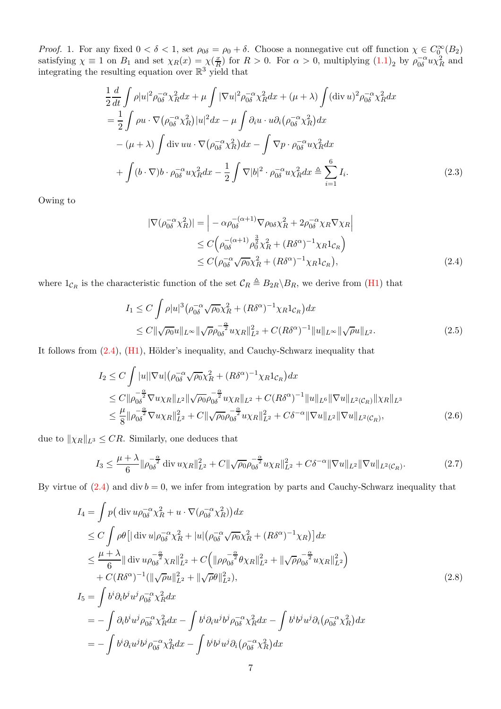*Proof.* 1. For any fixed  $0 < \delta < 1$ , set  $\rho_{0\delta} = \rho_0 + \delta$ . Choose a nonnegative cut off function  $\chi \in C_0^{\infty}(B_2)$ satisfying  $\chi \equiv 1$  on  $B_1$  and set  $\chi_R(x) = \chi(\frac{x}{R})$  $(\frac{x}{R})$  for  $R > 0$ . For  $\alpha > 0$ , multiplying  $(1.1)_2$  by  $\rho_{0\delta}^{-\alpha} u \chi_R^2$  and integrating the resulting equation over  $\mathbb{R}^3$  yield that

$$
\frac{1}{2}\frac{d}{dt}\int \rho |u|^2 \rho_{0\delta}^{-\alpha}\chi_R^2 dx + \mu \int |\nabla u|^2 \rho_{0\delta}^{-\alpha}\chi_R^2 dx + (\mu + \lambda) \int (\text{div } u)^2 \rho_{0\delta}^{-\alpha}\chi_R^2 dx \n= \frac{1}{2}\int \rho u \cdot \nabla (\rho_{0\delta}^{-\alpha}\chi_R^2)|u|^2 dx - \mu \int \partial_i u \cdot u \partial_i (\rho_{0\delta}^{-\alpha}\chi_R^2) dx \n- (\mu + \lambda) \int \text{div } uu \cdot \nabla (\rho_{0\delta}^{-\alpha}\chi_R^2) dx - \int \nabla p \cdot \rho_{0\delta}^{-\alpha}u \chi_R^2 dx \n+ \int (b \cdot \nabla) b \cdot \rho_{0\delta}^{-\alpha}u \chi_R^2 dx - \frac{1}{2} \int \nabla |b|^2 \cdot \rho_{0\delta}^{-\alpha}u \chi_R^2 dx \triangleq \sum_{i=1}^6 I_i.
$$
\n(2.3)

Owing to

<span id="page-6-2"></span><span id="page-6-1"></span><span id="page-6-0"></span>
$$
|\nabla(\rho_{0\delta}^{-\alpha}\chi_R^2)| = \left| -\alpha\rho_{0\delta}^{-(\alpha+1)}\nabla\rho_{0\delta}\chi_R^2 + 2\rho_{0\delta}^{-\alpha}\chi_R\nabla\chi_R \right|
$$
  
\n
$$
\leq C\left(\rho_{0\delta}^{-(\alpha+1)}\rho_0^{\frac{3}{2}}\chi_R^2 + (R\delta^{\alpha})^{-1}\chi_R 1_{\mathcal{C}_R}\right)
$$
  
\n
$$
\leq C\left(\rho_{0\delta}^{-\alpha}\sqrt{\rho_0}\chi_R^2 + (R\delta^{\alpha})^{-1}\chi_R 1_{\mathcal{C}_R}\right),
$$
\n(2.4)

where  $1_{\mathcal{C}_R}$  is the characteristic function of the set  $\mathcal{C}_R \triangleq B_{2R} \backslash B_R$ , we derive from [\(H1\)](#page-3-2) that

$$
I_1 \leq C \int \rho |u|^3 \left( \rho_0^{-\alpha} \sqrt{\rho_0} \chi_R^2 + (R \delta^{\alpha})^{-1} \chi_R 1_{\mathcal{C}_R} \right) dx
$$
  
 
$$
\leq C \|\sqrt{\rho_0} u\|_{L^{\infty}} \|\sqrt{\rho} \rho_0^{-\frac{\alpha}{2}} u \chi_R\|_{L^2}^2 + C (R \delta^{\alpha})^{-1} \|u\|_{L^{\infty}} \|\sqrt{\rho} u\|_{L^2}.
$$
 (2.5)

It follows from  $(2.4)$ ,  $(H1)$ , Hölder's inequality, and Cauchy-Schwarz inequality that

$$
I_2 \leq C \int |u||\nabla u| \left(\rho_{0\delta}^{-\alpha} \sqrt{\rho_0} \chi_R^2 + (R\delta^{\alpha})^{-1} \chi_R 1_{\mathcal{C}_R}\right) dx
$$
  
\n
$$
\leq C \|\rho_{0\delta}^{-\frac{\alpha}{2}} \nabla u \chi_R\|_{L^2} \|\sqrt{\rho_0} \rho_{0\delta}^{-\frac{\alpha}{2}} u \chi_R\|_{L^2} + C(R\delta^{\alpha})^{-1} \|u\|_{L^6} \|\nabla u\|_{L^2(\mathcal{C}_R)} \|\chi_R\|_{L^3}
$$
  
\n
$$
\leq \frac{\mu}{8} \|\rho_{0\delta}^{-\frac{\alpha}{2}} \nabla u \chi_R\|_{L^2}^2 + C \|\sqrt{\rho_0} \rho_{0\delta}^{-\frac{\alpha}{2}} u \chi_R\|_{L^2}^2 + C\delta^{-\alpha} \|\nabla u\|_{L^2} \|\nabla u\|_{L^2(\mathcal{C}_R)},
$$
\n(2.6)

due to  $\|\chi_R\|_{L^3} \leq CR$ . Similarly, one deduces that

$$
I_3 \le \frac{\mu + \lambda}{6} \|\rho_{0\delta}^{-\frac{\alpha}{2}} \operatorname{div} u \chi_R\|_{L^2}^2 + C \|\sqrt{\rho_0} \rho_{0\delta}^{-\frac{\alpha}{2}} u \chi_R\|_{L^2}^2 + C\delta^{-\alpha} \|\nabla u\|_{L^2} \|\nabla u\|_{L^2(\mathcal{C}_R)}.
$$
 (2.7)

By virtue of  $(2.4)$  and div  $b = 0$ , we infer from integration by parts and Cauchy-Schwarz inequality that

$$
I_{4} = \int p(\text{div }u\rho_{0\delta}^{-\alpha}\chi_{R}^{2} + u \cdot \nabla(\rho_{0\delta}^{-\alpha}\chi_{R}^{2}))dx
$$
  
\n
$$
\leq C \int \rho\theta [|\text{div }u|\rho_{0\delta}^{-\alpha}\chi_{R}^{2} + |u|(\rho_{0\delta}^{-\alpha}\sqrt{\rho_{0}}\chi_{R}^{2} + (R\delta^{\alpha})^{-1}\chi_{R})]dx
$$
  
\n
$$
\leq \frac{\mu + \lambda}{6} ||\text{div }u\rho_{0\delta}^{-\frac{\alpha}{2}}\chi_{R}||_{L^{2}}^{2} + C (||\rho\rho_{0\delta}^{-\frac{\alpha}{2}}\theta\chi_{R}||_{L^{2}}^{2} + ||\sqrt{\rho}\rho_{0\delta}^{-\frac{\alpha}{2}}u\chi_{R}||_{L^{2}}^{2})
$$
  
\n
$$
+ C(R\delta^{\alpha})^{-1}(||\sqrt{\rho}u||_{L^{2}}^{2} + ||\sqrt{\rho}\theta||_{L^{2}}^{2}),
$$
  
\n
$$
I_{5} = \int b^{i}\partial_{i}b^{j}u^{j}\rho_{0\delta}^{-\alpha}\chi_{R}^{2}dx
$$
  
\n
$$
= -\int \partial_{i}b^{i}u^{j}\rho_{0\delta}^{-\alpha}\chi_{R}^{2}dx - \int b^{i}\partial_{i}u^{j}b^{j}\rho_{0\delta}^{-\alpha}\chi_{R}^{2}dx - \int b^{i}b^{j}u^{j}\partial_{i}(\rho_{0\delta}^{-\alpha}\chi_{R}^{2})dx
$$
  
\n
$$
= -\int b^{i}\partial_{i}u^{j}b^{j}\rho_{0\delta}^{-\alpha}\chi_{R}^{2}dx - \int b^{i}b^{j}u^{j}\partial_{i}(\rho_{0\delta}^{-\alpha}\chi_{R}^{2})dx
$$
  
\n(2.8)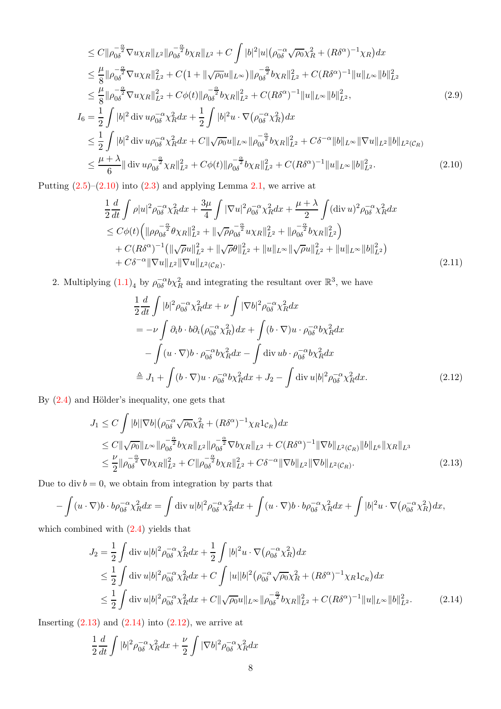$$
\leq C \|\rho_{0\delta}^{-\frac{\alpha}{2}} \nabla u \chi_R\|_{L^2} \|\rho_{0\delta}^{-\frac{\alpha}{2}} b \chi_R\|_{L^2} + C \int |b|^2 |u| \left(\rho_{0\delta}^{-\alpha} \sqrt{\rho_0} \chi_R^2 + (R\delta^{\alpha})^{-1} \chi_R\right) dx
$$
  
\n
$$
\leq \frac{\mu}{8} \|\rho_{0\delta}^{-\frac{\alpha}{2}} \nabla u \chi_R\|_{L^2}^2 + C \left(1 + \|\sqrt{\rho_0} u\|_{L^\infty}\right) \|\rho_{0\delta}^{-\frac{\alpha}{2}} b \chi_R\|_{L^2}^2 + C (R\delta^{\alpha})^{-1} \|u\|_{L^\infty} \|b\|_{L^2}^2
$$
  
\n
$$
\leq \frac{\mu}{8} \|\rho_{0\delta}^{-\frac{\alpha}{2}} \nabla u \chi_R\|_{L^2}^2 + C \phi(t) \|\rho_{0\delta}^{-\frac{\alpha}{2}} b \chi_R\|_{L^2}^2 + C (R\delta^{\alpha})^{-1} \|u\|_{L^\infty} \|b\|_{L^2}^2,
$$
  
\n
$$
I_6 = \frac{1}{2} \int |b|^2 \operatorname{div} u \rho_{0\delta}^{-\alpha} \chi_R^2 dx + \frac{1}{2} \int |b|^2 u \cdot \nabla (\rho_{0\delta}^{-\alpha} \chi_R^2) dx
$$
  
\n
$$
\leq \frac{1}{2} \int |b|^2 \operatorname{div} u \rho_{0\delta}^{-\alpha} \chi_R^2 dx + C \|\sqrt{\rho_0} u\|_{L^\infty} \|\rho_{0\delta}^{-\frac{\alpha}{2}} b \chi_R\|_{L^2}^2 + C \delta^{-\alpha} \|b\|_{L^\infty} \|\nabla u\|_{L^2} \|b\|_{L^2(C_R)}
$$
  
\n
$$
\leq \frac{\mu + \lambda}{6} \|\operatorname{div} u \rho_{0\delta}^{-\frac{\alpha}{2}} \chi_R\|_{L^2}^2 + C \phi(t) \|\rho_{0\delta}^{-\frac{\alpha}{2}} b \chi_R\|_{L^2}^2 + C (R\delta^{\alpha})^{-1} \|u\|_{L^\infty} \|b\|_{L^2}^2.
$$
  
\n(2.10)

Putting  $(2.5)$ – $(2.10)$  into  $(2.3)$  and applying Lemma [2.1,](#page-5-1) we arrive at

<span id="page-7-0"></span>
$$
\frac{1}{2}\frac{d}{dt}\int \rho|u|^2\rho_{0\delta}^{-\alpha}\chi_R^2 dx + \frac{3\mu}{4}\int |\nabla u|^2\rho_{0\delta}^{-\alpha}\chi_R^2 dx + \frac{\mu+\lambda}{2}\int (\text{div}\,u)^2\rho_{0\delta}^{-\alpha}\chi_R^2 dx \n\leq C\phi(t)\Big(\|\rho\rho_{0\delta}^{-\frac{\alpha}{2}}\theta\chi_R\|_{L^2}^2 + \|\sqrt{\rho}\rho_{0\delta}^{-\frac{\alpha}{2}}u\chi_R\|_{L^2}^2 + \|\rho_{0\delta}^{-\frac{\alpha}{2}}b\chi_R\|_{L^2}^2) \n+ C(R\delta^{\alpha})^{-1}\big(\|\sqrt{\rho}u\|_{L^2}^2 + \|\sqrt{\rho}\theta\|_{L^2}^2 + \|u\|_{L^{\infty}}\|\sqrt{\rho}u\|_{L^2}^2 + \|u\|_{L^{\infty}}\|b\|_{L^2}^2) \n+ C\delta^{-\alpha}\|\nabla u\|_{L^2}\|\nabla u\|_{L^2(\mathcal{C}_R)}.
$$
\n(2.11)

2. Multiplying  $(1.1)<sub>4</sub>$  by  $\rho_{0\delta}^{-\alpha}b\chi_R^2$  and integrating the resultant over  $\mathbb{R}^3$ , we have

<span id="page-7-4"></span><span id="page-7-3"></span><span id="page-7-1"></span>
$$
\frac{1}{2}\frac{d}{dt}\int |b|^2 \rho_{0\delta}^{-\alpha}\chi_R^2 dx + \nu \int |\nabla b|^2 \rho_{0\delta}^{-\alpha}\chi_R^2 dx
$$
  
\n
$$
= -\nu \int \partial_i b \cdot b \partial_i (\rho_{0\delta}^{-\alpha}\chi_R^2) dx + \int (b \cdot \nabla) u \cdot \rho_{0\delta}^{-\alpha} b \chi_R^2 dx
$$
  
\n
$$
- \int (u \cdot \nabla) b \cdot \rho_{0\delta}^{-\alpha} b \chi_R^2 dx - \int \text{div } u b \cdot \rho_{0\delta}^{-\alpha} b \chi_R^2 dx
$$
  
\n
$$
\stackrel{\Delta}{=} J_1 + \int (b \cdot \nabla) u \cdot \rho_{0\delta}^{-\alpha} b \chi_R^2 dx + J_2 - \int \text{div } u |b|^2 \rho_{0\delta}^{-\alpha} \chi_R^2 dx. \tag{2.12}
$$

By  $(2.4)$  and Hölder's inequality, one gets that

$$
J_{1} \leq C \int |b||\nabla b| \left( \rho_{0\delta}^{-\alpha} \sqrt{\rho_{0}} \chi_{R}^{2} + (R\delta^{\alpha})^{-1} \chi_{R} 1_{\mathcal{C}_{R}} \right) dx
$$
  
\n
$$
\leq C \|\sqrt{\rho_{0}}\|_{L^{\infty}} \|\rho_{0\delta}^{-\frac{\alpha}{2}} b \chi_{R}\|_{L^{2}} \|\rho_{0\delta}^{-\frac{\alpha}{2}} \nabla b \chi_{R}\|_{L^{2}} + C (R\delta^{\alpha})^{-1} \|\nabla b\|_{L^{2}(\mathcal{C}_{R})} \|b\|_{L^{6}} \|\chi_{R}\|_{L^{3}}
$$
  
\n
$$
\leq \frac{\nu}{2} \|\rho_{0\delta}^{-\frac{\alpha}{2}} \nabla b \chi_{R}\|_{L^{2}}^{2} + C \|\rho_{0\delta}^{-\frac{\alpha}{2}} b \chi_{R}\|_{L^{2}}^{2} + C \delta^{-\alpha} \|\nabla b\|_{L^{2}} \|\nabla b\|_{L^{2}(\mathcal{C}_{R})}. \tag{2.13}
$$

Due to div  $b = 0$ , we obtain from integration by parts that

$$
-\int (u\cdot\nabla)b\cdot b\rho_{0\delta}^{-\alpha}\chi_R^2dx = \int \operatorname{div}u|b|^2\rho_{0\delta}^{-\alpha}\chi_R^2dx + \int (u\cdot\nabla)b\cdot b\rho_{0\delta}^{-\alpha}\chi_R^2dx + \int |b|^2u\cdot\nabla(\rho_{0\delta}^{-\alpha}\chi_R^2)dx,
$$

which combined with [\(2.4\)](#page-6-0) yields that

$$
J_2 = \frac{1}{2} \int \operatorname{div} u |b|^2 \rho_{0\delta}^{-\alpha} \chi_R^2 dx + \frac{1}{2} \int |b|^2 u \cdot \nabla (\rho_{0\delta}^{-\alpha} \chi_R^2) dx
$$
  
\n
$$
\leq \frac{1}{2} \int \operatorname{div} u |b|^2 \rho_{0\delta}^{-\alpha} \chi_R^2 dx + C \int |u| |b|^2 (\rho_{0\delta}^{-\alpha} \sqrt{\rho_0} \chi_R^2 + (R\delta^{\alpha})^{-1} \chi_R 1_{C_R}) dx
$$
  
\n
$$
\leq \frac{1}{2} \int \operatorname{div} u |b|^2 \rho_{0\delta}^{-\alpha} \chi_R^2 dx + C \| \sqrt{\rho_0} u \|_{L^{\infty}} \| \rho_{0\delta}^{-\alpha} b \chi_R \|_{L^2}^2 + C (R\delta^{\alpha})^{-1} \| u \|_{L^{\infty}} \| b \|_{L^2}^2. \tag{2.14}
$$

Inserting  $(2.13)$  and  $(2.14)$  into  $(2.12)$ , we arrive at

<span id="page-7-2"></span>
$$
\frac{1}{2}\frac{d}{dt}\int |b|^2 \rho_{0\delta}^{-\alpha}\chi_R^2 dx + \frac{\nu}{2}\int |\nabla b|^2 \rho_{0\delta}^{-\alpha}\chi_R^2 dx
$$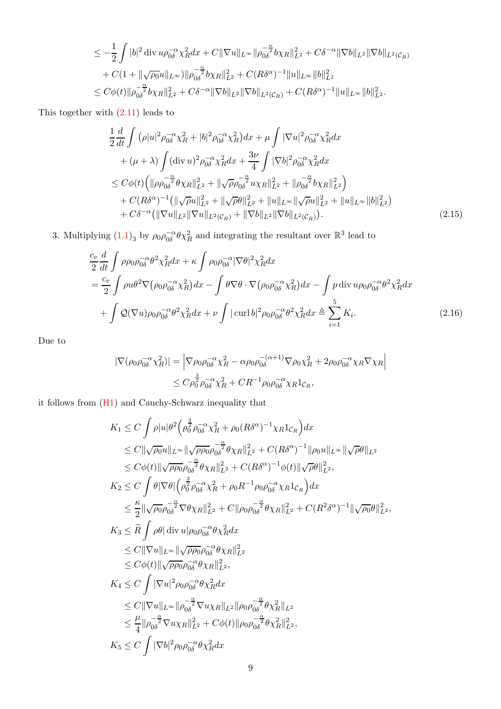$$
\leq -\frac{1}{2} \int |b|^2 \operatorname{div} u \rho_{0\delta}^{-\alpha} \chi_R^2 dx + C \|\nabla u\|_{L^\infty} \|\rho_{0\delta}^{-\alpha} b \chi_R\|_{L^2}^2 + C\delta^{-\alpha} \|\nabla b\|_{L^2} \|\nabla b\|_{L^2(C_R)} + C(1 + \|\sqrt{\rho_0}u\|_{L^\infty}) \|\rho_{0\delta}^{-\frac{\alpha}{2}} b \chi_R\|_{L^2}^2 + C(R\delta^{\alpha})^{-1} \|u\|_{L^\infty} \|b\|_{L^2}^2 \leq C\phi(t) \|\rho_{0\delta}^{-\frac{\alpha}{2}} b \chi_R\|_{L^2}^2 + C\delta^{-\alpha} \|\nabla b\|_{L^2} \|\nabla b\|_{L^2(C_R)} + C(R\delta^{\alpha})^{-1} \|u\|_{L^\infty} \|b\|_{L^2}^2.
$$

This together with [\(2.11\)](#page-7-4) leads to

<span id="page-8-1"></span>
$$
\frac{1}{2} \frac{d}{dt} \int (\rho |u|^2 \rho_{0\delta}^{-\alpha} \chi_R^2 + |b|^2 \rho_{0\delta}^{-\alpha} \chi_R^2) dx + \mu \int |\nabla u|^2 \rho_{0\delta}^{-\alpha} \chi_R^2 dx \n+ (\mu + \lambda) \int (\text{div } u)^2 \rho_{0\delta}^{-\alpha} \chi_R^2 dx + \frac{3\nu}{4} \int |\nabla b|^2 \rho_{0\delta}^{-\alpha} \chi_R^2 dx \n\leq C\phi(t) \Big( \| \rho \rho_{0\delta}^{-\alpha} \theta \chi_R \|_{L^2}^2 + \| \sqrt{\rho} \rho_{0\delta}^{-\alpha} u \chi_R \|_{L^2}^2 + \| \rho_{0\delta}^{-\alpha} v \chi_R \|_{L^2}^2 \Big) \n+ C(R\delta^{\alpha})^{-1} \Big( \| \sqrt{\rho} u \|_{L^2}^2 + \| \sqrt{\rho} \theta \|_{L^2}^2 + \| u \|_{L^{\infty}} \| \sqrt{\rho} u \|_{L^2}^2 + \| u \|_{L^{\infty}} \| b \|_{L^2}^2 \Big) \n+ C\delta^{-\alpha} \Big( \| \nabla u \|_{L^2} \| \nabla u \|_{L^2(C_R)} + \| \nabla b \|_{L^2} \| \nabla b \|_{L^2(C_R)} \Big). \tag{2.15}
$$

3. Multiplying  $(1.1)_3$  by  $\rho_0 \rho_{0\delta}^{-\alpha} \theta \chi^2_R$  and integrating the resultant over  $\mathbb{R}^3$  lead to

$$
\frac{c_v}{2} \frac{d}{dt} \int \rho \rho_0 \rho_{0\delta}^{-\alpha} \theta^2 \chi_R^2 dx + \kappa \int \rho_0 \rho_{0\delta}^{-\alpha} |\nabla \theta|^2 \chi_R^2 dx \n= \frac{c_v}{2} \int \rho u \theta^2 \nabla \left( \rho_0 \rho_{0\delta}^{-\alpha} \chi_R^2 \right) dx - \int \theta \nabla \theta \cdot \nabla \left( \rho_0 \rho_{0\delta}^{-\alpha} \chi_R^2 \right) dx - \int p \operatorname{div} u \rho_0 \rho_{0\delta}^{-\alpha} \theta^2 \chi_R^2 dx \n+ \int \mathcal{Q}(\nabla u) \rho_0 \rho_{0\delta}^{-\alpha} \theta^2 \chi_R^2 dx + \nu \int |\operatorname{curl} b|^2 \rho_0 \rho_{0\delta}^{-\alpha} \theta^2 \chi_R^2 dx \triangleq \sum_{i=1}^5 K_i.
$$
\n(2.16)

Due to

<span id="page-8-0"></span>
$$
|\nabla(\rho_0 \rho_{0\delta}^{-\alpha} \chi_R^2)| = |\nabla \rho_0 \rho_{0\delta}^{-\alpha} \chi_R^2 - \alpha \rho_0 \rho_{0\delta}^{-(\alpha+1)} \nabla \rho_0 \chi_R^2 + 2\rho_0 \rho_{0\delta}^{-\alpha} \chi_R \nabla \chi_R|
$$
  

$$
\leq C \rho_0^{\frac{3}{2}} \rho_{0\delta}^{-\alpha} \chi_R^2 + C R^{-1} \rho_0 \rho_{0\delta}^{-\alpha} \chi_R 1_{\mathcal{C}_R},
$$

it follows from [\(H1\)](#page-3-2) and Cauchy-Schwarz inequality that

$$
K_{1} \leq C \int \rho |u|\theta^{2} \Big( \rho_{0}^{\frac{3}{2}} \rho_{0\delta}^{-\alpha} \chi_{R}^{2} + \rho_{0} (R\delta^{\alpha})^{-1} \chi_{R} 1_{\mathcal{C}_{R}} \Big) dx
$$
  
\n
$$
\leq C \|\sqrt{\rho_{0}} u\|_{L^{\infty}} \|\sqrt{\rho \rho_{0}} \rho_{0\delta}^{-\frac{\alpha}{2}} \theta \chi_{R} \|^2_{L^2} + C (R\delta^{\alpha})^{-1} \|\rho_{0} u\|_{L^{\infty}} \|\sqrt{\rho \theta} \|_{L^2}
$$
  
\n
$$
\leq C\phi(t) \|\sqrt{\rho \rho_{0}} \rho_{0\delta}^{-\frac{\alpha}{2}} \theta \chi_{R} \|^2_{L^2} + C (R\delta^{\alpha})^{-1} \phi(t) \|\sqrt{\rho \theta} \|_{L^2}^{2},
$$
  
\n
$$
K_{2} \leq C \int \theta |\nabla \theta| \Big( \rho_{0}^{\frac{3}{2}} \rho_{0\delta}^{-\alpha} \chi_{R}^{2} + \rho_{0} R^{-1} \rho_{0} \rho_{0\delta}^{-\alpha} \chi_{R} 1_{\mathcal{C}_{R}} \Big) dx
$$
  
\n
$$
\leq \frac{\kappa}{2} \|\sqrt{\rho_{0}} \rho_{0\delta}^{-\frac{\alpha}{2}} \nabla \theta \chi_{R} \|^2_{L^2} + C \|\rho_{0} \rho_{0\delta}^{-\alpha} \theta \chi_{R} \|^2_{L^2} + C (R^{2} \delta^{\alpha})^{-1} \|\sqrt{\rho_{0}} \theta \|_{L^2}^{2},
$$
  
\n
$$
K_{3} \leq \widetilde{R} \int \rho \theta |\text{ div } u | \rho_{0} \rho_{0\delta}^{-\alpha} \theta \chi_{R}^{2} dx
$$
  
\n
$$
\leq C \|\nabla u \|_{L^{\infty}} \|\sqrt{\rho \rho_{0}} \rho_{0\delta}^{-\alpha} \theta \chi_{R} \|^2_{L^2},
$$
  
\n
$$
K_{4} \leq C \int |\nabla u|^{2} \rho_{0} \rho_{0\delta}^{-\alpha} \theta \chi_{R}^{2} dx
$$
  
\n
$$
\leq C \|\nabla u \|_{L^{\
$$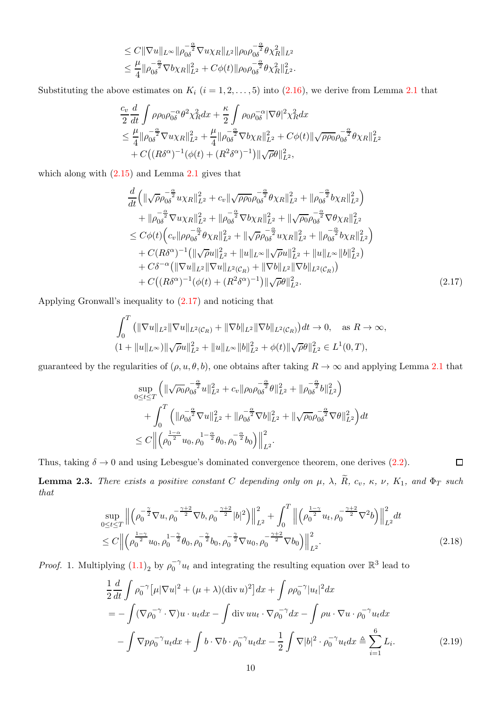$$
\leq C \|\nabla u\|_{L^{\infty}} \|\rho_{0\delta}^{-\frac{\alpha}{2}} \nabla u \chi_R\|_{L^2} \|\rho_0 \rho_{0\delta}^{-\frac{\alpha}{2}} \theta \chi_R^2\|_{L^2} \leq \frac{\mu}{4} \|\rho_{0\delta}^{-\frac{\alpha}{2}} \nabla b \chi_R\|_{L^2}^2 + C\phi(t) \|\rho_0 \rho_{0\delta}^{-\frac{\alpha}{2}} \theta \chi_R^2\|_{L^2}^2.
$$

Substituting the above estimates on  $K_i$   $(i = 1, 2, ..., 5)$  into  $(2.16)$  $(2.16)$  $(2.16)$ , we derive from Lemma 2.1 that

$$
\frac{c_v}{2} \frac{d}{dt} \int \rho \rho_0 \rho_0 \frac{1}{\delta} \rho^2 \chi_R^2 dx + \frac{\kappa}{2} \int \rho_0 \rho_0 \frac{1}{\delta} |\nabla \theta|^2 \chi_R^2 dx \n\leq \frac{\mu}{4} ||\rho_0 \frac{1}{2} |\nabla \phi_0 \rangle^2 \nabla u \chi_R||_{L^2}^2 + \frac{\mu}{4} ||\rho_0 \frac{1}{2} |\nabla \phi_0 \rangle^2 \nabla u \chi_R||_{L^2}^2 + C\phi(t) ||\sqrt{\rho \rho_0} \rho_0 \frac{1}{2} |\nabla \phi_0 \rangle^2 \phi \chi_R||_{L^2}^2 \n+ C\big( (R\delta^{\alpha})^{-1} (\phi(t) + (R^2 \delta^{\alpha})^{-1} \big) ||\sqrt{\rho} \theta ||_{L^2}^2,
$$

which along with  $(2.15)$  $(2.15)$  $(2.15)$  and Lemma 2.1 gives that

<span id="page-9-0"></span>
$$
\frac{d}{dt} \left( \|\sqrt{\rho} \rho_{0\delta}^{-\frac{\alpha}{2}} u \chi_R \|_{L^2}^2 + c_v \| \sqrt{\rho \rho_0} \rho_{0\delta}^{-\frac{\alpha}{2}} \theta \chi_R \|_{L^2}^2 + \| \rho_{0\delta}^{-\frac{\alpha}{2}} b \chi_R \|_{L^2}^2 \right) \n+ \| \rho_{0\delta}^{-\frac{\alpha}{2}} \nabla u \chi_R \|_{L^2}^2 + \| \rho_{0\delta}^{-\frac{\alpha}{2}} \nabla b \chi_R \|_{L^2}^2 + \| \sqrt{\rho_0} \rho_{0\delta}^{-\frac{\alpha}{2}} \nabla \theta \chi_R \|_{L^2}^2 \n\leq C\phi(t) \Big( c_v \| \rho \rho_{0\delta}^{-\frac{\alpha}{2}} \theta \chi_R \|_{L^2}^2 + \| \sqrt{\rho} \rho_{0\delta}^{-\frac{\alpha}{2}} u \chi_R \|_{L^2}^2 + \| \rho_{0\delta}^{-\frac{\alpha}{2}} b \chi_R \|_{L^2}^2 \Big) \n+ C(R\delta^{\alpha})^{-1} \Big( \| \sqrt{\rho} u \|_{L^2}^2 + \| u \|_{L^{\infty}} \| \sqrt{\rho} u \|_{L^2}^2 + \| u \|_{L^{\infty}} \| b \|_{L^2}^2 \Big) \n+ C\delta^{-\alpha} \Big( \| \nabla u \|_{L^2} \| \nabla u \|_{L^2(C_R)} + \| \nabla b \|_{L^2} \| \nabla b \|_{L^2(C_R)} \Big) \n+ C \Big( (R\delta^{\alpha})^{-1} (\phi(t) + (R^2 \delta^{\alpha})^{-1}) \| \sqrt{\rho} \theta \|_{L^2}^2.
$$
\n(2.17)

Applying Gronwall's inequality to [\(2.17\)](#page-9-0) and noticing that

$$
\int_0^T \left( \|\nabla u\|_{L^2} \|\nabla u\|_{L^2(\mathcal{C}_R)} + \|\nabla b\|_{L^2} \|\nabla b\|_{L^2(\mathcal{C}_R)} \right) dt \to 0, \text{ as } R \to \infty,
$$
  

$$
(1 + \|u\|_{L^\infty}) \|\sqrt{\rho}u\|_{L^2}^2 + \|u\|_{L^\infty} \|b\|_{L^2}^2 + \phi(t) \|\sqrt{\rho}\theta\|_{L^2}^2 \in L^1(0, T),
$$

guaranteed by the regularities of  $(\rho, u, \theta, b)$ , one obtains after taking  $R \to \infty$  and applying Lemma [2.1](#page-5-1) that

$$
\sup_{0 \le t \le T} \left( \|\sqrt{\rho_0} \rho_{0\delta}^{-\frac{\alpha}{2}} u\|_{L^2}^2 + c_v \|\rho_0 \rho_{0\delta}^{-\frac{\alpha}{2}} \theta\|_{L^2}^2 + \|\rho_{0\delta}^{-\frac{\alpha}{2}} b\|_{L^2}^2 \right) \n+ \int_0^T \left( \|\rho_{0\delta}^{-\frac{\alpha}{2}} \nabla u\|_{L^2}^2 + \|\rho_{0\delta}^{-\frac{\alpha}{2}} \nabla b\|_{L^2}^2 + \|\sqrt{\rho_0} \rho_{0\delta}^{-\frac{\alpha}{2}} \nabla \theta\|_{L^2}^2 \right) dt \n\le C \left\| \left( \rho_0^{\frac{1-\alpha}{2}} u_0, \rho_0^{-\frac{\alpha}{2}} \theta_0, \rho_0^{-\frac{\alpha}{2}} b_0 \right) \right\|_{L^2}^2.
$$

Thus, taking  $\delta \to 0$  and using Lebesgue's dominated convergence theorem, one derives [\(2.2\)](#page-5-2).  $\Box$ 

<span id="page-9-2"></span>**Lemma 2.3.** There exists a positive constant C depending only on  $\mu$ ,  $\lambda$ ,  $\widetilde{R}$ ,  $c_v$ ,  $\kappa$ ,  $\nu$ ,  $K_1$ , and  $\Phi_T$  such that

$$
\sup_{0 \le t \le T} \left\| \left( \rho_0^{-\frac{\gamma}{2}} \nabla u, \rho_0^{-\frac{\gamma+2}{2}} \nabla b, \rho_0^{-\frac{\gamma+2}{2}} |b|^2 \right) \right\|_{L^2}^2 + \int_0^T \left\| \left( \rho_0^{\frac{1-\gamma}{2}} u_t, \rho_0^{-\frac{\gamma+2}{2}} \nabla^2 b \right) \right\|_{L^2}^2 dt
$$
\n
$$
\le C \left\| \left( \rho_0^{\frac{1-\gamma}{2}} u_0, \rho_0^{-1-\frac{\gamma}{2}} \theta_0, \rho_0^{-\frac{\gamma}{2}} b_0, \rho_0^{-\frac{\gamma}{2}} \nabla u_0, \rho_0^{-\frac{\gamma+2}{2}} \nabla b_0 \right) \right\|_{L^2}^2. \tag{2.18}
$$

*Proof.* 1. Multiplying  $(1.1)_2$  by  $\rho_0^{-\gamma}u_t$  and integrating the resulting equation over  $\mathbb{R}^3$  lead to

<span id="page-9-1"></span>
$$
\frac{1}{2}\frac{d}{dt}\int \rho_0^{-\gamma}[\mu|\nabla u|^2 + (\mu + \lambda)(\text{div } u)^2]dx + \int \rho \rho_0^{-\gamma}|u_t|^2 dx
$$
  
= 
$$
-\int (\nabla \rho_0^{-\gamma} \cdot \nabla)u \cdot u_t dx - \int \text{div } uu_t \cdot \nabla \rho_0^{-\gamma} dx - \int \rho u \cdot \nabla u \cdot \rho_0^{-\gamma} u_t dx
$$
  

$$
-\int \nabla p \rho_0^{-\gamma} u_t dx + \int b \cdot \nabla b \cdot \rho_0^{-\gamma} u_t dx - \frac{1}{2} \int \nabla |b|^2 \cdot \rho_0^{-\gamma} u_t dx \triangleq \sum_{i=1}^{6} L_i.
$$
 (2.19)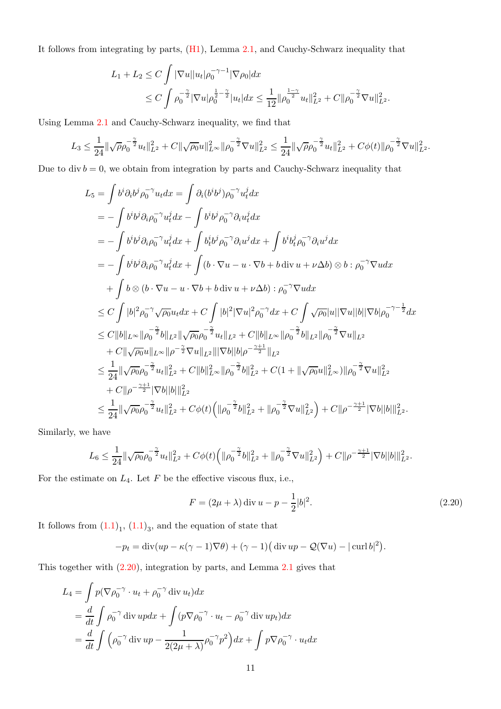It follows from integrating by parts, [\(H1\)](#page-3-2), Lemma [2.1,](#page-5-1) and Cauchy-Schwarz inequality that

$$
L_1 + L_2 \le C \int |\nabla u| |u_t| \rho_0^{-\gamma - 1} |\nabla \rho_0| dx
$$
  
\n
$$
\le C \int \rho_0^{-\frac{\gamma}{2}} |\nabla u| \rho_0^{\frac{1}{2} - \frac{\gamma}{2}} |u_t| dx \le \frac{1}{12} ||\rho_0^{\frac{1 - \gamma}{2}} u_t||_{L^2}^2 + C ||\rho_0^{-\frac{\gamma}{2}} \nabla u||_{L^2}^2.
$$

Using Lemma [2.1](#page-5-1) and Cauchy-Schwarz inequality, we find that

$$
L_3 \leq \frac{1}{24} \|\sqrt{\rho}\rho_0^{-\frac{\gamma}{2}}u_t\|_{L^2}^2 + C\|\sqrt{\rho_0}u\|_{L^\infty}^2 \|\rho_0^{-\frac{\gamma}{2}}\nabla u\|_{L^2}^2 \leq \frac{1}{24} \|\sqrt{\rho}\rho_0^{-\frac{\gamma}{2}}u_t\|_{L^2}^2 + C\phi(t)\|\rho_0^{-\frac{\gamma}{2}}\nabla u\|_{L^2}^2.
$$

Due to div  $b = 0$ , we obtain from integration by parts and Cauchy-Schwarz inequality that

$$
L_{5} = \int b^{i} \partial_{i} b^{j} \rho_{0}^{-\gamma} u_{t} dx = \int \partial_{i} (b^{i} b^{j}) \rho_{0}^{-\gamma} u_{t}^{j} dx
$$
  
\n
$$
= -\int b^{i} b^{j} \partial_{i} \rho_{0}^{-\gamma} u_{t}^{j} dx - \int b^{i} b^{j} \rho_{0}^{-\gamma} \partial_{i} u_{t}^{j} dx
$$
  
\n
$$
= -\int b^{i} b^{j} \partial_{i} \rho_{0}^{-\gamma} u_{t}^{j} dx + \int b^{i} b^{j} \rho_{0}^{-\gamma} \partial_{i} u^{j} dx + \int b^{i} b^{j} b^{j} \rho_{0}^{-\gamma} \partial_{i} u^{j} dx
$$
  
\n
$$
= -\int b^{i} b^{j} \partial_{i} \rho_{0}^{-\gamma} u_{t}^{j} dx + \int (b \cdot \nabla u - u \cdot \nabla b + b \operatorname{div} u + \nu \Delta b) \otimes b : \rho_{0}^{-\gamma} \nabla u dx
$$
  
\n
$$
+ \int b \otimes (b \cdot \nabla u - u \cdot \nabla b + b \operatorname{div} u + \nu \Delta b) : \rho_{0}^{-\gamma} \nabla u dx
$$
  
\n
$$
\leq C \int |b|^{2} \rho_{0}^{-\gamma} \sqrt{\rho_{0}} u_{t} dx + C \int |b|^{2} |\nabla u|^{2} \rho_{0}^{-\gamma} dx + C \int \sqrt{\rho_{0}} |u| |\nabla u| |b| |\nabla b| \rho_{0}^{-\gamma - \frac{1}{2}} dx
$$
  
\n
$$
\leq C ||b||_{L^{\infty}} ||\rho_{0}^{-\frac{\gamma}{2}} b||_{L^{2}} ||\sqrt{\rho_{0}} \rho_{0}^{-\frac{\gamma}{2}} u_{t}||_{L^{2}} + C ||b||_{L^{\infty}} ||\rho_{0}^{-\frac{\gamma}{2}} b||_{L^{2}} ||\rho_{0}^{-\frac{\gamma}{2}} \nabla u||_{L^{2}}
$$
  
\n
$$
+ C ||\sqrt{\rho_{0}} u||_{L^{\infty}} ||\rho_{0}^{-\frac{\gamma}{2}} u||_{L^{2}} |||\nabla b|| |b| \rho^{-\frac{\gamma + 1}{2}} |||
$$

Similarly, we have

$$
L_6 \leq \frac{1}{24} \|\sqrt{\rho_0} \rho_0^{-\frac{\gamma}{2}} u_t\|_{L^2}^2 + C\phi(t) \Big( \|\rho_0^{-\frac{\gamma}{2}} b\|_{L^2}^2 + \|\rho_0^{-\frac{\gamma}{2}} \nabla u\|_{L^2}^2 \Big) + C \|\rho^{-\frac{\gamma+1}{2}} |\nabla b| |b| \|_{L^2}^2.
$$

For the estimate on  $L_4$ . Let F be the effective viscous flux, i.e.,

<span id="page-10-0"></span>
$$
F = (2\mu + \lambda) \operatorname{div} u - p - \frac{1}{2} |b|^2.
$$
 (2.20)

It follows from  $(1.1)<sub>1</sub>$ ,  $(1.1)<sub>3</sub>$ , and the equation of state that

$$
-p_t = \operatorname{div}(up - \kappa(\gamma - 1)\nabla\theta) + (\gamma - 1)(\operatorname{div} up - \mathcal{Q}(\nabla u) - |\operatorname{curl} b|^2).
$$

This together with [\(2.20\)](#page-10-0), integration by parts, and Lemma [2.1](#page-5-1) gives that

$$
L_4 = \int p(\nabla \rho_0^{-\gamma} \cdot u_t + \rho_0^{-\gamma} \operatorname{div} u_t) dx
$$
  
=  $\frac{d}{dt} \int \rho_0^{-\gamma} \operatorname{div} u p dx + \int (p \nabla \rho_0^{-\gamma} \cdot u_t - \rho_0^{-\gamma} \operatorname{div} u p_t) dx$   
=  $\frac{d}{dt} \int (\rho_0^{-\gamma} \operatorname{div} u p - \frac{1}{2(2\mu + \lambda)} \rho_0^{-\gamma} p^2) dx + \int p \nabla \rho_0^{-\gamma} \cdot u_t dx$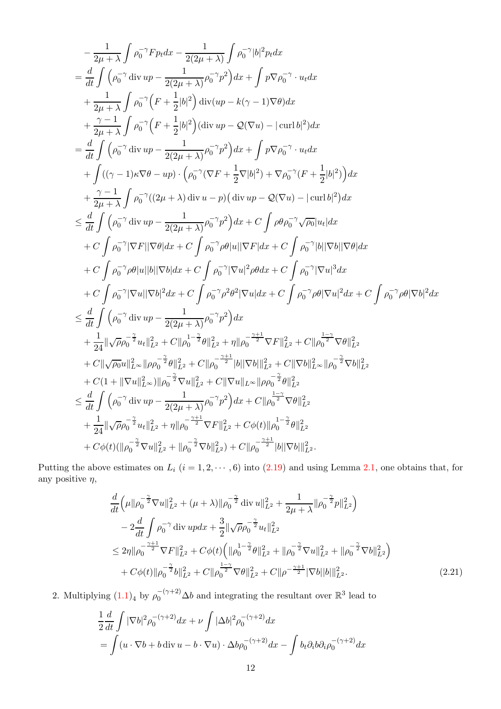$$
-\frac{1}{2\mu+\lambda}\int\rho_{0}^{-\gamma}F_{Pt}dx-\frac{1}{2(2\mu+\lambda)}\int\rho_{0}^{-\gamma}|b|^{2}p_{t}dx\n=\frac{d}{dt}\int(\rho_{0}^{-\gamma}div up-\frac{1}{2(2\mu+\lambda)}\rho_{0}^{-\gamma}p^{2})dx+\int p\nabla\rho_{0}^{-\gamma}\cdot u_{t}dx\n+\frac{1}{2\mu+\lambda}\int\rho_{0}^{-\gamma}\left(F+\frac{1}{2}|b|^{2}\right)div (up-k(\gamma-1)\nabla\theta)dx\n+\frac{\gamma-1}{2\mu+\lambda}\int\rho_{0}^{-\gamma}\left(F+\frac{1}{2}|b|^{2}\right) (div up-Q(\nabla u)-|\text{curl }b|^{2})dx\n=\frac{d}{dt}\int(\rho_{0}^{-\gamma}div up-\frac{1}{2(2\mu+\lambda)}\rho_{0}^{-\gamma}p^{2})dx+\int p\nabla\rho_{0}^{-\gamma}\cdot u_{t}dx\n+\int((\gamma-1)\kappa\nabla\theta-up)\cdot\left(\rho_{0}^{-\gamma}(\nabla F+\frac{1}{2}\nabla|b|^{2})+\nabla\rho_{0}^{-\gamma}\cdot u_{t}dx\n+\int((\gamma-1)\kappa\nabla\theta-up)\cdot\left(\rho_{0}^{-\gamma}(\nabla F+\frac{1}{2}\nabla|b|^{2})+\nabla\rho_{0}^{-\gamma}\cdot\left(F+\frac{1}{2}|b|^{2}\right)\right)dx\n+\frac{\gamma-1}{2\mu+\lambda}\int\rho_{0}^{-\gamma}((2\mu+\lambda)\text{div }u-p)(\text{div }up-Q(\nabla u)-|\text{curl }b|^{2})dx\n+\frac{\gamma}{2\mu+\lambda}\int\rho_{0}^{-\gamma}((2\mu+\lambda)\text{div }u-p)(\text{div }up-Q(\nabla u)-|\text{curl }b|^{2})dx\n+\frac{d}{2\mu}\int(\rho_{0}^{-\gamma}div up-\frac{1}{2(2\mu+\lambda)}\rho_{0}^{-\gamma}p^{2})dx+C\int\rho\theta\rho_{0}^{-\gamma}\sqrt{\rho_{0}}|u_{t}|dx\n+C\int\rho_{0}^{-\gamma}|\nabla t||\nabla\theta|dx+C\int\rho_{0}^{-\gamma}\rho\theta|u||\nabla F|dx+C\int\rho_{0}^{-\gamma}|\nabla u|^{
$$

Putting the above estimates on  $L_i$   $(i = 1, 2, \dots, 6)$  into  $(2.19)$  and using Lemma [2.1,](#page-5-1) one obtains that, for any positive  $\eta$ ,

<span id="page-11-0"></span>
$$
\frac{d}{dt}\left(\mu\|\rho_0^{-\frac{\gamma}{2}}\nabla u\|_{L^2}^2 + (\mu + \lambda)\|\rho_0^{-\frac{\gamma}{2}}\operatorname{div} u\|_{L^2}^2 + \frac{1}{2\mu + \lambda}\|\rho_0^{-\frac{\gamma}{2}}p\|_{L^2}^2\right) \n- 2\frac{d}{dt}\int\rho_0^{-\gamma}\operatorname{div} u p dx + \frac{3}{2}\|\sqrt{\rho}\rho_0^{-\frac{\gamma}{2}}u_t\|_{L^2}^2 \n\leq 2\eta\|\rho_0^{-\frac{\gamma+1}{2}}\nabla F\|_{L^2}^2 + C\phi(t)\left(\|\rho_0^{1-\frac{\gamma}{2}}\theta\|_{L^2}^2 + \|\rho_0^{-\frac{\gamma}{2}}\nabla u\|_{L^2}^2 + \|\rho_0^{-\frac{\gamma}{2}}\nabla b\|_{L^2}^2\right) \n+ C\phi(t)\|\rho_0^{-\frac{\gamma}{2}}b\|_{L^2}^2 + C\|\rho_0^{-\frac{\gamma-1}{2}}\nabla \theta\|_{L^2}^2 + C\|\rho^{-\frac{\gamma+1}{2}}|\nabla b||b|\|_{L^2}^2.
$$
\n(2.21)

2. Multiplying  $(1.1)<sub>4</sub>$  by  $\rho_0^{-(\gamma+2)}\Delta b$  and integrating the resultant over  $\mathbb{R}^3$  lead to

$$
\frac{1}{2}\frac{d}{dt}\int |\nabla b|^2 \rho_0^{-(\gamma+2)} dx + \nu \int |\Delta b|^2 \rho_0^{-(\gamma+2)} dx
$$
  
= 
$$
\int (u \cdot \nabla b + b \operatorname{div} u - b \cdot \nabla u) \cdot \Delta b \rho_0^{-(\gamma+2)} dx - \int b_t \partial_i b \partial_i \rho_0^{-(\gamma+2)} dx
$$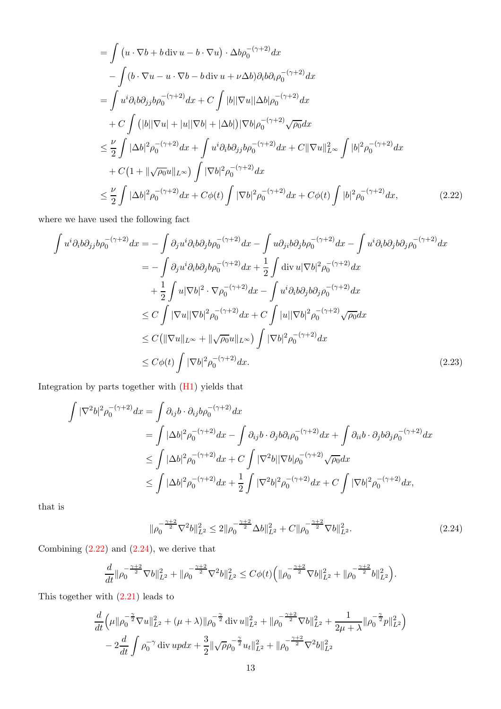<span id="page-12-0"></span>
$$
= \int (u \cdot \nabla b + b \operatorname{div} u - b \cdot \nabla u) \cdot \Delta b \rho_0^{-(\gamma+2)} dx
$$
  
\n
$$
- \int (b \cdot \nabla u - u \cdot \nabla b - b \operatorname{div} u + \nu \Delta b) \partial_i b \partial_i \rho_0^{-(\gamma+2)} dx
$$
  
\n
$$
= \int u^i \partial_i b \partial_{jj} b \rho_0^{-(\gamma+2)} dx + C \int |b| |\nabla u| |\Delta b| \rho_0^{-(\gamma+2)} dx
$$
  
\n
$$
+ C \int (|b| |\nabla u| + |u| |\nabla b| + |\Delta b|) |\nabla b| \rho_0^{-(\gamma+2)} \sqrt{\rho_0} dx
$$
  
\n
$$
\leq \frac{\nu}{2} \int |\Delta b|^2 \rho_0^{-(\gamma+2)} dx + \int u^i \partial_i b \partial_{jj} b \rho_0^{-(\gamma+2)} dx + C ||\nabla u||_{L^\infty}^2 \int |b|^2 \rho_0^{-(\gamma+2)} dx
$$
  
\n
$$
+ C \left(1 + ||\sqrt{\rho_0} u||_{L^\infty}\right) \int |\nabla b|^2 \rho_0^{-(\gamma+2)} dx
$$
  
\n
$$
\leq \frac{\nu}{2} \int |\Delta b|^2 \rho_0^{-(\gamma+2)} dx + C \phi(t) \int |\nabla b|^2 \rho_0^{-(\gamma+2)} dx + C \phi(t) \int |b|^2 \rho_0^{-(\gamma+2)} dx, \qquad (2.22)
$$

where we have used the following fact

$$
\int u^{i}\partial_{i}b\partial_{j}b\rho_{0}^{-(\gamma+2)}dx = -\int \partial_{j}u^{i}\partial_{i}b\partial_{j}b\rho_{0}^{-(\gamma+2)}dx - \int u\partial_{ji}b\partial_{j}b\rho_{0}^{-(\gamma+2)}dx - \int u^{i}\partial_{i}b\partial_{j}b\partial_{j}\rho_{0}^{-(\gamma+2)}dx \n= -\int \partial_{j}u^{i}\partial_{i}b\partial_{j}b\rho_{0}^{-(\gamma+2)}dx + \frac{1}{2}\int \operatorname{div}u|\nabla b|^{2}\rho_{0}^{-(\gamma+2)}dx \n+ \frac{1}{2}\int u|\nabla b|^{2}\cdot \nabla \rho_{0}^{-(\gamma+2)}dx - \int u^{i}\partial_{i}b\partial_{j}b\partial_{j}\rho_{0}^{-(\gamma+2)}dx \n\leq C\int |\nabla u||\nabla b|^{2}\rho_{0}^{-(\gamma+2)}dx + C\int |u||\nabla b|^{2}\rho_{0}^{-(\gamma+2)}\sqrt{\rho_{0}}dx \n\leq C(\|\nabla u\|_{L^{\infty}} + \|\sqrt{\rho_{0}}u\|_{L^{\infty}})\int |\nabla b|^{2}\rho_{0}^{-(\gamma+2)}dx \n\leq C\phi(t)\int |\nabla b|^{2}\rho_{0}^{-(\gamma+2)}dx.
$$
\n(2.23)

Integration by parts together with [\(H1\)](#page-3-2) yields that

$$
\int |\nabla^2 b|^2 \rho_0^{-(\gamma+2)} dx = \int \partial_{ij} b \cdot \partial_{ij} b \rho_0^{-(\gamma+2)} dx
$$
  
\n
$$
= \int |\Delta b|^2 \rho_0^{-(\gamma+2)} dx - \int \partial_{ij} b \cdot \partial_j b \partial_i \rho_0^{-(\gamma+2)} dx + \int \partial_{ii} b \cdot \partial_j b \partial_j \rho_0^{-(\gamma+2)} dx
$$
  
\n
$$
\leq \int |\Delta b|^2 \rho_0^{-(\gamma+2)} dx + C \int |\nabla^2 b| |\nabla b| \rho_0^{-(\gamma+2)} \sqrt{\rho_0} dx
$$
  
\n
$$
\leq \int |\Delta b|^2 \rho_0^{-(\gamma+2)} dx + \frac{1}{2} \int |\nabla^2 b|^2 \rho_0^{-(\gamma+2)} dx + C \int |\nabla b|^2 \rho_0^{-(\gamma+2)} dx,
$$

that is

<span id="page-12-2"></span><span id="page-12-1"></span>
$$
\|\rho_0^{-\frac{\gamma+2}{2}} \nabla^2 b\|_{L^2}^2 \le 2 \|\rho_0^{-\frac{\gamma+2}{2}} \Delta b\|_{L^2}^2 + C \|\rho_0^{-\frac{\gamma+2}{2}} \nabla b\|_{L^2}^2. \tag{2.24}
$$

Combining  $(2.22)$  and  $(2.24)$ , we derive that

$$
\frac{d}{dt}\|\rho_0^{-\frac{\gamma+2}{2}}\nabla b\|_{L^2}^2+\|\rho_0^{-\frac{\gamma+2}{2}}\nabla^2 b\|_{L^2}^2\leq C\phi(t)\Big(\|\rho_0^{-\frac{\gamma+2}{2}}\nabla b\|_{L^2}^2+\|\rho_0^{-\frac{\gamma+2}{2}}b\|_{L^2}^2\Big).
$$

This together with [\(2.21\)](#page-11-0) leads to

$$
\frac{d}{dt}\left(\mu\|\rho_0^{-\frac{\gamma}{2}}\nabla u\|_{L^2}^2 + (\mu + \lambda)\|\rho_0^{-\frac{\gamma}{2}}\operatorname{div} u\|_{L^2}^2 + \|\rho_0^{-\frac{\gamma+2}{2}}\nabla b\|_{L^2}^2 + \frac{1}{2\mu + \lambda}\|\rho_0^{-\frac{\gamma}{2}}p\|_{L^2}^2\right) \n- 2\frac{d}{dt}\int\rho_0^{-\gamma}\operatorname{div} updx + \frac{3}{2}\|\sqrt{\rho}\rho_0^{-\frac{\gamma}{2}}u_t\|_{L^2}^2 + \|\rho_0^{-\frac{\gamma+2}{2}}\nabla^2 b\|_{L^2}^2
$$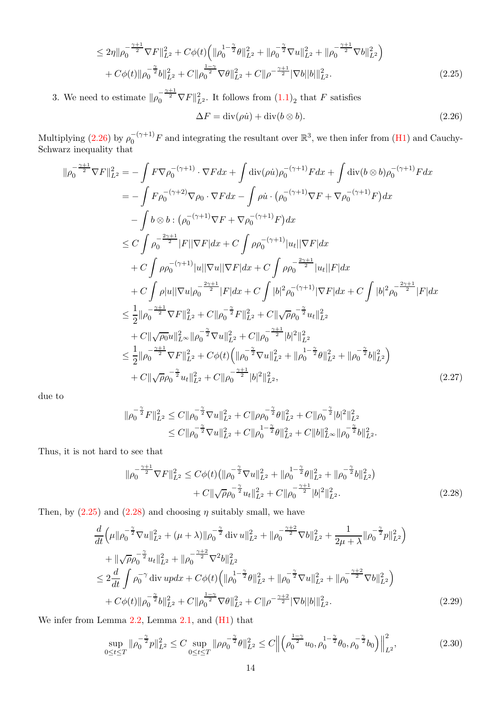$$
\leq 2\eta \|\rho_0^{-\frac{\gamma+1}{2}} \nabla F\|_{L^2}^2 + C\phi(t) \left( \|\rho_0^{1-\frac{\gamma}{2}}\theta\|_{L^2}^2 + \|\rho_0^{-\frac{\gamma}{2}} \nabla u\|_{L^2}^2 + \|\rho_0^{-\frac{\gamma+1}{2}} \nabla b\|_{L^2}^2 \right) + C\phi(t) \|\rho_0^{-\frac{\gamma}{2}} b\|_{L^2}^2 + C\|\rho_0^{-\frac{\gamma}{2}} \nabla \theta\|_{L^2}^2 + C\|\rho^{-\frac{\gamma+1}{2}} |\nabla b| |b| \|_{L^2}^2.
$$
\n(2.25)

3. We need to estimate  $\|\rho_0^{-\frac{\gamma+1}{2}}\nabla F\|_{L^2}^2$ . It follows from  $(1.1)_2$  that F satisfies

<span id="page-13-2"></span><span id="page-13-1"></span>
$$
\Delta F = \text{div}(\rho \dot{u}) + \text{div}(b \otimes b). \tag{2.26}
$$

Multiplying [\(2.26\)](#page-13-1) by  $\rho_0^{-(\gamma+1)}F$  and integrating the resultant over  $\mathbb{R}^3$ , we then infer from [\(H1\)](#page-3-2) and Cauchy-Schwarz inequality that

$$
\|\rho_0^{-\frac{\gamma+1}{2}} \nabla F\|_{L^2}^2 = -\int F \nabla \rho_0^{-(\gamma+1)} \cdot \nabla F dx + \int \text{div}(\rho \dot{u}) \rho_0^{-(\gamma+1)} F dx + \int \text{div}(b \otimes b) \rho_0^{-(\gamma+1)} F dx \n= -\int F \rho_0^{-(\gamma+2)} \nabla \rho_0 \cdot \nabla F dx - \int \rho \dot{u} \cdot (\rho_0^{-(\gamma+1)} \nabla F + \nabla \rho_0^{-(\gamma+1)} F) dx \n- \int b \otimes b : (\rho_0^{-(\gamma+1)} \nabla F + \nabla \rho_0^{-(\gamma+1)} F) dx \n\leq C \int \rho_0^{-\frac{2\gamma+1}{2}} |F||\nabla F| dx + C \int \rho \rho_0^{-(\gamma+1)} |u_t||\nabla F| dx \n+ C \int \rho \rho_0^{-(\gamma+1)} |u||\nabla u||\nabla F| dx + C \int \rho \rho_0^{-\frac{2\gamma+1}{2}} |u_t||F| dx \n+ C \int \rho |u||\nabla u| \rho_0^{-\frac{2\gamma+1}{2}} |F| dx + C \int |b|^2 \rho_0^{-(\gamma+1)} |\nabla F| dx + C \int |b|^2 \rho_0^{-\frac{2\gamma+1}{2}} |F| dx \n\leq \frac{1}{2} ||\rho_0^{-\frac{\gamma+1}{2}} \nabla F||_{L^2}^2 + C ||\rho_0^{-\frac{\gamma}{2}} F||_{L^2}^2 + C ||\sqrt{\rho} \rho_0^{-\frac{\gamma}{2}} u_t||_{L^2}^2 \n+ C ||\sqrt{\rho_0} u||_{L^{\infty}} ||\rho_0^{-\frac{\gamma}{2}} \nabla u||_{L^2}^2 + C ||\rho_0^{-\frac{\gamma+1}{2}} |b|^2 ||_{L^2}^2 \n\leq \frac{1}{2} ||\rho_0^{-\frac{\gamma+1}{2}} \nabla F||_{L^2}^2 + C \phi(t) (||\rho_0^{-\frac{\gamma}{2}} \nabla u||_{L^2}^2 + ||\rho_0^{-\frac{\gamma}{2}} \theta||_{L^2}^2 + ||\rho_0^{-\frac{\gamma}{2}} b||_{L^2}
$$

due to

$$
\begin{aligned} \|\rho_0^{-\frac{\gamma}{2}} F\|_{L^2}^2 &\leq C \|\rho_0^{-\frac{\gamma}{2}}\nabla u\|_{L^2}^2 + C \|\rho\rho_0^{-\frac{\gamma}{2}}\theta\|_{L^2}^2 + C \|\rho_0^{-\frac{\gamma}{2}}|b|^2\|_{L^2}^2\\ &\leq C \|\rho_0^{-\frac{\gamma}{2}}\nabla u\|_{L^2}^2 + C \|\rho_0^{1-\frac{\gamma}{2}}\theta\|_{L^2}^2 + C \|b\|_{L^\infty}^2 \|\rho_0^{-\frac{\gamma}{2}}b\|_{L^2}^2. \end{aligned}
$$

Thus, it is not hard to see that

<span id="page-13-0"></span>
$$
\|\rho_0^{-\frac{\gamma+1}{2}} \nabla F\|_{L^2}^2 \le C\phi(t) \left( \|\rho_0^{-\frac{\gamma}{2}} \nabla u\|_{L^2}^2 + \|\rho_0^{-\frac{\gamma}{2}} \theta\|_{L^2}^2 + \|\rho_0^{-\frac{\gamma}{2}} b\|_{L^2}^2 \right) + C\|\sqrt{\rho} \rho_0^{-\frac{\gamma}{2}} u_t\|_{L^2}^2 + C\|\rho_0^{-\frac{\gamma+1}{2}} |b|^2\|_{L^2}^2.
$$
 (2.28)

Then, by  $(2.25)$  and  $(2.28)$  and choosing  $\eta$  suitably small, we have

$$
\frac{d}{dt}\left(\mu\|\rho_0^{-\frac{\gamma}{2}}\nabla u\|_{L^2}^2 + (\mu + \lambda)\|\rho_0^{-\frac{\gamma}{2}}\operatorname{div} u\|_{L^2}^2 + \|\rho_0^{-\frac{\gamma+2}{2}}\nabla b\|_{L^2}^2 + \frac{1}{2\mu + \lambda}\|\rho_0^{-\frac{\gamma}{2}}p\|_{L^2}^2\right) \n+ \|\sqrt{\rho}\rho_0^{-\frac{\gamma}{2}}u_t\|_{L^2}^2 + \|\rho_0^{-\frac{\gamma+2}{2}}\nabla^2 b\|_{L^2}^2 \n\leq 2\frac{d}{dt}\int \rho_0^{-\gamma} \operatorname{div} u p dx + C\phi(t)\left(\|\rho_0^{1-\frac{\gamma}{2}}\theta\|_{L^2}^2 + \|\rho_0^{-\frac{\gamma}{2}}\nabla u\|_{L^2}^2 + \|\rho_0^{-\frac{\gamma+2}{2}}\nabla b\|_{L^2}^2\right) \n+ C\phi(t)\|\rho_0^{-\frac{\gamma}{2}}b\|_{L^2}^2 + C\|\rho_0^{-\frac{\gamma+\gamma}{2}}\nabla \theta\|_{L^2}^2 + C\|\rho^{-\frac{\gamma+2}{2}}|\nabla b||b|\|_{L^2}^2.
$$
\n(2.29)

We infer from Lemma [2.2,](#page-5-3) Lemma [2.1,](#page-5-1) and [\(H1\)](#page-3-2) that

$$
\sup_{0 \le t \le T} \|\rho_0^{-\frac{\gamma}{2}} p\|_{L^2}^2 \le C \sup_{0 \le t \le T} \|\rho \rho_0^{-\frac{\gamma}{2}} \theta\|_{L^2}^2 \le C \left\| \left(\rho_0^{\frac{1-\gamma}{2}} u_0, \rho_0^{-\frac{\gamma}{2}} \theta_0, \rho_0^{-\frac{\gamma}{2}} b_0 \right) \right\|_{L^2}^2, \tag{2.30}
$$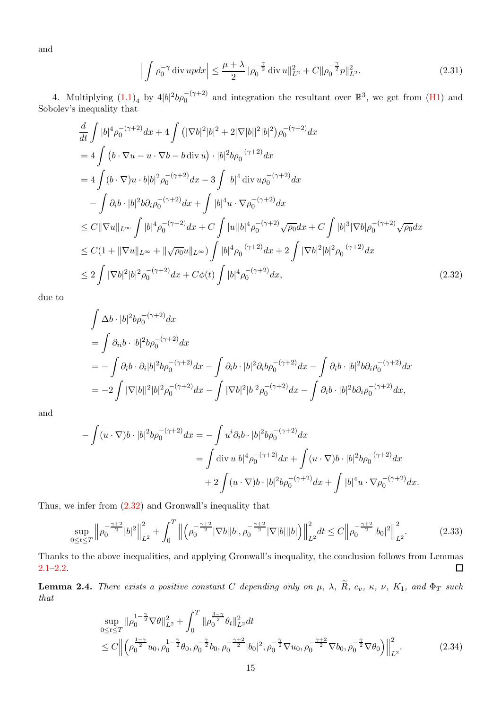and

$$
\left| \int \rho_0^{-\gamma} \operatorname{div} u p \, dx \right| \le \frac{\mu + \lambda}{2} \|\rho_0^{-\frac{\gamma}{2}} \operatorname{div} u\|_{L^2}^2 + C \|\rho_0^{-\frac{\gamma}{2}} p\|_{L^2}^2. \tag{2.31}
$$

4. Multiplying  $(1.1)_4$  by  $4|b|^2b\rho_0^{-(\gamma+2)}$  and integration the resultant over  $\mathbb{R}^3$ , we get from  $(H1)$  and Sobolev's inequality that

$$
\frac{d}{dt} \int |b|^4 \rho_0^{-(\gamma+2)} dx + 4 \int (|\nabla b|^2 |b|^2 + 2|\nabla |b||^2 |b|^2) \rho_0^{-(\gamma+2)} dx \n= 4 \int (b \cdot \nabla u - u \cdot \nabla b - b \operatorname{div} u) \cdot |b|^2 b \rho_0^{-(\gamma+2)} dx \n= 4 \int (b \cdot \nabla) u \cdot b |b|^2 \rho_0^{-(\gamma+2)} dx - 3 \int |b|^4 \operatorname{div} u \rho_0^{-(\gamma+2)} dx \n- \int \partial_i b \cdot |b|^2 b \partial_i \rho_0^{-(\gamma+2)} dx + \int |b|^4 u \cdot \nabla \rho_0^{-(\gamma+2)} dx \n\leq C ||\nabla u||_{L^{\infty}} \int |b|^4 \rho_0^{-(\gamma+2)} dx + C \int |u||b|^4 \rho_0^{-(\gamma+2)} \sqrt{\rho_0} dx + C \int |b|^3 |\nabla b| \rho_0^{-(\gamma+2)} \sqrt{\rho_0} dx \n\leq C (1 + ||\nabla u||_{L^{\infty}} + ||\sqrt{\rho_0} u||_{L^{\infty}}) \int |b|^4 \rho_0^{-(\gamma+2)} dx + 2 \int |\nabla b|^2 |b|^2 \rho_0^{-(\gamma+2)} dx \n\leq 2 \int |\nabla b|^2 |b|^2 \rho_0^{-(\gamma+2)} dx + C \phi(t) \int |b|^4 \rho_0^{-(\gamma+2)} dx,
$$
\n(2.32)

due to

<span id="page-14-1"></span>
$$
\int \Delta b \cdot |b|^2 b \rho_0^{-(\gamma+2)} dx \n= \int \partial_{ii} b \cdot |b|^2 b \rho_0^{-(\gamma+2)} dx \n= - \int \partial_i b \cdot \partial_i |b|^2 b \rho_0^{-(\gamma+2)} dx - \int \partial_i b \cdot |b|^2 \partial_i b \rho_0^{-(\gamma+2)} dx - \int \partial_i b \cdot |b|^2 b \partial_i \rho_0^{-(\gamma+2)} dx \n= - 2 \int |\nabla |b||^2 |b|^2 \rho_0^{-(\gamma+2)} dx - \int |\nabla b|^2 |b|^2 \rho_0^{-(\gamma+2)} dx - \int \partial_i b \cdot |b|^2 b \partial_i \rho_0^{-(\gamma+2)} dx,
$$

and

$$
-\int (u \cdot \nabla) b \cdot |b|^2 b \rho_0^{-(\gamma+2)} dx = -\int u^i \partial_i b \cdot |b|^2 b \rho_0^{-(\gamma+2)} dx
$$
  

$$
= \int \text{div } u |b|^4 \rho_0^{-(\gamma+2)} dx + \int (u \cdot \nabla) b \cdot |b|^2 b \rho_0^{-(\gamma+2)} dx
$$
  

$$
+ 2 \int (u \cdot \nabla) b \cdot |b|^2 b \rho_0^{-(\gamma+2)} dx + \int |b|^4 u \cdot \nabla \rho_0^{-(\gamma+2)} dx.
$$

Thus, we infer from [\(2.32\)](#page-14-1) and Gronwall's inequality that

$$
\sup_{0 \le t \le T} \left\| \rho_0^{-\frac{\gamma+2}{2}} |b|^2 \right\|_{L^2}^2 + \int_0^T \left\| \left( \rho_0^{-\frac{\gamma+2}{2}} |\nabla b| |b|, \rho_0^{-\frac{\gamma+2}{2}} |\nabla |b| |b| \right) \right\|_{L^2}^2 dt \le C \left\| \rho_0^{-\frac{\gamma+2}{2}} |b_0|^2 \right\|_{L^2}^2. \tag{2.33}
$$

Thanks to the above inequalities, and applying Gronwall's inequality, the conclusion follows from Lemmas [2.1](#page-5-1)[–2.2.](#page-5-3)  $\Box$ 

<span id="page-14-3"></span>**Lemma 2.4.** There exists a positive constant C depending only on  $\mu$ ,  $\lambda$ ,  $\widetilde{R}$ ,  $c_v$ ,  $\kappa$ ,  $\nu$ ,  $K_1$ , and  $\Phi_T$  such that

<span id="page-14-2"></span><span id="page-14-0"></span>
$$
\sup_{0 \le t \le T} \|\rho_0^{1-\frac{\gamma}{2}} \nabla \theta\|_{L^2}^2 + \int_0^T \|\rho_0^{\frac{3-\gamma}{2}} \theta_t\|_{L^2}^2 dt
$$
\n
$$
\le C \left\| \left( \rho_0^{\frac{1-\gamma}{2}} u_0, \rho_0^{-\frac{\gamma}{2}} \theta_0, \rho_0^{-\frac{\gamma}{2}} b_0, \rho_0^{-\frac{\gamma+2}{2}} |b_0|^2, \rho_0^{-\frac{\gamma}{2}} \nabla u_0, \rho_0^{-\frac{\gamma+2}{2}} \nabla b_0, \rho_0^{-\frac{\gamma}{2}} \nabla \theta_0 \right) \right\|_{L^2}^2.
$$
\n(2.34)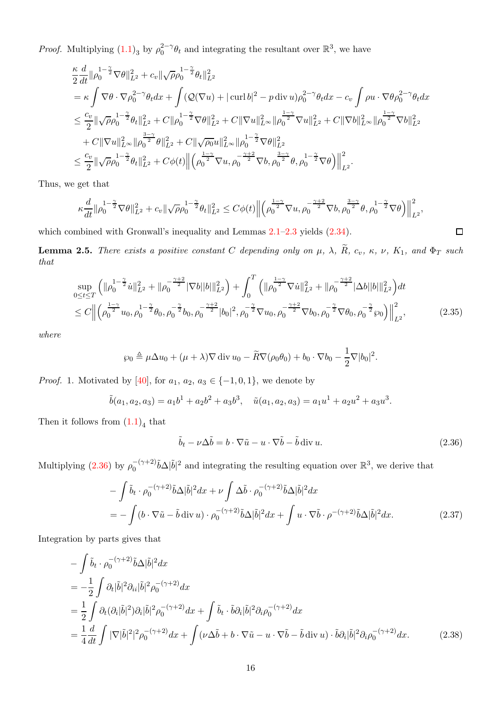*Proof.* Multiplying  $(1.1)_3$  by  $\rho_0^{2-\gamma} \theta_t$  and integrating the resultant over  $\mathbb{R}^3$ , we have

$$
\begin{split} &\frac{\kappa}{2}\frac{d}{dt}\|\rho_0^{1-\frac{\gamma}{2}}\nabla\theta\|_{L^2}^2+c_v\|\sqrt{\rho}\rho_0^{1-\frac{\gamma}{2}}\theta_t\|_{L^2}^2\\ &=\kappa\int \nabla\theta\cdot \nabla\rho_0^{2-\gamma}\theta_t dx+\int (\mathcal{Q}(\nabla u)+|\operatorname{curl} b|^2-p\operatorname{div} u)\rho_0^{2-\gamma}\theta_t dx-c_v\int\rho u\cdot \nabla\theta\rho_0^{2-\gamma}\theta_t dx\\ &\leq \frac{c_v}{2}\|\sqrt{\rho}\rho_0^{1-\frac{\gamma}{2}}\theta_t\|_{L^2}^2+C\|\rho_0^{1-\frac{\gamma}{2}}\nabla\theta\|_{L^2}^2+C\|\nabla u\|_{L^\infty}^2\|\rho_0^{\frac{1-\gamma}{2}}\nabla u\|_{L^2}^2+C\|\nabla b\|_{L^\infty}^2\|\rho_0^{\frac{1-\gamma}{2}}\nabla b\|_{L^2}^2\\ &+C\|\nabla u\|_{L^\infty}^2\|\rho_0^{\frac{3-\gamma}{2}}\theta\|_{L^2}^2+C\|\sqrt{\rho_0}u\|_{L^\infty}^2\|\rho_0^{1-\frac{\gamma}{2}}\nabla\theta\|_{L^2}^2\\ &\leq \frac{c_v}{2}\|\sqrt{\rho}\rho_0^{1-\frac{\gamma}{2}}\theta_t\|_{L^2}^2+C\phi(t)\left\|\left(\rho_0^{\frac{1-\gamma}{2}}\nabla u,\rho_0^{-\frac{\gamma+2}{2}}\nabla b,\rho_0^{\frac{3-\gamma}{2}}\theta,\rho_0^{1-\frac{\gamma}{2}}\nabla\theta\right)\right\|_{L^2}^2.\end{split}
$$

Thus, we get that

$$
\kappa \frac{d}{dt} \| \rho_0^{1-\frac{\gamma}{2}} \nabla \theta \|_{L^2}^2 + c_v \| \sqrt{\rho} \rho_0^{1-\frac{\gamma}{2}} \theta_t \|_{L^2}^2 \leq C \phi(t) \Big\| \Big( \rho_0^{\frac{1-\gamma}{2}} \nabla u, \rho_0^{-\frac{\gamma+2}{2}} \nabla b, \rho_0^{\frac{3-\gamma}{2}} \theta, \rho_0^{1-\frac{\gamma}{2}} \nabla \theta \Big) \Big\|_{L^2}^2,
$$

which combined with Gronwall's inequality and Lemmas  $2.1-2.3$  $2.1-2.3$  yields  $(2.34)$ .

<span id="page-15-4"></span>**Lemma 2.5.** There exists a positive constant C depending only on  $\mu$ ,  $\lambda$ ,  $\widetilde{R}$ ,  $c_v$ ,  $\kappa$ ,  $\nu$ ,  $K_1$ , and  $\Phi_T$  such that

$$
\sup_{0 \le t \le T} \left( \|\rho_0^{1-\frac{\gamma}{2}} \dot{u}\|_{L^2}^2 + \|\rho_0^{-\frac{\gamma+2}{2}} |\nabla b| |b| \|_{L^2}^2 \right) + \int_0^T \left( \|\rho_0^{\frac{1-\gamma}{2}} \nabla \dot{u}\|_{L^2}^2 + \|\rho_0^{-\frac{\gamma+2}{2}} |\Delta b| |b| \|_{L^2}^2 \right) dt
$$
  
\n
$$
\le C \left\| \left( \rho_0^{\frac{1-\gamma}{2}} u_0, \rho_0^{-1-\frac{\gamma}{2}} \theta_0, \rho_0^{-\frac{\gamma}{2}} b_0, \rho_0^{-\frac{\gamma+2}{2}} |b_0|^2, \rho_0^{-\frac{\gamma}{2}} \nabla u_0, \rho_0^{-\frac{\gamma+2}{2}} \nabla b_0, \rho_0^{-\frac{\gamma}{2}} \nabla \theta_0, \rho_0^{-\frac{\gamma}{2}} s_0 \right) \right\|_{L^2}^2, \tag{2.35}
$$

where

$$
\wp_0 \triangleq \mu \Delta u_0 + (\mu + \lambda) \nabla \operatorname{div} u_0 - \widetilde{R} \nabla (\rho_0 \theta_0) + b_0 \cdot \nabla b_0 - \frac{1}{2} \nabla |b_0|^2.
$$

*Proof.* 1. Motivated by [\[40\]](#page-31-3), for  $a_1, a_2, a_3 \in \{-1, 0, 1\}$ , we denote by

$$
\tilde{b}(a_1, a_2, a_3) = a_1b^1 + a_2b^2 + a_3b^3
$$
,  $\tilde{u}(a_1, a_2, a_3) = a_1u^1 + a_2u^2 + a_3u^3$ .

Then it follows from  $(1.1)<sub>4</sub>$  that

<span id="page-15-2"></span><span id="page-15-1"></span>
$$
\tilde{b}_t - \nu \Delta \tilde{b} = b \cdot \nabla \tilde{u} - u \cdot \nabla \tilde{b} - \tilde{b} \operatorname{div} u.
$$
\n(2.36)

<span id="page-15-3"></span><span id="page-15-0"></span> $\Box$ 

Multiplying [\(2.36\)](#page-15-0) by  $\rho_0^{-(\gamma+2)}\tilde{b}\Delta|\tilde{b}|^2$  and integrating the resulting equation over  $\mathbb{R}^3$ , we derive that

$$
-\int \tilde{b}_t \cdot \rho_0^{-(\gamma+2)} \tilde{b} \Delta |\tilde{b}|^2 dx + \nu \int \Delta \tilde{b} \cdot \rho_0^{-(\gamma+2)} \tilde{b} \Delta |\tilde{b}|^2 dx
$$
  
= 
$$
-\int (b \cdot \nabla \tilde{u} - \tilde{b} \operatorname{div} u) \cdot \rho_0^{-(\gamma+2)} \tilde{b} \Delta |\tilde{b}|^2 dx + \int u \cdot \nabla \tilde{b} \cdot \rho^{-(\gamma+2)} \tilde{b} \Delta |\tilde{b}|^2 dx.
$$
 (2.37)

Integration by parts gives that

$$
-\int \tilde{b}_t \cdot \rho_0^{-(\gamma+2)} \tilde{b}\Delta |\tilde{b}|^2 dx
$$
  
=  $-\frac{1}{2} \int \partial_t |\tilde{b}|^2 \partial_{ii} |\tilde{b}|^2 \rho_0^{-(\gamma+2)} dx$   
=  $\frac{1}{2} \int \partial_t (\partial_i |\tilde{b}|^2) \partial_i |\tilde{b}|^2 \rho_0^{-(\gamma+2)} dx + \int \tilde{b}_t \cdot \tilde{b} \partial_i |\tilde{b}|^2 \partial_i \rho_0^{-(\gamma+2)} dx$   
=  $\frac{1}{4} \frac{d}{dt} \int |\nabla |\tilde{b}|^2|^2 \rho_0^{-(\gamma+2)} dx + \int (\nu \Delta \tilde{b} + b \cdot \nabla \tilde{u} - u \cdot \nabla \tilde{b} - \tilde{b} \operatorname{div} u) \cdot \tilde{b} \partial_i |\tilde{b}|^2 \partial_i \rho_0^{-(\gamma+2)} dx.$  (2.38)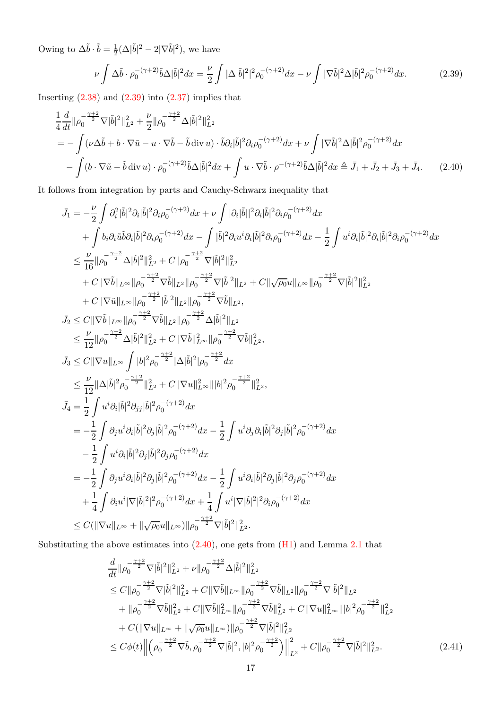Owing to  $\Delta \tilde{b} \cdot \tilde{b} = \frac{1}{2}$  $\frac{1}{2}(\Delta|\tilde{b}|^2 - 2|\nabla\tilde{b}|^2)$ , we have

<span id="page-16-1"></span><span id="page-16-0"></span>
$$
\nu \int \Delta \tilde{b} \cdot \rho_0^{-(\gamma+2)} \tilde{b} \Delta |\tilde{b}|^2 dx = \frac{\nu}{2} \int |\Delta |\tilde{b}|^2|^2 \rho_0^{-(\gamma+2)} dx - \nu \int |\nabla \tilde{b}|^2 \Delta |\tilde{b}|^2 \rho_0^{-(\gamma+2)} dx.
$$
 (2.39)

Inserting  $(2.38)$  and  $(2.39)$  into  $(2.37)$  implies that

$$
\frac{1}{4}\frac{d}{dt}\|\rho_0^{-\frac{\gamma+2}{2}}\nabla|\tilde{b}|^2\|_{L^2}^2 + \frac{\nu}{2}\|\rho_0^{-\frac{\gamma+2}{2}}\Delta|\tilde{b}|^2\|_{L^2}^2 \n= -\int (\nu\Delta\tilde{b} + b\cdot\nabla\tilde{u} - u\cdot\nabla\tilde{b} - \tilde{b}\operatorname{div}u)\cdot\tilde{b}\partial_i|\tilde{b}|^2\partial_i\rho_0^{-(\gamma+2)}dx + \nu\int |\nabla\tilde{b}|^2\Delta|\tilde{b}|^2\rho_0^{-(\gamma+2)}dx \n- \int (b\cdot\nabla\tilde{u} - \tilde{b}\operatorname{div}u)\cdot\rho_0^{-(\gamma+2)}\tilde{b}\Delta|\tilde{b}|^2dx + \int u\cdot\nabla\tilde{b}\cdot\rho^{-(\gamma+2)}\tilde{b}\Delta|\tilde{b}|^2dx \triangleq \bar{J}_1 + \bar{J}_2 + \bar{J}_3 + \bar{J}_4. \tag{2.40}
$$

It follows from integration by parts and Cauchy-Schwarz inequality that

$$
\begin{split} \bar{J}_1 &= -\frac{\nu}{2}\int \partial_i^2 |\bar{b}|^2 \partial_i |\bar{b}|^2 \partial_i \rho_0^{-(\gamma+2)} dx + \nu \int |\partial_i |\bar{b}||^2 \partial_i |\bar{b}|^2 \partial_i \rho_0^{-(\gamma+2)} dx \\ &+ \int b_i \partial_i \bar{u} \bar{b} \partial_i |\bar{b}|^2 \partial_i \rho_0^{-(\gamma+2)} dx - \int |\bar{b}|^2 \partial_i u^i \partial_i |\bar{b}|^2 \partial_i \rho_0^{-(\gamma+2)} dx - \frac{1}{2}\int u^i \partial_i |\bar{b}|^2 \partial_i \rho_0^{-(\gamma+2)} dx \\ &\leq \frac{\nu}{16} ||\rho_0^{-\frac{\gamma+2}{2}} \Delta |\bar{b}|^2 ||_{L^2}^2 + C ||\rho_0^{-\frac{\gamma+2}{2}} \nabla |\bar{b}|^2 ||_{L^2}^2 \\ &+ C ||\nabla \bar{b}||_{L^{\infty}} ||\rho_0^{-\frac{\gamma+2}{2}} |\bar{b}|^2 ||_{L^2} ||\rho_0^{-\frac{\gamma+2}{2}} \nabla |\bar{b}|^2 ||_{L^2}, \\ &+ C ||\nabla \bar{b}||_{L^{\infty}} ||\rho_0^{-\frac{\gamma+2}{2}} |\bar{b}|^2 ||_{L^2} ||\rho_0^{-\frac{\gamma+2}{2}} \nabla \bar{b}||_{L^2}, \\ \bar{J}_2 &\leq C ||\nabla \bar{b}||_{L^{\infty}} ||\rho_0^{-\frac{\gamma+2}{2}} \nabla \bar{b}||_{L^2} ||\rho_0^{-\frac{\gamma+2}{2}} \Delta |\bar{b}|^2 ||_{L^2}, \\ &\leq \frac{\nu}{12} ||\rho_0^{-\frac{\gamma+2}{2}} \Delta |\bar{b}|^2 ||_{L^2}^2 + C ||\nabla \bar{b}||_{L^{\infty}}^2 ||\rho_0^{-\frac{\gamma+2}{2}} \Delta |\bar{b}|^2 ||_{L^2}, \\ \bar{J}_3 &\leq C ||\nabla u||_{L^{\infty}} \int |b|^2 \rho_0^{-\frac{\gamma+2}{2}} |\Delta |\bar{b}|^2 |\rho_0^{-\frac{\gamma+2}{2}} dx \\ &\leq \frac{\nu}{12} ||\Delta |\bar{b}|^2 \rho_0^{-\frac{\gamma+2}{2}} ||_{
$$

Substituting the above estimates into  $(2.40)$ , one gets from  $(H1)$  and Lemma [2.1](#page-5-1) that

<span id="page-16-2"></span>
$$
\frac{d}{dt} \|\rho_0^{-\frac{\gamma+2}{2}} \nabla |\tilde{b}|^2 \|_{L^2}^2 + \nu \|\rho_0^{-\frac{\gamma+2}{2}} \Delta |\tilde{b}|^2 \|_{L^2}^2 \n\leq C \|\rho_0^{-\frac{\gamma+2}{2}} \nabla |\tilde{b}|^2 \|_{L^2}^2 + C \|\nabla \tilde{b}\|_{L^\infty} \|\rho_0^{-\frac{\gamma+2}{2}} \nabla \tilde{b}\|_{L^2} \|\rho_0^{-\frac{\gamma+2}{2}} \nabla |\tilde{b}|^2 \|_{L^2} \n+ \|\rho_0^{-\frac{\gamma+2}{2}} \nabla \tilde{b}\|_{L^2}^2 + C \|\nabla \tilde{b}\|_{L^\infty}^2 \|\rho_0^{-\frac{\gamma+2}{2}} \nabla \tilde{b}\|_{L^2}^2 + C \|\nabla u\|_{L^\infty}^2 \|b\|^2 \rho_0^{-\frac{\gamma+2}{2}} \|_{L^2}^2 \n+ C (\|\nabla u\|_{L^\infty} + \|\sqrt{\rho_0} u\|_{L^\infty}) \|\rho_0^{-\frac{\gamma+2}{2}} \nabla |\tilde{b}|^2 \|_{L^2}^2 \n\leq C \phi(t) \left\| \left(\rho_0^{-\frac{\gamma+2}{2}} \nabla \tilde{b}, \rho_0^{-\frac{\gamma+2}{2}} \nabla |\tilde{b}|^2, |b|^2 \rho_0^{-\frac{\gamma+2}{2}} \right) \right\|_{L^2}^2 + C \|\rho_0^{-\frac{\gamma+2}{2}} \nabla |\tilde{b}|^2 \|_{L^2}^2.
$$
\n(2.41)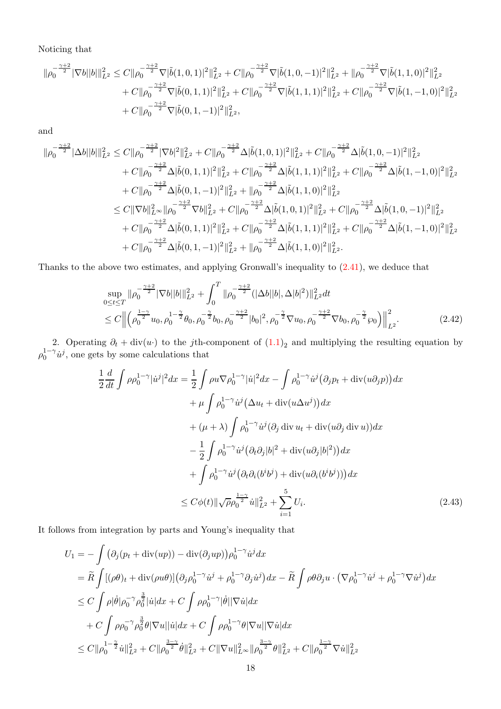Noticing that

$$
\begin{aligned}\n\|\rho_0^{-\frac{\gamma+2}{2}}|\nabla b||b||_{L^2}^2 &\leq C\|\rho_0^{-\frac{\gamma+2}{2}}\nabla|\tilde{b}(1,0,1)|^2\|_{L^2}^2 + C\|\rho_0^{-\frac{\gamma+2}{2}}\nabla|\tilde{b}(1,0,-1)|^2\|_{L^2}^2 + \|\rho_0^{-\frac{\gamma+2}{2}}\nabla|\tilde{b}(1,1,0)|^2\|_{L^2}^2 \\
&\quad + C\|\rho_0^{-\frac{\gamma+2}{2}}\nabla|\tilde{b}(0,1,1)|^2\|_{L^2}^2 + C\|\rho_0^{-\frac{\gamma+2}{2}}\nabla|\tilde{b}(1,1,1)|^2\|_{L^2}^2 + C\|\rho_0^{-\frac{\gamma+2}{2}}\nabla|\tilde{b}(1,-1,0)|^2\|_{L^2}^2 \\
&\quad + C\|\rho_0^{-\frac{\gamma+2}{2}}\nabla|\tilde{b}(0,1,-1)|^2\|_{L^2}^2,\n\end{aligned}
$$

and

$$
\begin{aligned}\n\|\rho_0^{-\frac{\gamma+2}{2}}|\Delta b||b|||_{L^2}^2 &\leq C\|\rho_0^{-\frac{\gamma+2}{2}}|\nabla b|^2\|_{L^2}^2 + C\|\rho_0^{-\frac{\gamma+2}{2}}\Delta|\tilde{b}(1,0,1)|^2\|_{L^2}^2 + C\|\rho_0^{-\frac{\gamma+2}{2}}\Delta|\tilde{b}(1,0,-1)|^2\|_{L^2}^2 \\
&\quad + C\|\rho_0^{-\frac{\gamma+2}{2}}\Delta|\tilde{b}(0,1,1)|^2\|_{L^2}^2 + C\|\rho_0^{-\frac{\gamma+2}{2}}\Delta|\tilde{b}(1,1,1)|^2\|_{L^2}^2 + C\|\rho_0^{-\frac{\gamma+2}{2}}\Delta|\tilde{b}(1,-1,0)|^2\|_{L^2}^2 \\
&\quad + C\|\rho_0^{-\frac{\gamma+2}{2}}\Delta|\tilde{b}(0,1,-1)|^2\|_{L^2}^2 + \|\rho_0^{-\frac{\gamma+2}{2}}\Delta|\tilde{b}(1,1,0)|^2\|_{L^2}^2 \\
&\leq C\|\nabla b\|_{L^\infty}^2\|\rho_0^{-\frac{\gamma+2}{2}}\nabla b\|_{L^2}^2 + C\|\rho_0^{-\frac{\gamma+2}{2}}\Delta|\tilde{b}(1,0,1)|^2\|_{L^2}^2 + C\|\rho_0^{-\frac{\gamma+2}{2}}\Delta|\tilde{b}(1,0,-1)|^2\|_{L^2}^2 \\
&\quad + C\|\rho_0^{-\frac{\gamma+2}{2}}\Delta|\tilde{b}(0,1,1)|^2\|_{L^2}^2 + C\|\rho_0^{-\frac{\gamma+2}{2}}\Delta|\tilde{b}(1,1,1)|^2\|_{L^2}^2 + C\|\rho_0^{-\frac{\gamma+2}{2}}\Delta|\tilde{b}(1,-1,0)|^2\|_{L^2}^2 \\
&\quad + C\|\rho_0^{-\frac{\gamma+2}{2}}\Delta|\tilde{b}(0,1,-1)|^2\|_{L^2}^2 + \|\rho_0^{-\frac{\gamma+2}{2}}\Delta|\tilde{b}(1,1,0)|^2\|_{L^2}^2.\n\end{aligned}
$$

Thanks to the above two estimates, and applying Gronwall's inequality to [\(2.41\)](#page-16-2), we deduce that

<span id="page-17-0"></span>
$$
\sup_{0 \le t \le T} \|\rho_0^{-\frac{\gamma+2}{2}} |\nabla b| |b| \|_{L^2}^2 + \int_0^T \|\rho_0^{-\frac{\gamma+2}{2}} (|\Delta b| |b|, \Delta |b|^2) \|_{L^2}^2 dt
$$
\n
$$
\le C \left\| \left( \rho_0^{\frac{1-\gamma}{2}} u_0, \rho_0^{-\frac{\gamma}{2}} \theta_0, \rho_0^{-\frac{\gamma}{2}} b_0, \rho_0^{-\frac{\gamma+2}{2}} |b_0|^2, \rho_0^{-\frac{\gamma}{2}} \nabla u_0, \rho_0^{-\frac{\gamma+2}{2}} \nabla b_0, \rho_0^{-\frac{\gamma}{2}} \omega_0 \right) \right\|_{L^2}^2. \tag{2.42}
$$

2. Operating  $\partial_t + \text{div}(u)$  to the jth-component of  $(1.1)_2$  and multiplying the resulting equation by  $\rho_0^{1-\gamma} \dot{u}^j$ , one gets by some calculations that

<span id="page-17-1"></span>
$$
\frac{1}{2}\frac{d}{dt}\int \rho \rho_0^{1-\gamma}|\dot{u}^j|^2 dx = \frac{1}{2}\int \rho u \nabla \rho_0^{1-\gamma}|\dot{u}|^2 dx - \int \rho_0^{1-\gamma} \dot{u}^j (\partial_j p_t + \text{div}(u \partial_j p)) dx \n+ \mu \int \rho_0^{1-\gamma} \dot{u}^j (\Delta u_t + \text{div}(u \Delta u^j)) dx \n+ (\mu + \lambda) \int \rho_0^{1-\gamma} \dot{u}^j (\partial_j \text{ div } u_t + \text{div}(u \partial_j \text{ div } u)) dx \n- \frac{1}{2}\int \rho_0^{1-\gamma} \dot{u}^j (\partial_t \partial_j |b|^2 + \text{div}(u \partial_j |b|^2)) dx \n+ \int \rho_0^{1-\gamma} \dot{u}^j (\partial_t \partial_i (b^i b^j) + \text{div}(u \partial_i (b^i b^j))) dx \n\leq C\phi(t) \|\sqrt{\rho} \rho_0^{\frac{1-\gamma}{2}} \dot{u}\|_{L^2}^2 + \sum_{i=1}^5 U_i.
$$
\n(2.43)

It follows from integration by parts and Young's inequality that

$$
U_{1} = -\int (\partial_{j}(p_{t} + \operatorname{div}(up)) - \operatorname{div}(\partial_{j}up)) \rho_{0}^{1-\gamma} \dot{u}^{j} dx
$$
  
\n
$$
= \widetilde{R} \int [(\rho \theta)_{t} + \operatorname{div}(\rho u \theta)] (\partial_{j} \rho_{0}^{1-\gamma} \dot{u}^{j} + \rho_{0}^{1-\gamma} \partial_{j} \dot{u}^{j}) dx - \widetilde{R} \int \rho \theta \partial_{j} u \cdot (\nabla \rho_{0}^{1-\gamma} \dot{u}^{j} + \rho_{0}^{1-\gamma} \nabla \dot{u}^{j}) dx
$$
  
\n
$$
\leq C \int \rho |\dot{\theta}| \rho_{0}^{-\gamma} \rho_{0}^{\frac{3}{2}} |u| dx + C \int \rho \rho_{0}^{1-\gamma} |\dot{\theta}| |\nabla \dot{u}| dx
$$
  
\n
$$
+ C \int \rho \rho_{0}^{-\gamma} \rho_{0}^{\frac{3}{2}} \theta |\nabla u| |\dot{u}| dx + C \int \rho \rho_{0}^{1-\gamma} \theta |\nabla u| |\nabla \dot{u}| dx
$$
  
\n
$$
\leq C ||\rho_{0}^{1-\frac{\gamma}{2}} \dot{u}||_{L^{2}}^{2} + C ||\rho_{0}^{\frac{3-\gamma}{2}} \dot{\theta}||_{L^{2}}^{2} + C ||\nabla u||_{L^{\infty}}^{2} ||\rho_{0}^{\frac{3-\gamma}{2}} \theta||_{L^{2}}^{2} + C ||\rho_{0}^{\frac{1-\gamma}{2}} \nabla \dot{u}||_{L^{2}}^{2}
$$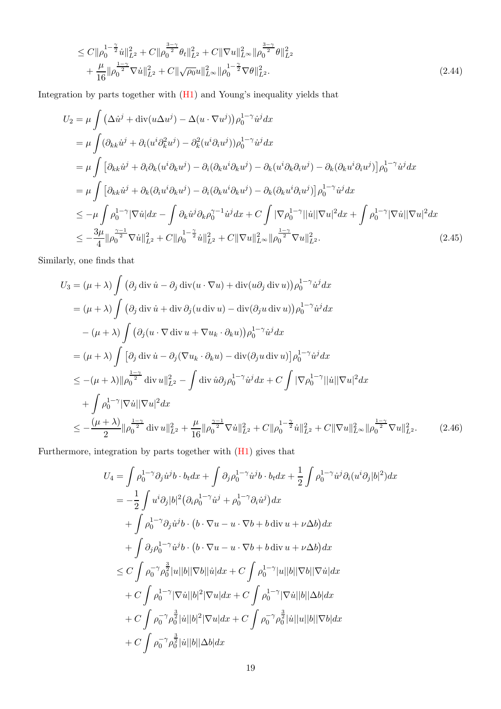<span id="page-18-0"></span>
$$
\leq C \|\rho_0^{1-\frac{\gamma}{2}} u\|_{L^2}^2 + C \|\rho_0^{\frac{3-\gamma}{2}} \theta_t\|_{L^2}^2 + C \|\nabla u\|_{L^\infty}^2 \|\rho_0^{\frac{3-\gamma}{2}} \theta\|_{L^2}^2 \n+ \frac{\mu}{16} \|\rho_0^{\frac{1-\gamma}{2}} \nabla u\|_{L^2}^2 + C \|\sqrt{\rho_0} u\|_{L^\infty}^2 \|\rho_0^{1-\frac{\gamma}{2}} \nabla \theta\|_{L^2}^2.
$$
\n(2.44)

Integration by parts together with [\(H1\)](#page-3-2) and Young's inequality yields that

$$
U_2 = \mu \int (\Delta \dot{u}^j + \text{div}(u\Delta u^j) - \Delta (u \cdot \nabla u^j)) \rho_0^{1-\gamma} \dot{u}^j dx
$$
  
\n
$$
= \mu \int (\partial_{kk} \dot{u}^j + \partial_i (u^i \partial_k^2 u^j) - \partial_k^2 (u^i \partial_i u^j)) \rho_0^{1-\gamma} \dot{u}^j dx
$$
  
\n
$$
= \mu \int [\partial_{kk} \dot{u}^j + \partial_i \partial_k (u^i \partial_k u^j) - \partial_i (\partial_k u^i \partial_k u^j) - \partial_k (u^i \partial_k \partial_i u^j) - \partial_k (\partial_k u^i \partial_i u^j)] \rho_0^{1-\gamma} \dot{u}^j dx
$$
  
\n
$$
= \mu \int [\partial_{kk} \dot{u}^j + \partial_k (\partial_i u^i \partial_k u^j) - \partial_i (\partial_k u^i \partial_k u^j) - \partial_k (\partial_k u^i \partial_i u^j)] \rho_0^{1-\gamma} \dot{u}^j dx
$$
  
\n
$$
\leq -\mu \int \rho_0^{1-\gamma} |\nabla \dot{u}| dx - \int \partial_k \dot{u}^j \partial_k \rho_0^{\gamma-1} \dot{u}^j dx + C \int |\nabla \rho_0^{1-\gamma}| |\dot{u}| |\nabla u|^2 dx + \int \rho_0^{1-\gamma} |\nabla \dot{u}| |\nabla u|^2 dx
$$
  
\n
$$
\leq -\frac{3\mu}{4} ||\rho_0^{\frac{\gamma-1}{2}} \nabla \dot{u}||_{L^2}^2 + C ||\rho_0^{1-\frac{\gamma}{2}} \dot{u}||_{L^2}^2 + C ||\nabla u||_{L^{\infty}}^2 ||\rho_0^{\frac{1-\gamma}{2}} \nabla u||_{L^2}^2.
$$
\n(2.45)

Similarly, one finds that

$$
U_3 = (\mu + \lambda) \int (\partial_j \operatorname{div} \dot{u} - \partial_j \operatorname{div} (u \cdot \nabla u) + \operatorname{div} (u \partial_j \operatorname{div} u)) \rho_0^{1-\gamma} \dot{u}^j dx
$$
  
\n
$$
= (\mu + \lambda) \int (\partial_j \operatorname{div} \dot{u} + \operatorname{div} \partial_j (u \operatorname{div} u) - \operatorname{div} (\partial_j u \operatorname{div} u)) \rho_0^{1-\gamma} \dot{u}^j dx
$$
  
\n
$$
- (\mu + \lambda) \int (\partial_j (u \cdot \nabla \operatorname{div} u + \nabla u_k \cdot \partial_k u)) \rho_0^{1-\gamma} \dot{u}^j dx
$$
  
\n
$$
= (\mu + \lambda) \int [\partial_j \operatorname{div} \dot{u} - \partial_j (\nabla u_k \cdot \partial_k u) - \operatorname{div} (\partial_j u \operatorname{div} u)] \rho_0^{1-\gamma} \dot{u}^j dx
$$
  
\n
$$
\leq -(\mu + \lambda) ||\rho_0^{\frac{1-\gamma}{2}} \operatorname{div} u||_{L^2}^2 - \int \operatorname{div} \dot{u} \partial_j \rho_0^{1-\gamma} \dot{u}^j dx + C \int |\nabla \rho_0^{1-\gamma}||\dot{u}|| \nabla u|^2 dx
$$
  
\n
$$
+ \int \rho_0^{1-\gamma} |\nabla \dot{u}| |\nabla u|^2 dx
$$
  
\n
$$
\leq -\frac{(\mu + \lambda)}{2} ||\rho_0^{\frac{1-\gamma}{2}} \operatorname{div} u||_{L^2}^2 + \frac{\mu}{16} ||\rho_0^{\frac{\gamma-1}{2}} \nabla \dot{u}||_{L^2}^2 + C ||\rho_0^{1-\frac{\gamma}{2}} \dot{u}||_{L^2}^2 + C ||\nabla u||_{L^{\infty}}^2 ||\rho_0^{\frac{1-\gamma}{2}} \nabla u||_{L^2}^2. \qquad (2.46)
$$

Furthermore, integration by parts together with [\(H1\)](#page-3-2) gives that

$$
U_4 = \int \rho_0^{1-\gamma} \partial_j \dot{u}^j b \cdot b_t dx + \int \partial_j \rho_0^{1-\gamma} \dot{u}^j b \cdot b_t dx + \frac{1}{2} \int \rho_0^{1-\gamma} \dot{u}^j \partial_i (u^i \partial_j |b|^2) dx
$$
  
\n
$$
= -\frac{1}{2} \int u^i \partial_j |b|^2 (\partial_i \rho_0^{1-\gamma} \dot{u}^j + \rho_0^{1-\gamma} \partial_i \dot{u}^j) dx
$$
  
\n
$$
+ \int \rho_0^{1-\gamma} \partial_j \dot{u}^j b \cdot (b \cdot \nabla u - u \cdot \nabla b + b \operatorname{div} u + \nu \Delta b) dx
$$
  
\n
$$
+ \int \partial_j \rho_0^{1-\gamma} \dot{u}^j b \cdot (b \cdot \nabla u - u \cdot \nabla b + b \operatorname{div} u + \nu \Delta b) dx
$$
  
\n
$$
\leq C \int \rho_0^{-\gamma} \rho_0^{\frac{3}{2}} |u||b||\nabla b||\dot{u}| dx + C \int \rho_0^{1-\gamma} |u||b||\nabla b||\nabla \dot{u}| dx
$$
  
\n
$$
+ C \int \rho_0^{1-\gamma} |\nabla \dot{u}| |b|^2 |\nabla u| dx + C \int \rho_0^{1-\gamma} |\nabla \dot{u}| |b||\Delta b| dx
$$
  
\n
$$
+ C \int \rho_0^{-\gamma} \rho_0^{\frac{3}{2}} |u||b|^2 |\nabla u| dx + C \int \rho_0^{-\gamma} \rho_0^{\frac{3}{2}} |u||u||b||\nabla b| dx
$$
  
\n
$$
+ C \int \rho_0^{-\gamma} \rho_0^{\frac{3}{2}} |u||b||\Delta b| dx
$$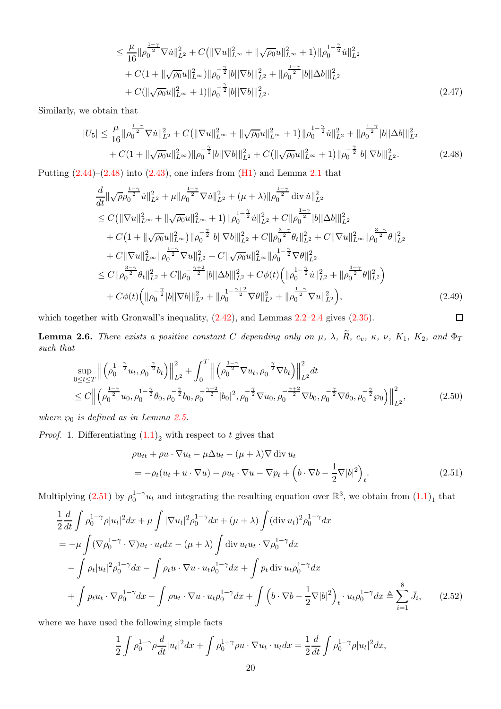$$
\leq \frac{\mu}{16} \|\rho_0^{\frac{1-\gamma}{2}} \nabla \dot{u}\|_{L^2}^2 + C \left( \|\nabla u\|_{L^\infty}^2 + \|\sqrt{\rho_0} u\|_{L^\infty}^2 + 1 \right) \|\rho_0^{1-\frac{\gamma}{2}} \dot{u}\|_{L^2}^2 + C \left( 1 + \|\sqrt{\rho_0} u\|_{L^\infty}^2 \right) \|\rho_0^{-\frac{\gamma}{2}} |b| |\nabla b| \|_{L^2}^2 + \|\rho_0^{\frac{1-\gamma}{2}} |b| |\Delta b| \|_{L^2}^2 + C \left( \|\sqrt{\rho_0} u\|_{L^\infty}^2 + 1 \right) \|\rho_0^{-\frac{\gamma}{2}} |b| |\nabla b| \|_{L^2}^2.
$$
\n(2.47)

Similarly, we obtain that

$$
|U_5| \leq \frac{\mu}{16} \|\rho_0^{\frac{1-\gamma}{2}} \nabla \dot{u}\|_{L^2}^2 + C \left( \|\nabla u\|_{L^\infty}^2 + \|\sqrt{\rho_0} u\|_{L^\infty}^2 + 1 \right) \|\rho_0^{1-\frac{\gamma}{2}} \dot{u}\|_{L^2}^2 + \|\rho_0^{\frac{1-\gamma}{2}} |b| |\Delta b| \|_{L^2}^2 + C \left( \|\sqrt{\rho_0} u\|_{L^\infty}^2 + C \left( \|\sqrt{\rho_0} u\|_{L^\infty}^2 + 1 \right) \|\rho_0^{-\frac{\gamma}{2}} |b| |\nabla b| \|_{L^2}^2 \right) \tag{2.48}
$$

Putting  $(2.44)$ – $(2.48)$  into  $(2.43)$ , one infers from  $(H1)$  and Lemma [2.1](#page-5-1) that

$$
\frac{d}{dt} \|\sqrt{\rho} \rho_0^{\frac{1-\gamma}{2}} \dot{u}\|_{L^2}^2 + \mu \|\rho_0^{\frac{1-\gamma}{2}} \nabla \dot{u}\|_{L^2}^2 + (\mu + \lambda) \|\rho_0^{\frac{1-\gamma}{2}} \operatorname{div} \dot{u}\|_{L^2}^2 \n\leq C \big( \|\nabla u\|_{L^{\infty}}^2 + \|\sqrt{\rho_0} u\|_{L^{\infty}}^2 + 1 \big) \|\rho_0^{\frac{1-\gamma}{2}} \dot{u}\|_{L^2}^2 + C \|\rho_0^{\frac{1-\gamma}{2}} |b| |\Delta b| \|_{L^2}^2 \n+ C \big( 1 + \|\sqrt{\rho_0} u\|_{L^{\infty}}^2 \big) \|\rho_0^{-\frac{\gamma}{2}} |b| |\nabla b| \|_{L^2}^2 + C \|\rho_0^{\frac{3-\gamma}{2}} \theta_t \|_{L^2}^2 + C \|\nabla u\|_{L^{\infty}}^2 \|\rho_0^{\frac{3-\gamma}{2}} \theta\|_{L^2}^2 \n+ C \|\nabla u\|_{L^{\infty}}^2 \|\rho_0^{\frac{1-\gamma}{2}} \nabla u\|_{L^2}^2 + C \|\sqrt{\rho_0} u\|_{L^{\infty}}^2 \|\rho_0^{\frac{1-\gamma}{2}} \nabla \theta\|_{L^2}^2 \n\leq C \|\rho_0^{\frac{3-\gamma}{2}} \theta_t\|_{L^2}^2 + C \|\rho_0^{-\frac{\gamma+2}{2}} |b| |\Delta b| \|_{L^2}^2 + C \phi(t) \Big( \|\rho_0^{1-\frac{\gamma}{2}} \dot{u}\|_{L^2}^2 + \|\rho_0^{\frac{3-\gamma}{2}} \theta\|_{L^2}^2 \Big) \n+ C \phi(t) \Big( \|\rho_0^{-\frac{\gamma}{2}} |b| |\nabla b| \|_{L^2}^2 + \|\rho_0^{\frac{1-\gamma}{2}} \nabla \theta\|_{L^2}^2 + \|\rho_0^{\frac{1-\gamma}{2}} \nabla u\|_{L^2}^2 \Big), \tag{2.49}
$$

which together with Gronwall's inequality,  $(2.42)$  $(2.42)$  $(2.42)$ , and Lemmas  $2.2-2.4$  gives  $(2.35)$ .

<span id="page-19-1"></span>**Lemma 2.6.** There exists a positive constant C depending only on  $\mu$ ,  $\lambda$ ,  $\tilde{R}$ ,  $c_v$ ,  $\kappa$ ,  $\nu$ ,  $K_1$ ,  $K_2$ , and  $\Phi_T$ such that

$$
\sup_{0 \le t \le T} \left\| \left( \rho_0^{1-\frac{\gamma}{2}} u_t, \rho_0^{-\frac{\gamma}{2}} b_t \right) \right\|_{L^2}^2 + \int_0^T \left\| \left( \rho_0^{\frac{1-\gamma}{2}} \nabla u_t, \rho_0^{-\frac{\gamma}{2}} \nabla b_t \right) \right\|_{L^2}^2 dt
$$
\n
$$
\le C \left\| \left( \rho_0^{\frac{1-\gamma}{2}} u_0, \rho_0^{-\frac{\gamma}{2}} \theta_0, \rho_0^{-\frac{\gamma}{2}} b_0, \rho_0^{-\frac{\gamma+2}{2}} |b_0|^2, \rho_0^{-\frac{\gamma}{2}} \nabla u_0, \rho_0^{-\frac{\gamma+2}{2}} \nabla b_0, \rho_0^{-\frac{\gamma}{2}} \nabla \theta_0, \rho_0^{-\frac{\gamma}{2}} \omega_0 \right) \right\|_{L^2}^2, \tag{2.50}
$$

where  $\wp_0$  is defined as in Lemma [2.5.](#page-15-4)

*Proof.* 1. Differentiating  $(1.1)<sub>2</sub>$  with respect to t gives that

$$
\rho u_{tt} + \rho u \cdot \nabla u_t - \mu \Delta u_t - (\mu + \lambda) \nabla \operatorname{div} u_t
$$
  
= 
$$
-\rho_t (u_t + u \cdot \nabla u) - \rho u_t \cdot \nabla u - \nabla p_t + \left( b \cdot \nabla b - \frac{1}{2} \nabla |b|^2 \right)_t.
$$
 (2.51)

<span id="page-19-5"></span><span id="page-19-4"></span><span id="page-19-3"></span><span id="page-19-2"></span><span id="page-19-0"></span> $\Box$ 

Multiplying  $(2.51)$  by  $\rho_0^{1-\gamma}u_t$  and integrating the resulting equation over  $\mathbb{R}^3$ , we obtain from  $(1.1)_1$  that

$$
\frac{1}{2} \frac{d}{dt} \int \rho_0^{1-\gamma} \rho |u_t|^2 dx + \mu \int |\nabla u_t|^2 \rho_0^{1-\gamma} dx + (\mu + \lambda) \int (\text{div } u_t)^2 \rho_0^{1-\gamma} dx \n= -\mu \int (\nabla \rho_0^{1-\gamma} \cdot \nabla) u_t \cdot u_t dx - (\mu + \lambda) \int \text{div } u_t u_t \cdot \nabla \rho_0^{1-\gamma} dx \n- \int \rho_t |u_t|^2 \rho_0^{1-\gamma} dx - \int \rho_t u \cdot \nabla u \cdot u_t \rho_0^{1-\gamma} dx + \int p_t \text{div } u_t \rho_0^{1-\gamma} dx \n+ \int p_t u_t \cdot \nabla \rho_0^{1-\gamma} dx - \int \rho u_t \cdot \nabla u \cdot u_t \rho_0^{1-\gamma} dx + \int \left( b \cdot \nabla b - \frac{1}{2} \nabla |b|^2 \right)_t \cdot u_t \rho_0^{1-\gamma} dx \triangleq \sum_{i=1}^8 \bar{J}_i, \qquad (2.52)
$$

where we have used the following simple facts

$$
\frac{1}{2}\int \rho_0^{1-\gamma}\rho \frac{d}{dt}|u_t|^2 dx + \int \rho_0^{1-\gamma}\rho u \cdot \nabla u_t \cdot u_t dx = \frac{1}{2}\frac{d}{dt}\int \rho_0^{1-\gamma}\rho |u_t|^2 dx,
$$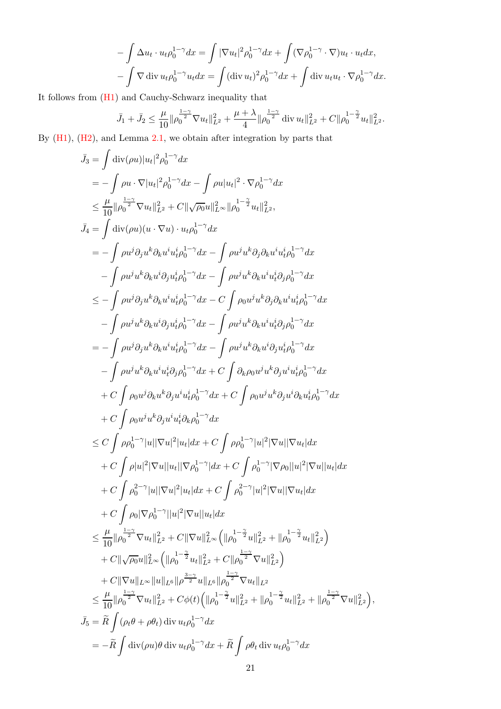$$
-\int \Delta u_t \cdot u_t \rho_0^{1-\gamma} dx = \int |\nabla u_t|^2 \rho_0^{1-\gamma} dx + \int (\nabla \rho_0^{1-\gamma} \cdot \nabla) u_t \cdot u_t dx,
$$
  

$$
-\int \nabla \operatorname{div} u_t \rho_0^{1-\gamma} u_t dx = \int (\operatorname{div} u_t)^2 \rho_0^{1-\gamma} dx + \int \operatorname{div} u_t u_t \cdot \nabla \rho_0^{1-\gamma} dx.
$$

It follows from [\(H1\)](#page-3-2) and Cauchy-Schwarz inequality that

$$
\bar{J}_1 + \bar{J}_2 \le \frac{\mu}{10} \|\rho_0^{\frac{1-\gamma}{2}} \nabla u_t\|_{L^2}^2 + \frac{\mu+\lambda}{4} \|\rho_0^{\frac{1-\gamma}{2}} \operatorname{div} u_t\|_{L^2}^2 + C \|\rho_0^{1-\frac{\gamma}{2}} u_t\|_{L^2}^2.
$$

By [\(H1\)](#page-3-2), [\(H2\)](#page-4-0), and Lemma [2.1,](#page-5-1) we obtain after integration by parts that

$$
\begin{split}\n\bar{J}_{3} & = \int \mathrm{div}(\rho u)|u_{t}|^{2}\rho_{0}^{1-\gamma}dx \\
&= -\int \rho u \cdot \nabla |u_{t}|^{2}\rho_{0}^{1-\gamma}dx - \int \rho u|u_{t}|^{2} \cdot \nabla \rho_{0}^{1-\gamma}dx \\
&\leq \frac{\mu}{10}||\rho_{0}^{\frac{1-\gamma}{2}}\nabla u_{t}||_{L^{2}}^{2} + C||\sqrt{\rho_{0}}u||_{L^{\infty}}^{2}||\rho_{0}^{\frac{1-\gamma}{2}}u_{t}||_{L^{2}}^{2}, \\
\bar{J}_{4} & = \int \mathrm{div}(\rho u)(u \cdot \nabla u) \cdot u_{t}\rho_{0}^{1-\gamma}dx \\
&= -\int \rho u^{j}\partial_{j}u^{k}\partial_{k}u^{i}u_{t}^{i}\rho_{0}^{1-\gamma}dx - \int \rho u^{j}u^{k}\partial_{j}\partial_{k}u^{i}u_{t}^{i}\rho_{0}^{1-\gamma}dx \\
&\leq -\int \rho u^{j}\partial_{j}u^{k}\partial_{k}u^{i}u_{t}^{i}\rho_{0}^{1-\gamma}dx - \int \rho u^{j}u^{k}\partial_{k}u^{i}u_{t}^{i}\rho_{0}^{1-\gamma}dx \\
&= -\int \rho u^{j}\partial_{j}u^{k}\partial_{k}u^{i}u_{t}^{i}\rho_{0}^{1-\gamma}dx - C\int \rho_{0}u^{j}u^{k}\partial_{j}\partial_{k}u^{i}u_{t}^{i}\rho_{0}^{1-\gamma}dx \\
&= -\int \rho u^{j}u^{k}\partial_{k}u^{i}u_{t}^{i}\rho_{0}^{1-\gamma}dx - \int \rho u^{j}u^{k}\partial_{k}u^{i}u_{t}^{i}\partial_{j}\partial_{0}^{1-\gamma}dx \\
&= -\int \rho u^{j}u^{k}\partial_{k}u^{i}u_{t}^{i}\rho_{0}^{1-\gamma}dx - \int \rho u^{j}u^{k}\partial_{k}u^{i}u_{t}^{i}\partial_{j}\partial_{0}^{1-\gamma}dx \\
&= -\int \rho u^{j}u^{k}\partial_{k}u^{i}u_{t}^{i}\rho_{0}^{1-\gamma}dx - \int \rho u^{j}u^{k}\partial_{k}u^{i}u_{t}^{i}\partial_{j}^{1-\gamma}dx \\
&
$$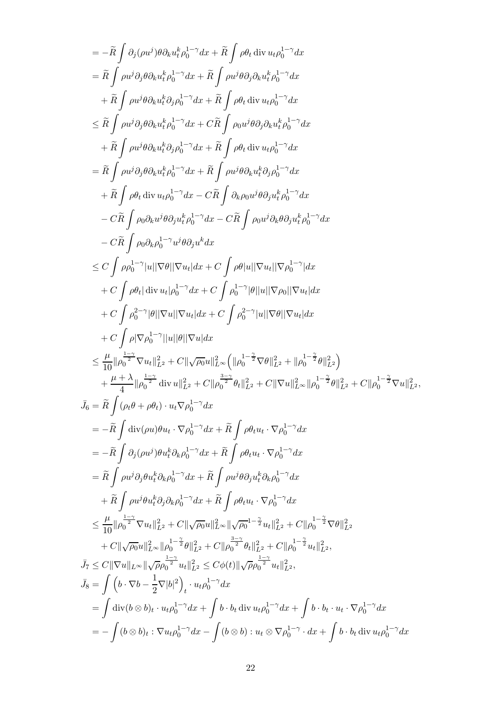$$
= -\tilde{R} \int \beta_{j}(\rho u^{j})\theta\partial_{k}u_{i}^{k}\rho_{0}^{1-\gamma}dx + \tilde{R} \int \rho\theta_{i} \operatorname{div} u_{i}\rho_{0}^{1-\gamma}dx
$$
\n
$$
= \tilde{R} \int \rho u^{j}\partial_{j}\theta\partial_{k}u_{i}^{k}\rho_{0}^{1-\gamma}dx + \tilde{R} \int \rho\theta_{i}^{j}\operatorname{div} u_{i}\rho_{0}^{1-\gamma}dx
$$
\n
$$
+ \tilde{R} \int \rho u^{j}\theta\partial_{k}u_{i}^{k}\partial_{j}\theta_{0}^{1-\gamma}dx + \tilde{R} \int \rho\theta_{i} \operatorname{div} u_{i}\rho_{0}^{1-\gamma}dx
$$
\n
$$
\leq \tilde{R} \int \rho u^{j}\theta\partial_{k}u_{i}^{k}\rho_{0}^{1-\gamma}dx + \tilde{R} \int \rho\theta_{i}^{j}\operatorname{div} u_{i}\rho_{0}^{1-\gamma}dx
$$
\n
$$
+ \tilde{R} \int \rho u^{j}\theta\partial_{k}u_{i}^{k}\rho_{0}^{1-\gamma}dx + \tilde{R} \int \rho\theta_{i}^{j}\operatorname{div} u_{i}\rho_{0}^{1-\gamma}dx
$$
\n
$$
+ \tilde{R} \int \rho u^{j}\theta\partial_{k}u_{i}^{k}\theta_{j}\rho_{0}^{1-\gamma}dx + \tilde{R} \int \rho\theta_{i}^{j}\operatorname{div} u_{i}\rho_{0}^{1-\gamma}dx
$$
\n
$$
+ \tilde{R} \int \rho\theta_{i} \operatorname{div} u_{i}\rho_{0}^{1-\gamma}dx - \tilde{C}\tilde{R} \int \partial_{k}\rho\alpha u^{j}\theta\partial_{j}u_{i}^{k}\rho_{0}^{1-\gamma}dx
$$
\n
$$
- \tilde{C}\tilde{R} \int \rho\theta_{i}^{j}\operatorname{div} u_{i}\rho_{0}^{1-\gamma}dx - \tilde{C}\tilde{R} \int \rho_{i}\alpha u^{j}\partial_{k}\theta\partial_{l}u_{i}^{k}\rho_{0}^{1-\gamma}dx
$$
\n
$$
- \tilde{C}\tilde{R} \int \rho\theta_{k}^{j}\operatorname{div
$$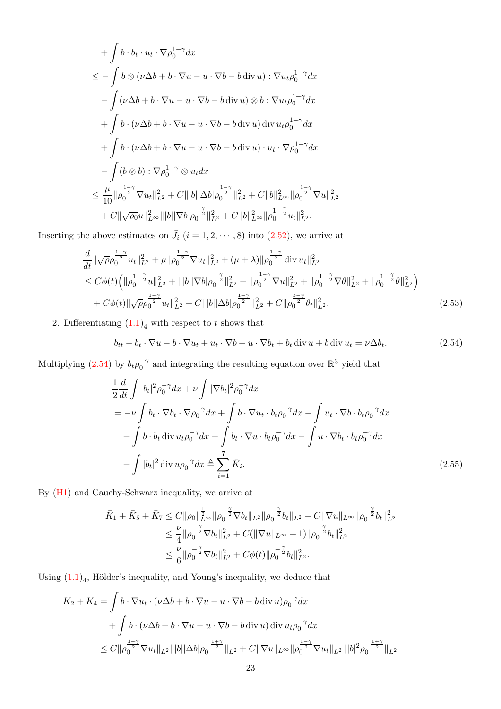$$
+\int b \cdot b_t \cdot u_t \cdot \nabla \rho_0^{1-\gamma} dx
$$
  
\n
$$
\leq -\int b \otimes (\nu \Delta b + b \cdot \nabla u - u \cdot \nabla b - b \operatorname{div} u) : \nabla u_t \rho_0^{1-\gamma} dx
$$
  
\n
$$
-\int (\nu \Delta b + b \cdot \nabla u - u \cdot \nabla b - b \operatorname{div} u) \otimes b : \nabla u_t \rho_0^{1-\gamma} dx
$$
  
\n
$$
+\int b \cdot (\nu \Delta b + b \cdot \nabla u - u \cdot \nabla b - b \operatorname{div} u) \operatorname{div} u_t \rho_0^{1-\gamma} dx
$$
  
\n
$$
+\int b \cdot (\nu \Delta b + b \cdot \nabla u - u \cdot \nabla b - b \operatorname{div} u) \cdot u_t \cdot \nabla \rho_0^{1-\gamma} dx
$$
  
\n
$$
-\int (b \otimes b) : \nabla \rho_0^{1-\gamma} \otimes u_t dx
$$
  
\n
$$
\leq \frac{\mu}{10} ||\rho_0^{\frac{1-\gamma}{2}} \nabla u_t||_{L^2}^2 + C |||b|| \Delta b |\rho_0^{\frac{1-\gamma}{2}}||_{L^2}^2 + C ||b||_{L^{\infty}}^2 ||\rho_0^{\frac{1-\gamma}{2}} \nabla u||_{L^2}^2
$$
  
\n
$$
+ C ||\sqrt{\rho_0} u||_{L^{\infty}}^2 |||b|| |\nabla b|\rho_0^{-\frac{\gamma}{2}}||_{L^2}^2 + C ||b||_{L^{\infty}}^2 ||\rho_0^{1-\frac{\gamma}{2}} u_t||_{L^2}^2.
$$

Inserting the above estimates on  $\bar{J}_i$   $(i = 1, 2, \dots, 8)$  into  $(2.52)$ , we arrive at

$$
\frac{d}{dt} \|\sqrt{\rho} \rho_0^{\frac{1-\gamma}{2}} u_t\|_{L^2}^2 + \mu \|\rho_0^{\frac{1-\gamma}{2}} \nabla u_t\|_{L^2}^2 + (\mu + \lambda) \|\rho_0^{\frac{1-\gamma}{2}} \operatorname{div} u_t\|_{L^2}^2 \n\leq C\phi(t) \left( \|\rho_0^{1-\frac{\gamma}{2}} u\|_{L^2}^2 + \|b\|\nabla b\|\rho_0^{-\frac{\gamma}{2}}\|_{L^2}^2 + \|\rho_0^{\frac{1-\gamma}{2}} \nabla u\|_{L^2}^2 + \|\rho_0^{1-\frac{\gamma}{2}} \nabla \theta\|_{L^2}^2 + \|\rho_0^{1-\frac{\gamma}{2}} \theta\|_{L^2}^2 \right) \n+ C\phi(t) \|\sqrt{\rho} \rho_0^{\frac{1-\gamma}{2}} u_t\|_{L^2}^2 + C \|b\|\Delta b \|\rho_0^{\frac{1-\gamma}{2}}\|_{L^2}^2 + C \|\rho_0^{\frac{3-\gamma}{2}} \theta_t\|_{L^2}^2.
$$
\n(2.53)

2. Differentiating  $(1.1)<sub>4</sub>$  with respect to t shows that

<span id="page-22-2"></span><span id="page-22-0"></span>
$$
b_{tt} - b_t \cdot \nabla u - b \cdot \nabla u_t + u_t \cdot \nabla b + u \cdot \nabla b_t + b_t \operatorname{div} u + b \operatorname{div} u_t = \nu \Delta b_t.
$$
 (2.54)

Multiplying [\(2.54\)](#page-22-0) by  $b_t \rho_0^{-\gamma}$  and integrating the resulting equation over  $\mathbb{R}^3$  yield that

<span id="page-22-1"></span>
$$
\frac{1}{2}\frac{d}{dt}\int |b_t|^2 \rho_0^{-\gamma} dx + \nu \int |\nabla b_t|^2 \rho_0^{-\gamma} dx
$$
\n
$$
= -\nu \int b_t \cdot \nabla b_t \cdot \nabla \rho_0^{-\gamma} dx + \int b \cdot \nabla u_t \cdot b_t \rho_0^{-\gamma} dx - \int u_t \cdot \nabla b \cdot b_t \rho_0^{-\gamma} dx
$$
\n
$$
- \int b \cdot b_t \operatorname{div} u_t \rho_0^{-\gamma} dx + \int b_t \cdot \nabla u \cdot b_t \rho_0^{-\gamma} dx - \int u \cdot \nabla b_t \cdot b_t \rho_0^{-\gamma} dx
$$
\n
$$
- \int |b_t|^2 \operatorname{div} u \rho_0^{-\gamma} dx \triangleq \sum_{i=1}^7 \bar{K}_i.
$$
\n(2.55)

By [\(H1\)](#page-3-2) and Cauchy-Schwarz inequality, we arrive at

$$
\begin{split} \bar{K}_1+\bar{K}_5+\bar{K}_7 &\leq C\|\rho_0\|_{L^\infty}^{\frac{1}{2}}\|\rho_0^{-\frac{\gamma}{2}}\nabla b_t\|_{L^2}\|\rho_0^{-\frac{\gamma}{2}}b_t\|_{L^2}+C\|\nabla u\|_{L^\infty}\|\rho_0^{-\frac{\gamma}{2}}b_t\|_{L^2}^2\\ &\leq \frac{\nu}{4}\|\rho_0^{-\frac{\gamma}{2}}\nabla b_t\|_{L^2}^2+C(\|\nabla u\|_{L^\infty}+1)\|\rho_0^{-\frac{\gamma}{2}}b_t\|_{L^2}^2\\ &\leq \frac{\nu}{6}\|\rho_0^{-\frac{\gamma}{2}}\nabla b_t\|_{L^2}^2+C\phi(t)\|\rho_0^{-\frac{\gamma}{2}}b_t\|_{L^2}^2. \end{split}
$$

Using  $(1.1)<sub>4</sub>$ , Hölder's inequality, and Young's inequality, we deduce that

$$
\bar{K}_2 + \bar{K}_4 = \int b \cdot \nabla u_t \cdot (\nu \Delta b + b \cdot \nabla u - u \cdot \nabla b - b \operatorname{div} u) \rho_0^{-\gamma} dx \n+ \int b \cdot (\nu \Delta b + b \cdot \nabla u - u \cdot \nabla b - b \operatorname{div} u) \operatorname{div} u_t \rho_0^{-\gamma} dx \n\leq C \| \rho_0^{\frac{1-\gamma}{2}} \nabla u_t \|_{L^2} \| |b| |\Delta b| \rho_0^{-\frac{1+\gamma}{2}} \|_{L^2} + C \| \nabla u \|_{L^\infty} \| \rho_0^{\frac{1-\gamma}{2}} \nabla u_t \|_{L^2} \| |b|^2 \rho_0^{-\frac{1+\gamma}{2}} \|_{L^2}
$$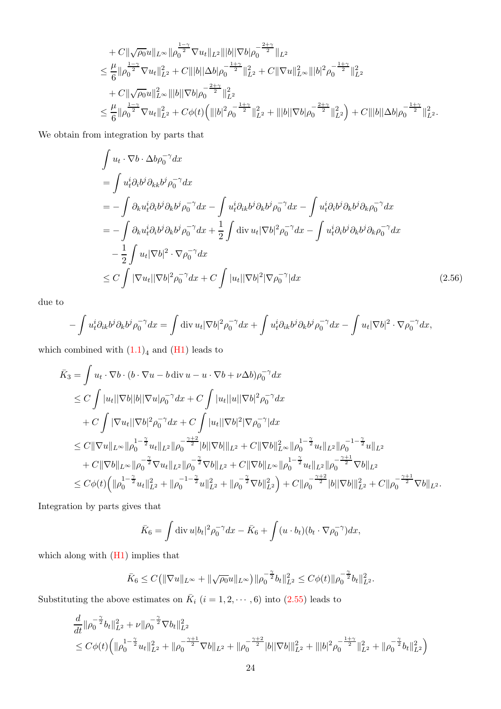$$
+ C \|\sqrt{\rho_0}u\|_{L^\infty} \|\rho_0^{\frac{1-\gamma}{2}} \nabla u_t\|_{L^2} \||b||\nabla b|\rho_0^{-\frac{2+\gamma}{2}}\|_{L^2}
$$
  
\n
$$
\leq \frac{\mu}{6} \|\rho_0^{\frac{1-\gamma}{2}} \nabla u_t\|_{L^2}^2 + C \||b||\Delta b|\rho_0^{-\frac{1+\gamma}{2}}\|_{L^2}^2 + C \|\nabla u\|_{L^\infty}^2 \||b|^2 \rho_0^{-\frac{1+\gamma}{2}}\|_{L^2}^2
$$
  
\n
$$
+ C \|\sqrt{\rho_0}u\|_{L^\infty}^2 \||b||\nabla b|\rho_0^{-\frac{2+\gamma}{2}}\|_{L^2}^2
$$
  
\n
$$
\leq \frac{\mu}{6} \|\rho_0^{\frac{1-\gamma}{2}} \nabla u_t\|_{L^2}^2 + C \phi(t) \Big( \||b|^2 \rho_0^{-\frac{1+\gamma}{2}}\|_{L^2}^2 + \||b||\nabla b|\rho_0^{-\frac{2+\gamma}{2}}\|_{L^2}^2 \Big) + C \||b||\Delta b|\rho_0^{-\frac{1+\gamma}{2}}\|_{L^2}^2.
$$

We obtain from integration by parts that

$$
\int u_t \cdot \nabla b \cdot \Delta b \rho_0^{-\gamma} dx
$$
\n
$$
= \int u_t^i \partial_i b^j \partial_{kk} b^j \rho_0^{-\gamma} dx
$$
\n
$$
= - \int \partial_k u_t^i \partial_i b^j \partial_k b^j \rho_0^{-\gamma} dx - \int u_t^i \partial_{ik} b^j \partial_k b^j \rho_0^{-\gamma} dx - \int u_t^i \partial_i b^j \partial_k b^j \partial_k \rho_0^{-\gamma} dx
$$
\n
$$
= - \int \partial_k u_t^i \partial_i b^j \partial_k b^j \rho_0^{-\gamma} dx + \frac{1}{2} \int \text{div } u_t |\nabla b|^2 \rho_0^{-\gamma} dx - \int u_t^i \partial_i b^j \partial_k b^j \partial_k \rho_0^{-\gamma} dx
$$
\n
$$
- \frac{1}{2} \int u_t |\nabla b|^2 \cdot \nabla \rho_0^{-\gamma} dx
$$
\n
$$
\leq C \int |\nabla u_t| |\nabla b|^2 \rho_0^{-\gamma} dx + C \int |u_t| |\nabla b|^2 |\nabla \rho_0^{-\gamma} dx \qquad (2.56)
$$

due to

$$
-\int u_t^i \partial_{ik} b^j \partial_k b^j \rho_0^{-\gamma} dx = \int \operatorname{div} u_t |\nabla b|^2 \rho_0^{-\gamma} dx + \int u_t^i \partial_{ik} b^j \partial_k b^j \rho_0^{-\gamma} dx - \int u_t |\nabla b|^2 \cdot \nabla \rho_0^{-\gamma} dx,
$$

which combined with  $(1.1)<sub>4</sub>$  and  $(H1)$  leads to

$$
\bar{K}_{3} = \int u_{t} \cdot \nabla b \cdot (b \cdot \nabla u - b \operatorname{div} u - u \cdot \nabla b + \nu \Delta b) \rho_{0}^{-\gamma} dx \n\leq C \int |u_{t}| |\nabla b| |b| |\nabla u| \rho_{0}^{-\gamma} dx + C \int |u_{t}| |u| |\nabla b|^{2} \rho_{0}^{-\gamma} dx \n+ C \int |\nabla u_{t}| |\nabla b|^{2} \rho_{0}^{-\gamma} dx + C \int |u_{t}| |\nabla b|^{2} |\nabla \rho_{0}^{-\gamma} | dx \n\leq C ||\nabla u||_{L^{\infty}} ||\rho_{0}^{1-\frac{\gamma}{2}} u_{t}||_{L^{2}} ||\rho_{0}^{-\frac{\gamma+2}{2}} |b| |\nabla b|||_{L^{2}} + C ||\nabla b||_{L^{\infty}}^{2} ||\rho_{0}^{1-\frac{\gamma}{2}} u_{t}||_{L^{2}} ||\rho_{0}^{-1-\frac{\gamma}{2}} u||_{L^{2}} \n+ C ||\nabla b||_{L^{\infty}} ||\rho_{0}^{-\frac{\gamma}{2}} \nabla u_{t}||_{L^{2}} ||\rho_{0}^{-\frac{\gamma}{2}} \nabla b||_{L^{2}} + C ||\nabla b||_{L^{\infty}} ||\rho_{0}^{-\frac{\gamma}{2}} u_{t}||_{L^{2}} ||\rho_{0}^{-\frac{\gamma+1}{2}} \nabla b||_{L^{2}} \n\leq C \phi(t) \Big( ||\rho_{0}^{1-\frac{\gamma}{2}} u_{t}||_{L^{2}}^{2} + ||\rho_{0}^{-1-\frac{\gamma}{2}} u||_{L^{2}}^{2} + ||\rho_{0}^{-\frac{\gamma}{2}} \nabla b||_{L^{2}}^{2} \Big) + C ||\rho_{0}^{-\frac{\gamma+2}{2}} |b| |\nabla b|||_{L^{2}}^{2} + C ||\rho_{0}^{-\frac{\gamma+1}{2}} \nabla b||_{L^{2}}.
$$

Integration by parts gives that

$$
\bar{K}_6 = \int \operatorname{div} u |b_t|^2 \rho_0^{-\gamma} dx - \bar{K}_6 + \int (u \cdot b_t)(b_t \cdot \nabla \rho_0^{-\gamma}) dx,
$$

which along with [\(H1\)](#page-3-2) implies that

$$
\bar{K}_6\leq C\big(\|\nabla u\|_{L^\infty}+\|\sqrt{\rho_0}u\|_{L^\infty}\big)\|\rho_0^{-\frac{\gamma}{2}}b_t\|_{L^2}^2\leq C\phi(t)\|\rho_0^{-\frac{\gamma}{2}}b_t\|_{L^2}^2.
$$

Substituting the above estimates on  $\bar{K}_i$   $(i = 1, 2, \dots, 6)$  into  $(2.55)$  leads to

$$
\frac{d}{dt} ||\rho_0^{-\frac{\gamma}{2}} b_t||_{L^2}^2 + \nu ||\rho_0^{-\frac{\gamma}{2}} \nabla b_t||_{L^2}^2 \n\leq C\phi(t) \left( ||\rho_0^{1-\frac{\gamma}{2}} u_t||_{L^2}^2 + ||\rho_0^{-\frac{\gamma+1}{2}} \nabla b||_{L^2} + ||\rho_0^{-\frac{\gamma+2}{2}} |b||\nabla b||_{L^2}^2 + |||b|^2 \rho_0^{-\frac{1+\gamma}{2}} ||_{L^2}^2 + ||\rho_0^{-\frac{\gamma}{2}} b_t||_{L^2}^2 \right)
$$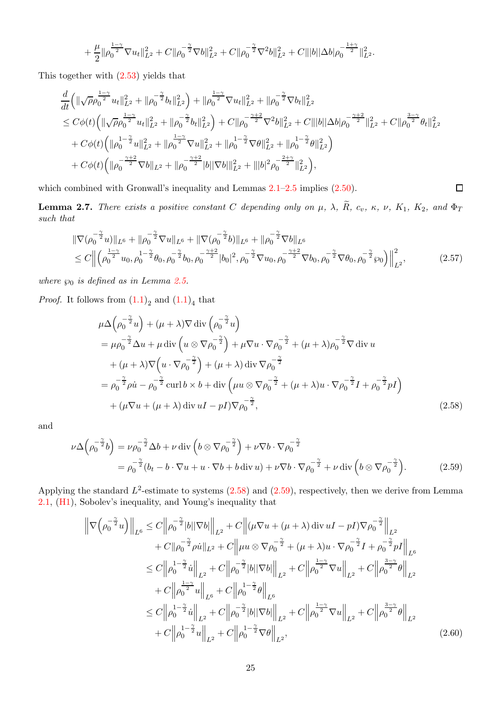$$
+ \frac{\mu}{2} \| \rho_0^{\frac{1-\gamma}{2}} \nabla u_t \|^2_{L^2} + C \| \rho_0^{-\frac{\gamma}{2}} \nabla b \|^2_{L^2} + C \| \rho_0^{-\frac{\gamma}{2}} \nabla^2 b \|^2_{L^2} + C \| |b| |\Delta b| \rho_0^{-\frac{1+\gamma}{2}} \|^2_{L^2}.
$$

This together with [\(2.53\)](#page-22-2) yields that

$$
\begin{split}\n&\frac{d}{dt}\left(\|\sqrt{\rho}\rho_0^{\frac{1-\gamma}{2}}u_t\|_{L^2}^2+\|\rho_0^{-\frac{\gamma}{2}}b_t\|_{L^2}^2\right)+\|\rho_0^{\frac{1-\gamma}{2}}\nabla u_t\|_{L^2}^2+\|\rho_0^{-\frac{\gamma}{2}}\nabla b_t\|_{L^2}^2 \\
&\leq C\phi(t)\left(\|\sqrt{\rho}\rho_0^{\frac{1-\gamma}{2}}u_t\|_{L^2}^2+\|\rho_0^{-\frac{\gamma}{2}}b_t\|_{L^2}^2\right)+C\|\rho_0^{-\frac{\gamma+2}{2}}\nabla^2 b\|_{L^2}^2+C\||b||\Delta b|\rho_0^{-\frac{\gamma+2}{2}}\|_{L^2}^2+C\|\rho_0^{-\frac{\gamma+2}{2}}\theta_t\|_{L^2}^2 \\
&+C\phi(t)\left(\|\rho_0^{1-\frac{\gamma}{2}}u\|_{L^2}^2+\|\rho_0^{\frac{1-\gamma}{2}}\nabla u\|_{L^2}^2+\|\rho_0^{1-\frac{\gamma}{2}}\nabla \theta\|_{L^2}^2+\|\rho_0^{1-\frac{\gamma}{2}}\theta\|_{L^2}^2\right) \\
&+C\phi(t)\left(\|\rho_0^{-\frac{\gamma+2}{2}}\nabla b\|_{L^2}+\|\rho_0^{-\frac{\gamma+2}{2}}|b||\nabla b|\|_{L^2}^2+\||b|^2\rho_0^{-\frac{2+\gamma}{2}}\|_{L^2}^2\right),\n\end{split}
$$

which combined with Gronwall's inequality and Lemmas  $2.1-2.5$  $2.1-2.5$  implies  $(2.50)$ .

<span id="page-24-3"></span>**Lemma 2.7.** There exists a positive constant C depending only on  $\mu$ ,  $\lambda$ ,  $\widetilde{R}$ ,  $c_v$ ,  $\kappa$ ,  $\nu$ ,  $K_1$ ,  $K_2$ , and  $\Phi_T$ such that

$$
\|\nabla(\rho_0^{-\frac{\gamma}{2}}u)\|_{L^6} + \|\rho_0^{-\frac{\gamma}{2}}\nabla u\|_{L^6} + \|\nabla(\rho_0^{-\frac{\gamma}{2}}b)\|_{L^6} + \|\rho_0^{-\frac{\gamma}{2}}\nabla b\|_{L^6} \n\leq C\left\| \left(\rho_0^{\frac{1-\gamma}{2}}u_0, \rho_0^{-1-\frac{\gamma}{2}}\theta_0, \rho_0^{-\frac{\gamma}{2}}b_0, \rho_0^{-\frac{\gamma+2}{2}}|b_0|^2, \rho_0^{-\frac{\gamma}{2}}\nabla u_0, \rho_0^{-\frac{\gamma+2}{2}}\nabla b_0, \rho_0^{-\frac{\gamma}{2}}\nabla \theta_0, \rho_0^{-\frac{\gamma}{2}}\phi_0 \right) \right\|_{L^2}^2, \tag{2.57}
$$

<span id="page-24-1"></span><span id="page-24-0"></span> $\Box$ 

where  $\wp_0$  is defined as in Lemma [2.5.](#page-15-4)

*Proof.* It follows from  $(1.1)<sub>2</sub>$  and  $(1.1)<sub>4</sub>$  that

$$
\mu \Delta \left( \rho_0^{-\frac{\gamma}{2}} u \right) + (\mu + \lambda) \nabla \operatorname{div} \left( \rho_0^{-\frac{\gamma}{2}} u \right)
$$
  
\n
$$
= \mu \rho_0^{-\frac{\gamma}{2}} \Delta u + \mu \operatorname{div} \left( u \otimes \nabla \rho_0^{-\frac{\gamma}{2}} \right) + \mu \nabla u \cdot \nabla \rho_0^{-\frac{\gamma}{2}} + (\mu + \lambda) \rho_0^{-\frac{\gamma}{2}} \nabla \operatorname{div} u
$$
  
\n
$$
+ (\mu + \lambda) \nabla \left( u \cdot \nabla \rho_0^{-\frac{\gamma}{2}} \right) + (\mu + \lambda) \operatorname{div} \nabla \rho_0^{-\frac{\gamma}{2}}
$$
  
\n
$$
= \rho_0^{-\frac{\gamma}{2}} \rho \dot{u} - \rho_0^{-\frac{\gamma}{2}} \operatorname{curl} b \times b + \operatorname{div} \left( \mu u \otimes \nabla \rho_0^{-\frac{\gamma}{2}} + (\mu + \lambda) u \cdot \nabla \rho_0^{-\frac{\gamma}{2}} I + \rho_0^{-\frac{\gamma}{2}} p I \right)
$$
  
\n
$$
+ (\mu \nabla u + (\mu + \lambda) \operatorname{div} u I - p I) \nabla \rho_0^{-\frac{\gamma}{2}}, \qquad (2.58)
$$

and

$$
\nu \Delta \left( \rho_0^{-\frac{\gamma}{2}} b \right) = \nu \rho_0^{-\frac{\gamma}{2}} \Delta b + \nu \operatorname{div} \left( b \otimes \nabla \rho_0^{-\frac{\gamma}{2}} \right) + \nu \nabla b \cdot \nabla \rho_0^{-\frac{\gamma}{2}} \n= \rho_0^{-\frac{\gamma}{2}} (b_t - b \cdot \nabla u + u \cdot \nabla b + b \operatorname{div} u) + \nu \nabla b \cdot \nabla \rho_0^{-\frac{\gamma}{2}} + \nu \operatorname{div} \left( b \otimes \nabla \rho_0^{-\frac{\gamma}{2}} \right).
$$
\n(2.59)

Applying the standard  $L^2$ -estimate to systems  $(2.58)$  and  $(2.59)$ , respectively, then we derive from Lemma [2.1,](#page-5-1) [\(H1\)](#page-3-2), Sobolev's inequality, and Young's inequality that

<span id="page-24-2"></span>
$$
\left\| \nabla \left( \rho_0^{-\frac{\gamma}{2}} u \right) \right\|_{L^6} \leq C \left\| \rho_0^{-\frac{\gamma}{2}} |b| |\nabla b| \right\|_{L^2} + C \left\| (\mu \nabla u + (\mu + \lambda) \operatorname{div} uI - pI) \nabla \rho_0^{-\frac{\gamma}{2}} \right\|_{L^2} + C \left\| \rho_0^{-\frac{\gamma}{2}} \rho \dot{u} \right\|_{L^2} + C \left\| \mu u \otimes \nabla \rho_0^{-\frac{\gamma}{2}} + (\mu + \lambda) u \cdot \nabla \rho_0^{-\frac{\gamma}{2}} I + \rho_0^{-\frac{\gamma}{2}} pI \right\|_{L^6} \n\leq C \left\| \rho_0^{1-\frac{\gamma}{2}} \dot{u} \right\|_{L^2} + C \left\| \rho_0^{-\frac{\gamma}{2}} |b| |\nabla b| \right\|_{L^2} + C \left\| \rho_0^{\frac{1-\gamma}{2}} \nabla u \right\|_{L^2} + C \left\| \rho_0^{\frac{3-\gamma}{2}} \theta \right\|_{L^2} + C \left\| \rho_0^{\frac{1-\gamma}{2}} u \right\|_{L^6} + C \left\| \rho_0^{-\frac{\gamma}{2}} |b| |\nabla b| \right\|_{L^6} \n\leq C \left\| \rho_0^{1-\frac{\gamma}{2}} \dot{u} \right\|_{L^2} + C \left\| \rho_0^{-\frac{\gamma}{2}} |b| |\nabla b| \right\|_{L^2} + C \left\| \rho_0^{\frac{1-\gamma}{2}} \nabla u \right\|_{L^2} + C \left\| \rho_0^{\frac{3-\gamma}{2}} \theta \right\|_{L^2} + C \left\| \rho_0^{1-\frac{\gamma}{2}} u \right\|_{L^2} + C \left\| \rho_0^{1-\frac{\gamma}{2}} \nabla \theta \right\|_{L^2},
$$
\n(2.60)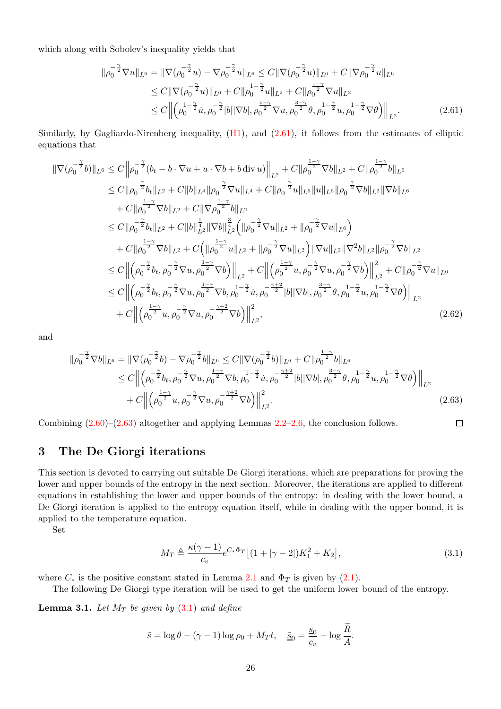which along with Sobolev's inequality yields that

$$
\|\rho_0^{-\frac{\gamma}{2}}\nabla u\|_{L^6} = \|\nabla(\rho_0^{-\frac{\gamma}{2}}u) - \nabla\rho_0^{-\frac{\gamma}{2}}u\|_{L^6} \le C\|\nabla(\rho_0^{-\frac{\gamma}{2}}u)\|_{L^6} + C\|\nabla\rho_0^{-\frac{\gamma}{2}}u\|_{L^6}
$$
  
\n
$$
\le C\|\nabla(\rho_0^{-\frac{\gamma}{2}}u)\|_{L^6} + C\|\rho_0^{1-\frac{\gamma}{2}}u\|_{L^2} + C\|\rho_0^{\frac{1-\gamma}{2}}\nabla u\|_{L^2}
$$
  
\n
$$
\le C\left\|\left(\rho_0^{1-\frac{\gamma}{2}}u, \rho_0^{-\frac{\gamma}{2}}|b|\|\nabla b|, \rho_0^{\frac{1-\gamma}{2}}\nabla u, \rho_0^{\frac{3-\gamma}{2}}\theta, \rho_0^{1-\frac{\gamma}{2}}u, \rho_0^{1-\frac{\gamma}{2}}\nabla\theta\right)\right\|_{L^2}.
$$
\n(2.61)

Similarly, by Gagliardo-Nirenberg inequality,  $(H1)$ , and  $(2.61)$ , it follows from the estimates of elliptic equations that

$$
\begin{split}\n\|\nabla(\rho_{0}^{-\frac{\gamma}{2}}b)\|_{L^{6}} &\leq C\left\|\rho_{0}^{-\frac{\gamma}{2}}(b_{t}-b\cdot\nabla u+u\cdot\nabla b+b\operatorname{div}u)\right\|_{L^{2}}+C\|\rho_{0}^{\frac{1-\gamma}{2}}\nabla b\|_{L^{2}}+C\|\rho_{0}^{\frac{1-\gamma}{2}}b\|_{L^{6}} \\
&\leq C\|\rho_{0}^{-\frac{\gamma}{2}}b_{t}\|_{L^{2}}+C\|b\|_{L^{4}}\|\rho_{0}^{-\frac{\gamma}{2}}\nabla u\|_{L^{4}}+C\|\rho_{0}^{-\frac{\gamma}{2}}u\|_{L^{6}}\|u\|_{L^{6}}\|\rho_{0}^{-\frac{\gamma}{2}}\nabla b\|_{L^{2}}\|\nabla b\|_{L^{6}} \\
&+C\|\rho_{0}^{\frac{1-\gamma}{2}}\nabla b\|_{L^{2}}+C\|\nabla b\|_{L^{2}}^{\frac{1-\gamma}{2}}\|b\|_{L^{2}}^{\frac{3}{4}}\left(\|\rho_{0}^{-\frac{\gamma}{2}}\nabla u\|_{L^{2}}+\|\rho_{0}^{-\frac{\gamma}{2}}\nabla u\|_{L^{6}}\right) \\
&+C\|\rho_{0}^{\frac{1-\gamma}{2}}\nabla b\|_{L^{2}}+C\left(\|\rho_{0}^{\frac{1-\gamma}{2}}u\|_{L^{2}}+\|\rho_{0}^{-\frac{\gamma}{2}}\nabla u\|_{L^{2}}\right)\|\nabla u\|_{L^{2}}\|\nabla^{2}b\|_{L^{2}}\|\rho_{0}^{-\frac{\gamma}{2}}\nabla b\|_{L^{2}} \\
&\leq C\left\|\left(\rho_{0}^{-\frac{\gamma}{2}}b_{t},\rho_{0}^{-\frac{\gamma}{2}}\nabla u,\rho_{0}^{\frac{1-\gamma}{2}}\nabla b\right)\right\|_{L^{2}}+C\left\|\left(\rho_{0}^{\frac{1-\gamma}{2}}u,\rho_{0}^{-\frac{\gamma}{2}}\nabla u,\rho_{0}^{-\frac{\gamma}{2}}\nabla b\right)\right\|_{L^{2}}^{2}+C\|\rho_{0}^{-\frac{\gamma}{2}}\nabla u\|_{L^{6}}\right\|_{L^{2}}\n\leq C\left
$$

and

$$
\|\rho_0^{-\frac{\gamma}{2}}\nabla b\|_{L^6} = \|\nabla(\rho_0^{-\frac{\gamma}{2}}b) - \nabla\rho_0^{-\frac{\gamma}{2}}b\|_{L^6} \le C\|\nabla(\rho_0^{-\frac{\gamma}{2}}b)\|_{L^6} + C\|\rho_0^{\frac{1-\gamma}{2}}b\|_{L^6} \n\le C\left\|\left(\rho_0^{-\frac{\gamma}{2}}b_t, \rho_0^{-\frac{\gamma}{2}}\nabla u, \rho_0^{\frac{1-\gamma}{2}}\nabla b, \rho_0^{1-\frac{\gamma}{2}}\dot{u}, \rho_0^{-\frac{\gamma+2}{2}}|b||\nabla b|, \rho_0^{\frac{3-\gamma}{2}}\theta, \rho_0^{1-\frac{\gamma}{2}}u, \rho_0^{-\frac{\gamma}{2}}\nabla\theta\right)\right\|_{L^2} \n+ C\left\|\left(\rho_0^{\frac{1-\gamma}{2}}u, \rho_0^{-\frac{\gamma}{2}}\nabla u, \rho_0^{-\frac{\gamma+2}{2}}\nabla b\right)\right\|_{L^2}^2.
$$
\n(2.63)

Combining  $(2.60)$ – $(2.63)$  altogether and applying Lemmas  $2.2$ – $2.6$ , the conclusion follows.

### <span id="page-25-0"></span>3 The De Giorgi iterations

This section is devoted to carrying out suitable De Giorgi iterations, which are preparations for proving the lower and upper bounds of the entropy in the next section. Moreover, the iterations are applied to different equations in establishing the lower and upper bounds of the entropy: in dealing with the lower bound, a De Giorgi iteration is applied to the entropy equation itself, while in dealing with the upper bound, it is applied to the temperature equation.

Set

$$
M_T \triangleq \frac{\kappa(\gamma - 1)}{c_v} e^{C_* \Phi_T} \left[ (1 + |\gamma - 2|) K_1^2 + K_2 \right],
$$
\n(3.1)

<span id="page-25-3"></span><span id="page-25-2"></span><span id="page-25-1"></span> $\Box$ 

where  $C_*$  is the positive constant stated in Lemma [2.1](#page-5-1) and  $\Phi_T$  is given by [\(2.1\)](#page-5-4).

The following De Giorgi type iteration will be used to get the uniform lower bound of the entropy.

<span id="page-25-4"></span>**Lemma 3.1.** Let  $M_T$  be given by  $(3.1)$  and define

$$
\tilde{s} = \log \theta - (\gamma - 1) \log \rho_0 + M_T t, \quad \tilde{\underline{s}}_0 = \frac{\underline{s}_0}{c_v} - \log \frac{R}{A}.
$$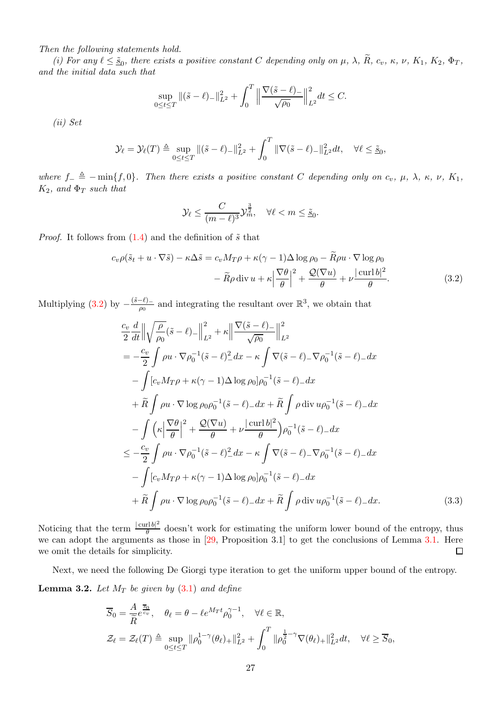Then the following statements hold.

(i) For any  $\ell \leq \underline{\tilde{s}}_0$ , there exists a positive constant C depending only on  $\mu$ ,  $\lambda$ ,  $R$ ,  $c_v$ ,  $\kappa$ ,  $\nu$ ,  $K_1$ ,  $K_2$ ,  $\Phi_T$ , and the initial data such that

$$
\sup_{0 \le t \le T} \| (\tilde{s} - \ell)_- \|_{L^2}^2 + \int_0^T \left\| \frac{\nabla (\tilde{s} - \ell)_-}{\sqrt{\rho_0}} \right\|_{L^2}^2 dt \le C.
$$

(ii) Set

$$
\mathcal{Y}_{\ell} = \mathcal{Y}_{\ell}(T) \triangleq \sup_{0 \le t \le T} \|(\tilde{s} - \ell)_{-}\|_{L^2}^2 + \int_0^T \|\nabla(\tilde{s} - \ell)_{-}\|_{L^2}^2 dt, \quad \forall \ell \le \tilde{s}_0,
$$

where  $f_-\triangleq -\min\{f, 0\}$ . Then there exists a positive constant C depending only on  $c_v$ ,  $\mu$ ,  $\lambda$ ,  $\kappa$ ,  $\nu$ ,  $K_1$ ,  $K_2$ , and  $\Phi_T$  such that

<span id="page-26-0"></span>
$$
\mathcal{Y}_{\ell} \leq \frac{C}{(m-\ell)^3} \mathcal{Y}_{m}^{\frac{3}{2}}, \quad \forall \ell < m \leq \underline{\tilde{s}}_0.
$$

*Proof.* It follows from  $(1.4)$  and the definition of  $\tilde{s}$  that

$$
c_v \rho(\tilde{s}_t + u \cdot \nabla \tilde{s}) - \kappa \Delta \tilde{s} = c_v M_T \rho + \kappa (\gamma - 1) \Delta \log \rho_0 - \widetilde{R} \rho u \cdot \nabla \log \rho_0 - \widetilde{R} \rho \operatorname{div} u + \kappa \left| \frac{\nabla \theta}{\theta} \right|^2 + \frac{\mathcal{Q}(\nabla u)}{\theta} + \nu \frac{|\operatorname{curl} b|^2}{\theta}.
$$
(3.2)

Multiplying [\(3.2\)](#page-26-0) by  $-\frac{(\tilde{s}-\ell)_{-}}{\rho_0}$  and integrating the resultant over  $\mathbb{R}^3$ , we obtain that

$$
\frac{c_v}{2} \frac{d}{dt} \left\| \sqrt{\frac{\rho}{\rho_0}} (\tilde{s} - \ell) - \right\|_{L^2}^2 + \kappa \left\| \frac{\nabla (\tilde{s} - \ell)}{\sqrt{\rho_0}} \right\|_{L^2}^2
$$
\n
$$
= -\frac{c_v}{2} \int \rho u \cdot \nabla \rho_0^{-1} (\tilde{s} - \ell)^2 dx - \kappa \int \nabla (\tilde{s} - \ell) - \nabla \rho_0^{-1} (\tilde{s} - \ell) - dx
$$
\n
$$
- \int [c_v M_T \rho + \kappa (\gamma - 1) \Delta \log \rho_0] \rho_0^{-1} (\tilde{s} - \ell) - dx
$$
\n
$$
+ \widetilde{R} \int \rho u \cdot \nabla \log \rho_0 \rho_0^{-1} (\tilde{s} - \ell) - dx + \widetilde{R} \int \rho \operatorname{div} u \rho_0^{-1} (\tilde{s} - \ell) - dx
$$
\n
$$
- \int \left( \kappa \left| \frac{\nabla \theta}{\theta} \right|^2 + \frac{\mathcal{Q}(\nabla u)}{\theta} + \nu \frac{|\operatorname{curl} b|^2}{\theta} \right) \rho_0^{-1} (\tilde{s} - \ell) - dx
$$
\n
$$
\leq -\frac{c_v}{2} \int \rho u \cdot \nabla \rho_0^{-1} (\tilde{s} - \ell)^2 dx - \kappa \int \nabla (\tilde{s} - \ell) - \nabla \rho_0^{-1} (\tilde{s} - \ell) - dx
$$
\n
$$
- \int [c_v M_T \rho + \kappa (\gamma - 1) \Delta \log \rho_0] \rho_0^{-1} (\tilde{s} - \ell) - dx
$$
\n
$$
+ \widetilde{R} \int \rho u \cdot \nabla \log \rho_0 \rho_0^{-1} (\tilde{s} - \ell) - dx + \widetilde{R} \int \rho \operatorname{div} u \rho_0^{-1} (\tilde{s} - \ell) - dx. \tag{3.3}
$$

Noticing that the term  $\frac{|\text{curl }b|^2}{\theta}$  $\frac{\partial f(t)}{\partial t}$  doesn't work for estimating the uniform lower bound of the entropy, thus we can adopt the arguments as those in [\[29,](#page-31-10) Proposition 3.1] to get the conclusions of Lemma [3.1.](#page-25-4) Here we omit the details for simplicity.  $\Box$ 

Next, we need the following De Giorgi type iteration to get the uniform upper bound of the entropy.

**Lemma 3.2.** Let  $M_T$  be given by [\(3.1\)](#page-25-3) and define

$$
\overline{S}_0 = \frac{A}{\overline{R}} \overline{\frac{z_0}{c_v}}, \quad \theta_\ell = \theta - \ell e^{M_T t} \rho_0^{\gamma - 1}, \quad \forall \ell \in \mathbb{R},
$$
  

$$
\mathcal{Z}_\ell = \mathcal{Z}_\ell(T) \triangleq \sup_{0 \le t \le T} ||\rho_0^{1 - \gamma}(\theta_\ell)_+||_{L^2}^2 + \int_0^T ||\rho_0^{\frac{1}{2} - \gamma} \nabla(\theta_\ell)_+||_{L^2}^2 dt, \quad \forall \ell \ge \overline{S}_0,
$$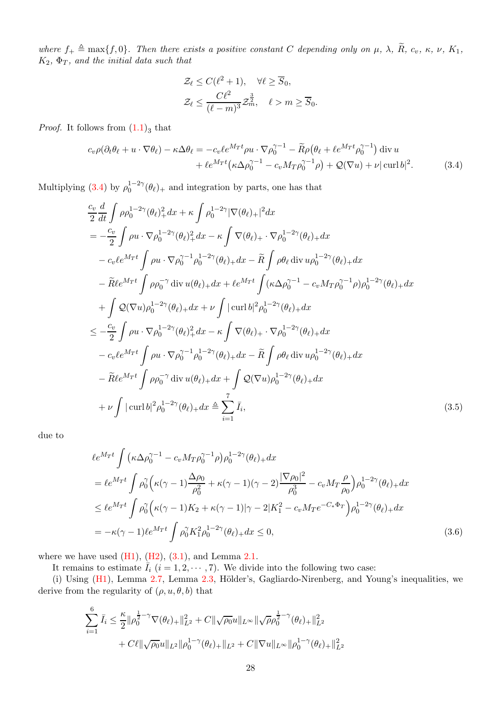where  $f_+ \triangleq \max\{f, 0\}$ . Then there exists a positive constant C depending only on  $\mu$ ,  $\lambda$ ,  $\widetilde{R}$ ,  $c_v$ ,  $\kappa$ ,  $\nu$ ,  $K_1$ ,  $K_2$ ,  $\Phi_T$ , and the initial data such that

<span id="page-27-0"></span>
$$
\mathcal{Z}_{\ell} \le C(\ell^2 + 1), \quad \forall \ell \ge \overline{S}_0,
$$
  

$$
\mathcal{Z}_{\ell} \le \frac{C\ell^2}{(\ell - m)^3} \mathcal{Z}_m^{\frac{3}{2}}, \quad \ell > m \ge \overline{S}_0.
$$

*Proof.* It follows from  $(1.1)_3$  that

$$
c_v \rho (\partial_t \theta_\ell + u \cdot \nabla \theta_\ell) - \kappa \Delta \theta_\ell = -c_v \ell e^{M_T t} \rho u \cdot \nabla \rho_0^{\gamma - 1} - \widetilde{R} \rho (\theta_\ell + \ell e^{M_T t} \rho_0^{\gamma - 1}) \operatorname{div} u + \ell e^{M_T t} (\kappa \Delta \rho_0^{\gamma - 1} - c_v M_T \rho_0^{\gamma - 1} \rho) + \mathcal{Q}(\nabla u) + \nu |\operatorname{curl} b|^2.
$$
 (3.4)

Multiplying [\(3.4\)](#page-27-0) by  $\rho_0^{1-2\gamma}(\theta_\ell)_+$  and integration by parts, one has that

$$
\frac{c_v}{2} \frac{d}{dt} \int \rho \rho_0^{1-2\gamma} (\theta_\ell)_+^2 dx + \kappa \int \rho_0^{1-2\gamma} |\nabla(\theta_\ell)_+|^2 dx \n= -\frac{c_v}{2} \int \rho u \cdot \nabla \rho_0^{1-2\gamma} (\theta_\ell)_+^2 dx - \kappa \int \nabla(\theta_\ell)_+ \cdot \nabla \rho_0^{1-2\gamma} (\theta_\ell)_+ dx \n- c_v \ell e^{M_T t} \int \rho u \cdot \nabla \rho_0^{\gamma-1} \rho_0^{1-2\gamma} (\theta_\ell)_+ dx - \widetilde{R} \int \rho \theta_\ell \operatorname{div} u \rho_0^{1-2\gamma} (\theta_\ell)_+ dx \n- \widetilde{R} \ell e^{M_T t} \int \rho \rho_0^{-\gamma} \operatorname{div} u (\theta_\ell)_+ dx + \ell e^{M_T t} \int (\kappa \Delta \rho_0^{\gamma-1} - c_v M_T \rho_0^{\gamma-1} \rho) \rho_0^{1-2\gamma} (\theta_\ell)_+ dx \n+ \int \mathcal{Q}(\nabla u) \rho_0^{1-2\gamma} (\theta_\ell)_+ dx + \nu \int |\operatorname{curl} b|^2 \rho_0^{1-2\gamma} (\theta_\ell)_+ dx \n\leq -\frac{c_v}{2} \int \rho u \cdot \nabla \rho_0^{1-2\gamma} (\theta_\ell)_+^2 dx - \kappa \int \nabla(\theta_\ell)_+ \cdot \nabla \rho_0^{1-2\gamma} (\theta_\ell)_+ dx \n- c_v \ell e^{M_T t} \int \rho u \cdot \nabla \rho_0^{\gamma-1} \rho_0^{1-2\gamma} (\theta_\ell)_+ dx - \widetilde{R} \int \rho \theta_\ell \operatorname{div} u \rho_0^{1-2\gamma} (\theta_\ell)_+ dx \n- \widetilde{R} \ell e^{M_T t} \int \rho \rho_0^{-\gamma} \operatorname{div} u (\theta_\ell)_+ dx + \int \mathcal{Q}(\nabla u) \rho_0^{1-2\gamma} (\theta_\ell)_+ dx \n+ \nu \int |\operatorname{curl} b|^2 \rho_0^{1-2\gamma} (\theta_\ell)_+ dx \triangleq \sum_{i=1}^7 \overline{I}_i, \tag{3.5}
$$

due to

<span id="page-27-1"></span>
$$
\ell e^{M_{T}t} \int \left( \kappa \Delta \rho_0^{\gamma - 1} - c_v M_{T} \rho_0^{\gamma - 1} \rho \right) \rho_0^{1 - 2\gamma}(\theta_{\ell}) + dx
$$
  
\n
$$
= \ell e^{M_{T}t} \int \rho_0^{\gamma} \left( \kappa (\gamma - 1) \frac{\Delta \rho_0}{\rho_0^2} + \kappa (\gamma - 1)(\gamma - 2) \frac{|\nabla \rho_0|^2}{\rho_0^3} - c_v M_{T} \frac{\rho}{\rho_0} \right) \rho_0^{1 - 2\gamma}(\theta_{\ell}) + dx
$$
  
\n
$$
\leq \ell e^{M_{T}t} \int \rho_0^{\gamma} \left( \kappa (\gamma - 1) K_2 + \kappa (\gamma - 1) |\gamma - 2| K_1^2 - c_v M_{T} e^{-C_* \Phi_T} \right) \rho_0^{1 - 2\gamma}(\theta_{\ell}) + dx
$$
  
\n
$$
= -\kappa (\gamma - 1) \ell e^{M_{T}t} \int \rho_0^{\gamma} K_1^2 \rho_0^{1 - 2\gamma}(\theta_{\ell}) + dx \leq 0,
$$
\n(3.6)

where we have used  $(H1)$ ,  $(H2)$ ,  $(3.1)$ , and Lemma [2.1.](#page-5-1)

It remains to estimate  $\overline{I}_i$   $(i = 1, 2, \dots, 7)$ . We divide into the following two case:

(i) Using  $(H1)$ , Lemma [2.7,](#page-24-3) Lemma [2.3,](#page-9-2) Hölder's, Gagliardo-Nirenberg, and Young's inequalities, we derive from the regularity of  $(\rho, u, \theta, b)$  that

$$
\sum_{i=1}^{6} \bar{I}_i \leq \frac{\kappa}{2} ||\rho_0^{\frac{1}{2}-\gamma} \nabla(\theta_\ell) + ||_{L^2}^2 + C ||\sqrt{\rho_0}u||_{L^\infty} ||\sqrt{\rho_0}^{\frac{1}{2}-\gamma}(\theta_\ell) + ||_{L^2}^2 + C\ell ||\sqrt{\rho_0}u||_{L^2} ||\rho_0^{1-\gamma}(\theta_\ell) + ||_{L^2} + C ||\nabla u||_{L^\infty} ||\rho_0^{1-\gamma}(\theta_\ell) + ||_{L^2}^2
$$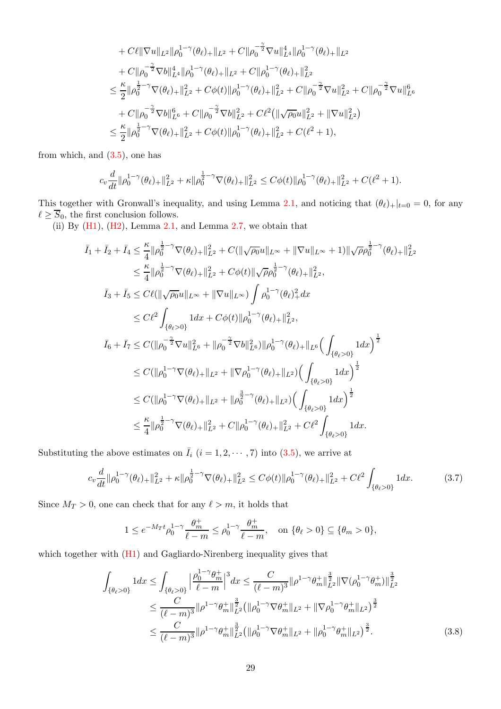+ 
$$
C\ell \|\nabla u\|_{L^2} \|\rho_0^{1-\gamma}(\theta_\ell) + \|_{L^2} + C \|\rho_0^{-\frac{\gamma}{2}} \nabla u\|_{L^4}^4 \|\rho_0^{1-\gamma}(\theta_\ell) + \|_{L^2}
$$
  
+  $C \|\rho_0^{-\frac{\gamma}{2}} \nabla b\|_{L^4}^4 \|\rho_0^{1-\gamma}(\theta_\ell) + \|_{L^2} + C \|\rho_0^{1-\gamma}(\theta_\ell) + \|_{L^2}^2$   
 $\leq \frac{\kappa}{2} \|\rho_0^{\frac{1}{2}-\gamma} \nabla(\theta_\ell) + \|_{L^2}^2 + C\phi(t) \|\rho_0^{1-\gamma}(\theta_\ell) + \|_{L^2}^2 + C \|\rho_0^{-\frac{\gamma}{2}} \nabla u\|_{L^2}^2 + C \|\rho_0^{-\frac{\gamma}{2}} \nabla u\|_{L^6}^6$   
+  $C \|\rho_0^{-\frac{\gamma}{2}} \nabla b\|_{L^6}^6 + C \|\rho_0^{-\frac{\gamma}{2}} \nabla b\|_{L^2}^2 + C\ell^2 (\|\sqrt{\rho_0}u\|_{L^2}^2 + \|\nabla u\|_{L^2}^2)$   
 $\leq \frac{\kappa}{2} \|\rho_0^{\frac{1}{2}-\gamma} \nabla(\theta_\ell) + \|_{L^2}^2 + C\phi(t) \|\rho_0^{1-\gamma}(\theta_\ell) + \|_{L^2}^2 + C(\ell^2 + 1),$ 

from which, and [\(3.5\)](#page-27-1), one has

$$
c_v \frac{d}{dt} \|\rho_0^{1-\gamma}(\theta_\ell)_+\|_{L^2}^2 + \kappa \|\rho_0^{\frac{1}{2}-\gamma} \nabla(\theta_\ell)_+\|_{L^2}^2 \leq C\phi(t) \|\rho_0^{1-\gamma}(\theta_\ell)_+\|_{L^2}^2 + C(\ell^2+1).
$$

This together with Gronwall's inequality, and using Lemma [2.1,](#page-5-1) and noticing that  $(\theta_\ell)_+|_{t=0} = 0$ , for any  $\ell \geq \overline{S}_0$ , the first conclusion follows.

(ii) By  $(H1)$ ,  $(H2)$ , Lemma [2.1,](#page-5-1) and Lemma [2.7,](#page-24-3) we obtain that

$$
\overline{I}_{1} + \overline{I}_{2} + \overline{I}_{4} \leq \frac{\kappa}{4} ||\rho_{0}^{\frac{1}{2}-\gamma} \nabla(\theta_{\ell})_{+}||_{L^{2}}^{2} + C(||\sqrt{\rho_{0}}u||_{L^{\infty}} + ||\nabla u||_{L^{\infty}} + 1)||\sqrt{\rho}\rho_{0}^{\frac{1}{2}-\gamma}(\theta_{\ell})_{+}||_{L^{2}}^{2}
$$
\n
$$
\leq \frac{\kappa}{4} ||\rho_{0}^{\frac{1}{2}-\gamma} \nabla(\theta_{\ell})_{+}||_{L^{2}}^{2} + C\phi(t)||\sqrt{\rho}\rho_{0}^{\frac{1}{2}-\gamma}(\theta_{\ell})_{+}||_{L^{2}}^{2},
$$
\n
$$
\overline{I}_{3} + \overline{I}_{5} \leq C\ell(||\sqrt{\rho_{0}}u||_{L^{\infty}} + ||\nabla u||_{L^{\infty}}) \int \rho_{0}^{1-\gamma}(\theta_{\ell})_{+}^{2} dx
$$
\n
$$
\leq C\ell^{2} \int_{\{\theta_{\ell}>0\}} 1 dx + C\phi(t)||\rho_{0}^{1-\gamma}(\theta_{\ell})_{+}||_{L^{2}}^{2},
$$
\n
$$
\overline{I}_{6} + \overline{I}_{7} \leq C(||\rho_{0}^{-\frac{\gamma}{2}} \nabla u||_{L^{6}}^{2} + ||\rho_{0}^{-\frac{\gamma}{2}} \nabla b||_{L^{6}}^{2})||\rho_{0}^{1-\gamma}(\theta_{\ell})_{+}||_{L^{6}} \Big(\int_{\{\theta_{\ell}>0\}} 1 dx\Big)^{\frac{1}{2}}
$$
\n
$$
\leq C(||\rho_{0}^{1-\gamma} \nabla(\theta_{\ell})_{+}||_{L^{2}} + ||\nabla\rho_{0}^{1-\gamma}(\theta_{\ell})_{+}||_{L^{2}}) \Big(\int_{\{\theta_{\ell}>0\}} 1 dx\Big)^{\frac{1}{2}}
$$
\n
$$
\leq C(||\rho_{0}^{1-\gamma} \nabla(\theta_{\ell})_{+}||_{L^{2}} + ||\rho_{0}^{\frac{3}{2}-\gamma}(\theta_{\ell})_{+}||_{L^{2}}) \Big(\int_{\{\theta_{\ell}>0\}} 1 dx\Big)^{\frac{1}{2}}
$$

Substituting the above estimates on  $\overline{I}_i$   $(i = 1, 2, \cdots, 7)$  into [\(3.5\)](#page-27-1), we arrive at

$$
c_v \frac{d}{dt} \|\rho_0^{1-\gamma}(\theta_\ell)_{+}\|_{L^2}^2 + \kappa \|\rho_0^{\frac{1}{2}-\gamma} \nabla(\theta_\ell)_{+}\|_{L^2}^2 \le C\phi(t) \|\rho_0^{1-\gamma}(\theta_\ell)_{+}\|_{L^2}^2 + C\ell^2 \int_{\{\theta_\ell > 0\}} 1 dx. \tag{3.7}
$$

Since  $M_T > 0$ , one can check that for any  $\ell > m$ , it holds that

<span id="page-28-1"></span><span id="page-28-0"></span>
$$
1 \leq e^{-M_T t} \rho_0^{1-\gamma} \frac{\theta_m^+}{\ell-m} \leq \rho_0^{1-\gamma} \frac{\theta_m^+}{\ell-m}, \quad \text{on } \{\theta_\ell > 0\} \subseteq \{\theta_m > 0\},
$$

which together with  $(H1)$  and Gagliardo-Nirenberg inequality gives that

$$
\int_{\{\theta_{\ell}>0\}} 1 dx \leq \int_{\{\theta_{\ell}>0\}} \left| \frac{\rho_0^{1-\gamma} \theta_m^+}{\ell-m} \right|^3 dx \leq \frac{C}{(\ell-m)^3} \|\rho^{1-\gamma} \theta_m^+\|_{L^2}^{\frac{3}{2}} \|\nabla(\rho_0^{1-\gamma} \theta_m^+)\|_{L^2}^{\frac{3}{2}} \n\leq \frac{C}{(\ell-m)^3} \|\rho^{1-\gamma} \theta_m^+\|_{L^2}^{\frac{3}{2}} \left( \|\rho_0^{1-\gamma} \nabla \theta_m^+\|_{L^2} + \|\nabla \rho_0^{1-\gamma} \theta_m^+\|_{L^2} \right)^{\frac{3}{2}} \n\leq \frac{C}{(\ell-m)^3} \|\rho^{1-\gamma} \theta_m^+\|_{L^2}^{\frac{3}{2}} \left( \|\rho_0^{1-\gamma} \nabla \theta_m^+\|_{L^2} + \|\rho_0^{1-\gamma} \theta_m^+\|_{L^2} \right)^{\frac{3}{2}}.
$$
\n(3.8)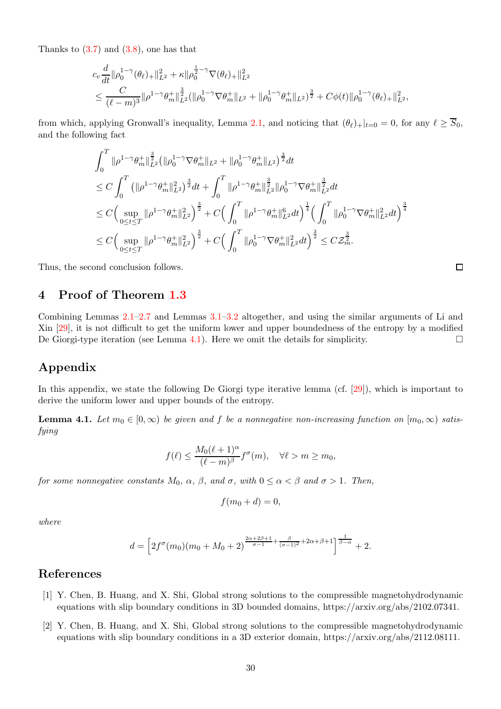Thanks to  $(3.7)$  and  $(3.8)$ , one has that

$$
c_v \frac{d}{dt} ||\rho_0^{1-\gamma}(\theta_\ell)_{+}||_{L^2}^2 + \kappa ||\rho_0^{\frac{1}{2}-\gamma} \nabla(\theta_\ell)_{+}||_{L^2}^2
$$
  

$$
\leq \frac{C}{(\ell-m)^3} ||\rho^{1-\gamma} \theta_m^+||_{L^2}^{\frac{3}{2}} (||\rho_0^{1-\gamma} \nabla \theta_m^+||_{L^2} + ||\rho_0^{1-\gamma} \theta_m^+||_{L^2})^{\frac{3}{2}} + C\phi(t) ||\rho_0^{1-\gamma} (\theta_\ell)_{+}||_{L^2}^2,
$$

from which, applying Gronwall's inequality, Lemma [2.1,](#page-5-1) and noticing that  $(\theta_\ell)_+|_{t=0} = 0$ , for any  $\ell \geq \overline{S}_0$ , and the following fact

$$
\int_{0}^{T} \|\rho^{1-\gamma}\theta_{m}^{+}\|_{L^{2}}^{\frac{3}{2}}(\|\rho_{0}^{1-\gamma}\nabla\theta_{m}^{+}\|_{L^{2}} + \|\rho_{0}^{1-\gamma}\theta_{m}^{+}\|_{L^{2}})^{\frac{3}{2}}dt \n\leq C \int_{0}^{T} \left(\|\rho^{1-\gamma}\theta_{m}^{+}\|_{L^{2}}^{2}\right)^{\frac{3}{2}}dt + \int_{0}^{T} \|\rho^{1-\gamma}\theta_{m}^{+}\|_{L^{2}}^{\frac{3}{2}}\|\rho_{0}^{1-\gamma}\nabla\theta_{m}^{+}\|_{L^{2}}^{\frac{3}{2}}dt \n\leq C \Big(\sup_{0 \leq t \leq T} \|\rho^{1-\gamma}\theta_{m}^{+}\|_{L^{2}}^{2}\Big)^{\frac{3}{2}} + C \Big(\int_{0}^{T} \|\rho^{1-\gamma}\theta_{m}^{+}\|_{L^{2}}^{6}dt\Big)^{\frac{1}{4}} \Big(\int_{0}^{T} \|\rho_{0}^{1-\gamma}\nabla\theta_{m}^{+}\|_{L^{2}}^{2}dt\Big)^{\frac{3}{4}} \n\leq C \Big(\sup_{0 \leq t \leq T} \|\rho^{1-\gamma}\theta_{m}^{+}\|_{L^{2}}^{2}\Big)^{\frac{3}{2}} + C \Big(\int_{0}^{T} \|\rho_{0}^{1-\gamma}\nabla\theta_{m}^{+}\|_{L^{2}}^{2}dt\Big)^{\frac{3}{2}} \leq C \mathcal{Z}_{m}^{\frac{3}{2}}.
$$

<span id="page-29-2"></span>Thus, the second conclusion follows.

### 4 Proof of Theorem [1.3](#page-3-5)

Combining Lemmas [2.1–](#page-5-1)[2.7](#page-24-3) and Lemmas [3.1–](#page-25-3)[3.2](#page-26-0) altogether, and using the similar arguments of Li and Xin [\[29\]](#page-31-10), it is not difficult to get the uniform lower and upper boundedness of the entropy by a modified De Giorgi-type iteration (see Lemma [4.1\)](#page-29-3). Here we omit the details for simplicity.  $\Box$ 

## Appendix

In this appendix, we state the following De Giorgi type iterative lemma (cf. [\[29\]](#page-31-10)), which is important to derive the uniform lower and upper bounds of the entropy.

<span id="page-29-3"></span>**Lemma 4.1.** Let  $m_0 \in [0,\infty)$  be given and f be a nonnegative non-increasing function on  $[m_0,\infty)$  satisfying

$$
f(\ell) \le \frac{M_0(\ell+1)^{\alpha}}{(\ell-m)^{\beta}} f^{\sigma}(m), \quad \forall \ell > m \ge m_0,
$$

for some nonnegative constants  $M_0$ ,  $\alpha$ ,  $\beta$ , and  $\sigma$ , with  $0 \leq \alpha < \beta$  and  $\sigma > 1$ . Then,

$$
f(m_0+d)=0,
$$

where

$$
d = \left[2f^{\sigma}(m_0)(m_0 + M_0 + 2)^{\frac{2\alpha + 2\beta + 1}{\sigma - 1} + \frac{\beta}{(\sigma - 1)^2} + 2\alpha + \beta + 1}\right]^{\frac{1}{\beta - \alpha}} + 2.
$$

### <span id="page-29-0"></span>References

- [1] Y. Chen, B. Huang, and X. Shi, Global strong solutions to the compressible magnetohydrodynamic equations with slip boundary conditions in 3D bounded domains, https://arxiv.org/abs/2102.07341.
- <span id="page-29-1"></span>[2] Y. Chen, B. Huang, and X. Shi, Global strong solutions to the compressible magnetohydrodynamic equations with slip boundary conditions in a 3D exterior domain, https://arxiv.org/abs/2112.08111.

 $\Box$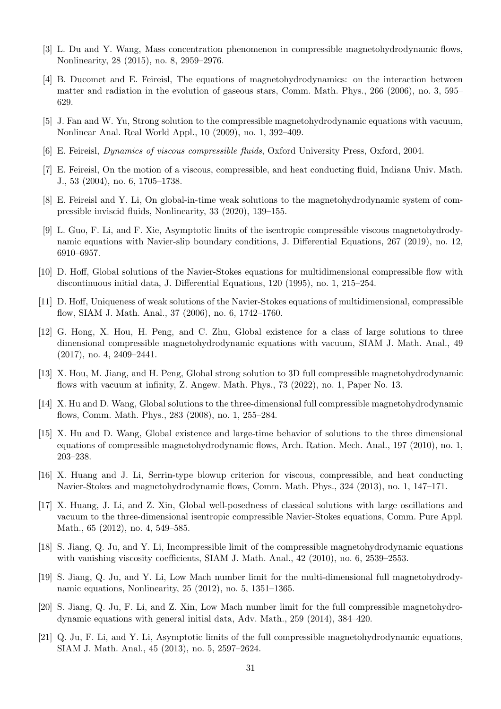- <span id="page-30-11"></span><span id="page-30-6"></span>[3] L. Du and Y. Wang, Mass concentration phenomenon in compressible magnetohydrodynamic flows, Nonlinearity, 28 (2015), no. 8, 2959–2976.
- [4] B. Ducomet and E. Feireisl, The equations of magnetohydrodynamics: on the interaction between matter and radiation in the evolution of gaseous stars, Comm. Math. Phys., 266 (2006), no. 3, 595– 629.
- <span id="page-30-17"></span><span id="page-30-9"></span>[5] J. Fan and W. Yu, Strong solution to the compressible magnetohydrodynamic equations with vacuum, Nonlinear Anal. Real World Appl., 10 (2009), no. 1, 392–409.
- <span id="page-30-10"></span>[6] E. Feireisl, Dynamics of viscous compressible fluids, Oxford University Press, Oxford, 2004.
- <span id="page-30-5"></span>[7] E. Feireisl, On the motion of a viscous, compressible, and heat conducting fluid, Indiana Univ. Math. J., 53 (2004), no. 6, 1705–1738.
- <span id="page-30-7"></span>[8] E. Feireisl and Y. Li, On global-in-time weak solutions to the magnetohydrodynamic system of compressible inviscid fluids, Nonlinearity, 33 (2020), 139–155.
- [9] L. Guo, F. Li, and F. Xie, Asymptotic limits of the isentropic compressible viscous magnetohydrodynamic equations with Navier-slip boundary conditions, J. Differential Equations, 267 (2019), no. 12, 6910–6957.
- <span id="page-30-2"></span><span id="page-30-1"></span>[10] D. Hoff, Global solutions of the Navier-Stokes equations for multidimensional compressible flow with discontinuous initial data, J. Differential Equations, 120 (1995), no. 1, 215–254.
- <span id="page-30-4"></span>[11] D. Hoff, Uniqueness of weak solutions of the Navier-Stokes equations of multidimensional, compressible flow, SIAM J. Math. Anal., 37 (2006), no. 6, 1742–1760.
- [12] G. Hong, X. Hou, H. Peng, and C. Zhu, Global existence for a class of large solutions to three dimensional compressible magnetohydrodynamic equations with vacuum, SIAM J. Math. Anal., 49 (2017), no. 4, 2409–2441.
- <span id="page-30-13"></span>[13] X. Hou, M. Jiang, and H. Peng, Global strong solution to 3D full compressible magnetohydrodynamic flows with vacuum at infinity, Z. Angew. Math. Phys., 73 (2022), no. 1, Paper No. 13.
- <span id="page-30-12"></span><span id="page-30-0"></span>[14] X. Hu and D. Wang, Global solutions to the three-dimensional full compressible magnetohydrodynamic flows, Comm. Math. Phys., 283 (2008), no. 1, 255–284.
- [15] X. Hu and D. Wang, Global existence and large-time behavior of solutions to the three dimensional equations of compressible magnetohydrodynamic flows, Arch. Ration. Mech. Anal., 197 (2010), no. 1, 203–238.
- <span id="page-30-14"></span>[16] X. Huang and J. Li, Serrin-type blowup criterion for viscous, compressible, and heat conducting Navier-Stokes and magnetohydrodynamic flows, Comm. Math. Phys., 324 (2013), no. 1, 147–171.
- <span id="page-30-3"></span>[17] X. Huang, J. Li, and Z. Xin, Global well-posedness of classical solutions with large oscillations and vacuum to the three-dimensional isentropic compressible Navier-Stokes equations, Comm. Pure Appl. Math., 65 (2012), no. 4, 549–585.
- <span id="page-30-8"></span>[18] S. Jiang, Q. Ju, and Y. Li, Incompressible limit of the compressible magnetohydrodynamic equations with vanishing viscosity coefficients, SIAM J. Math. Anal., 42 (2010), no. 6, 2539–2553.
- <span id="page-30-15"></span>[19] S. Jiang, Q. Ju, and Y. Li, Low Mach number limit for the multi-dimensional full magnetohydrodynamic equations, Nonlinearity, 25 (2012), no. 5, 1351–1365.
- [20] S. Jiang, Q. Ju, F. Li, and Z. Xin, Low Mach number limit for the full compressible magnetohydrodynamic equations with general initial data, Adv. Math., 259 (2014), 384–420.
- <span id="page-30-16"></span>[21] Q. Ju, F. Li, and Y. Li, Asymptotic limits of the full compressible magnetohydrodynamic equations, SIAM J. Math. Anal., 45 (2013), no. 5, 2597–2624.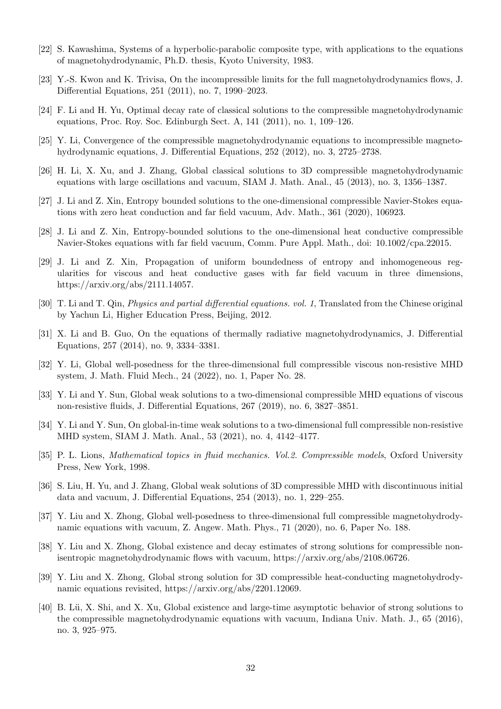- <span id="page-31-16"></span><span id="page-31-9"></span>[22] S. Kawashima, Systems of a hyperbolic-parabolic composite type, with applications to the equations of magnetohydrodynamic, Ph.D. thesis, Kyoto University, 1983.
- <span id="page-31-6"></span>[23] Y.-S. Kwon and K. Trivisa, On the incompressible limits for the full magnetohydrodynamics flows, J. Differential Equations, 251 (2011), no. 7, 1990–2023.
- <span id="page-31-5"></span>[24] F. Li and H. Yu, Optimal decay rate of classical solutions to the compressible magnetohydrodynamic equations, Proc. Roy. Soc. Edinburgh Sect. A, 141 (2011), no. 1, 109–126.
- <span id="page-31-2"></span>[25] Y. Li, Convergence of the compressible magnetohydrodynamic equations to incompressible magnetohydrodynamic equations, J. Differential Equations, 252 (2012), no. 3, 2725–2738.
- <span id="page-31-17"></span>[26] H. Li, X. Xu, and J. Zhang, Global classical solutions to 3D compressible magnetohydrodynamic equations with large oscillations and vacuum, SIAM J. Math. Anal., 45 (2013), no. 3, 1356–1387.
- <span id="page-31-18"></span>[27] J. Li and Z. Xin, Entropy bounded solutions to the one-dimensional compressible Navier-Stokes equations with zero heat conduction and far field vacuum, Adv. Math., 361 (2020), 106923.
- [28] J. Li and Z. Xin, Entropy-bounded solutions to the one-dimensional heat conductive compressible Navier-Stokes equations with far field vacuum, Comm. Pure Appl. Math., doi: 10.1002/cpa.22015.
- <span id="page-31-10"></span>[29] J. Li and Z. Xin, Propagation of uniform boundedness of entropy and inhomogeneous regularities for viscous and heat conductive gases with far field vacuum in three dimensions, https://arxiv.org/abs/2111.14057.
- <span id="page-31-8"></span><span id="page-31-0"></span>[30] T. Li and T. Qin, Physics and partial differential equations. vol. 1, Translated from the Chinese original by Yachun Li, Higher Education Press, Beijing, 2012.
- [31] X. Li and B. Guo, On the equations of thermally radiative magnetohydrodynamics, J. Differential Equations, 257 (2014), no. 9, 3334–3381.
- <span id="page-31-14"></span>[32] Y. Li, Global well-posedness for the three-dimensional full compressible viscous non-resistive MHD system, J. Math. Fluid Mech., 24 (2022), no. 1, Paper No. 28.
- <span id="page-31-4"></span>[33] Y. Li and Y. Sun, Global weak solutions to a two-dimensional compressible MHD equations of viscous non-resistive fluids, J. Differential Equations, 267 (2019), no. 6, 3827–3851.
- <span id="page-31-15"></span><span id="page-31-7"></span>[34] Y. Li and Y. Sun, On global-in-time weak solutions to a two-dimensional full compressible non-resistive MHD system, SIAM J. Math. Anal., 53 (2021), no. 4, 4142–4177.
- [35] P. L. Lions, Mathematical topics in fluid mechanics. Vol.2. Compressible models, Oxford University Press, New York, 1998.
- <span id="page-31-1"></span>[36] S. Liu, H. Yu, and J. Zhang, Global weak solutions of 3D compressible MHD with discontinuous initial data and vacuum, J. Differential Equations, 254 (2013), no. 1, 229–255.
- <span id="page-31-11"></span>[37] Y. Liu and X. Zhong, Global well-posedness to three-dimensional full compressible magnetohydrodynamic equations with vacuum, Z. Angew. Math. Phys., 71 (2020), no. 6, Paper No. 188.
- <span id="page-31-12"></span>[38] Y. Liu and X. Zhong, Global existence and decay estimates of strong solutions for compressible nonisentropic magnetohydrodynamic flows with vacuum, https://arxiv.org/abs/2108.06726.
- <span id="page-31-13"></span>[39] Y. Liu and X. Zhong, Global strong solution for 3D compressible heat-conducting magnetohydrodynamic equations revisited, https://arxiv.org/abs/2201.12069.
- <span id="page-31-3"></span>[40] B. Lü, X. Shi, and X. Xu, Global existence and large-time asymptotic behavior of strong solutions to the compressible magnetohydrodynamic equations with vacuum, Indiana Univ. Math. J., 65 (2016), no. 3, 925–975.